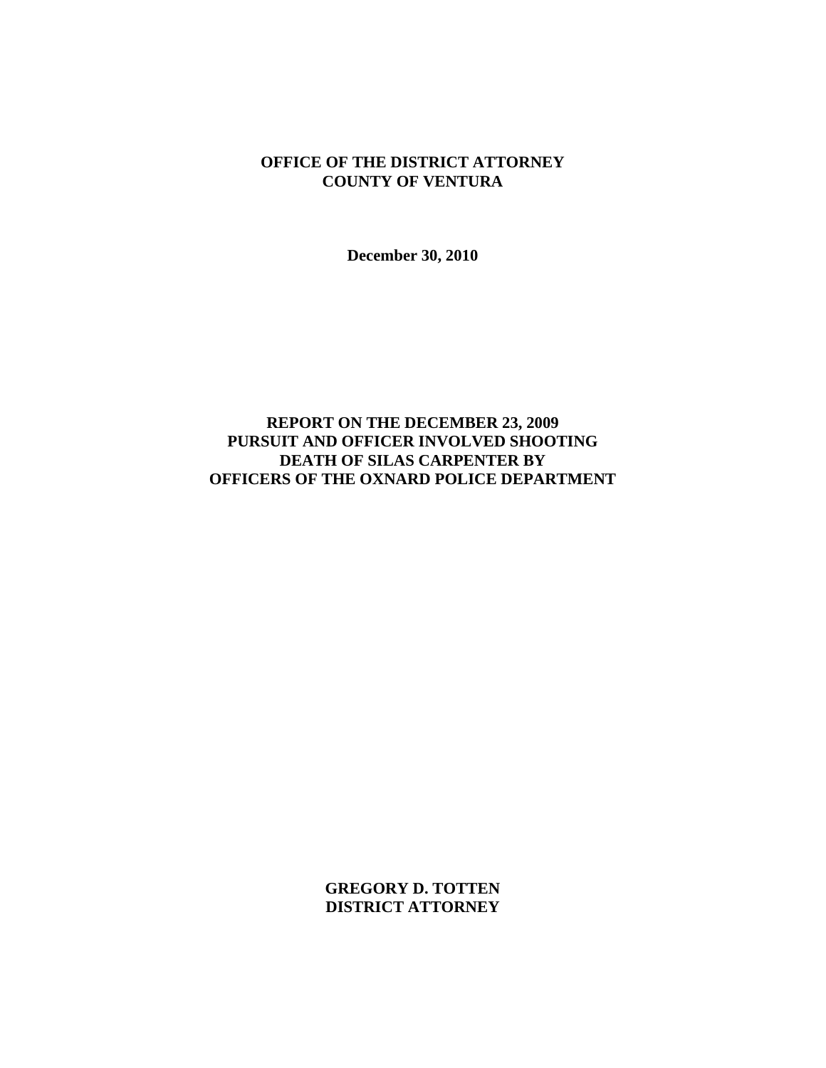## **OFFICE OF THE DISTRICT ATTORNEY COUNTY OF VENTURA**

**December 30, 2010** 

# **REPORT ON THE DECEMBER 23, 2009 PURSUIT AND OFFICER INVOLVED SHOOTING DEATH OF SILAS CARPENTER BY OFFICERS OF THE OXNARD POLICE DEPARTMENT**

**GREGORY D. TOTTEN DISTRICT ATTORNEY**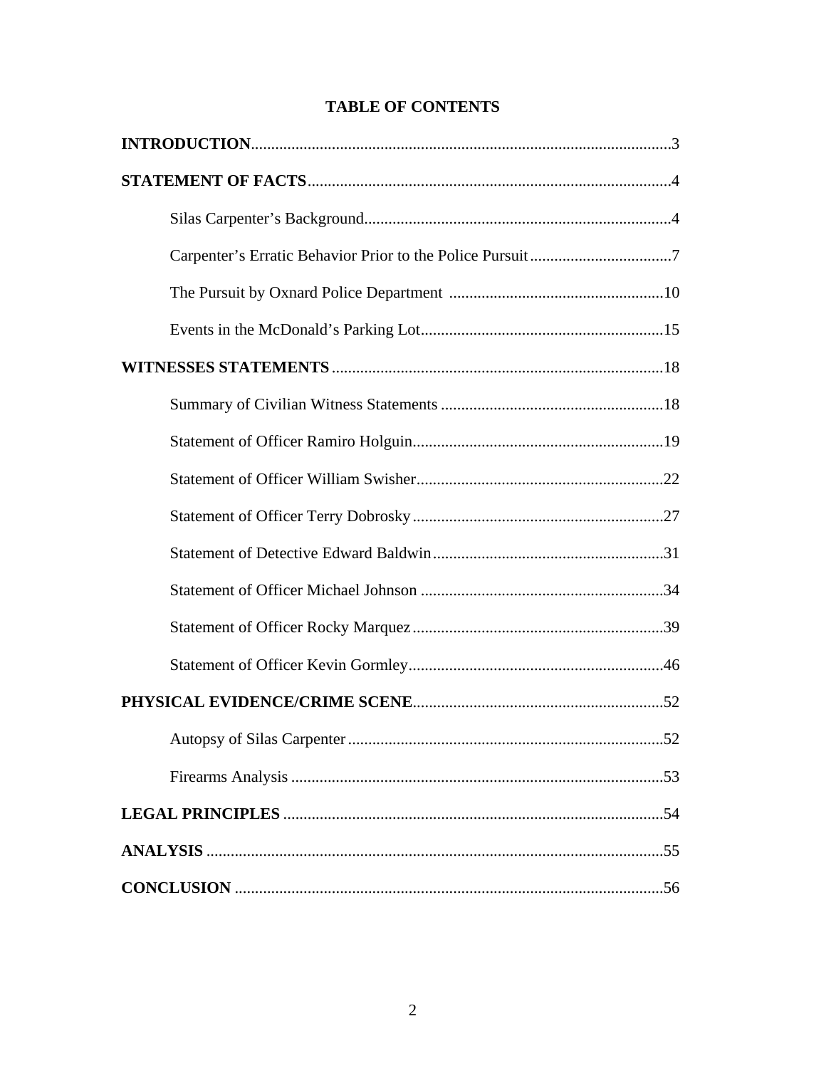| .52 |
|-----|
|     |
|     |
|     |
|     |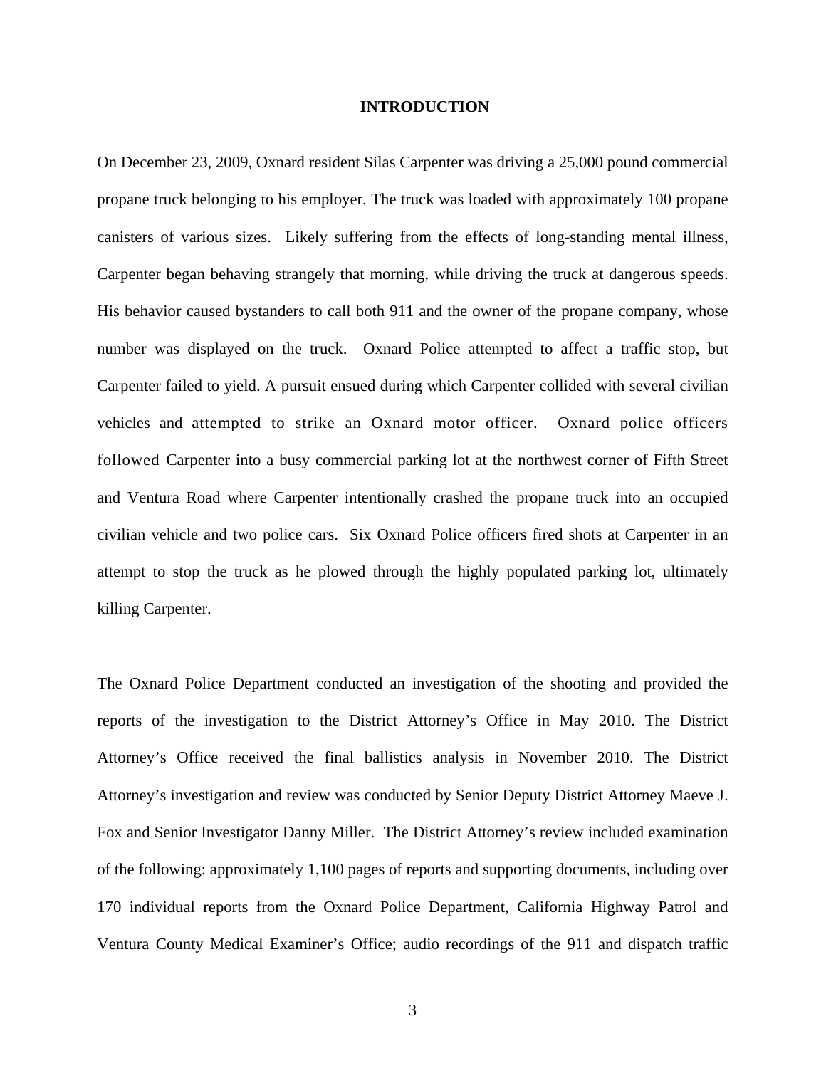### **INTRODUCTION**

On December 23, 2009, Oxnard resident Silas Carpenter was driving a 25,000 pound commercial propane truck belonging to his employer. The truck was loaded with approximately 100 propane canisters of various sizes. Likely suffering from the effects of long-standing mental illness, Carpenter began behaving strangely that morning, while driving the truck at dangerous speeds. His behavior caused bystanders to call both 911 and the owner of the propane company, whose number was displayed on the truck. Oxnard Police attempted to affect a traffic stop, but Carpenter failed to yield. A pursuit ensued during which Carpenter collided with several civilian vehicles and attempted to strike an Oxnard motor officer. Oxnard police officers followed Carpenter into a busy commercial parking lot at the northwest corner of Fifth Street and Ventura Road where Carpenter intentionally crashed the propane truck into an occupied civilian vehicle and two police cars. Six Oxnard Police officers fired shots at Carpenter in an attempt to stop the truck as he plowed through the highly populated parking lot, ultimately killing Carpenter.

The Oxnard Police Department conducted an investigation of the shooting and provided the reports of the investigation to the District Attorney's Office in May 2010. The District Attorney's Office received the final ballistics analysis in November 2010. The District Attorney's investigation and review was conducted by Senior Deputy District Attorney Maeve J. Fox and Senior Investigator Danny Miller. The District Attorney's review included examination of the following: approximately 1,100 pages of reports and supporting documents, including over 170 individual reports from the Oxnard Police Department, California Highway Patrol and Ventura County Medical Examiner's Office; audio recordings of the 911 and dispatch traffic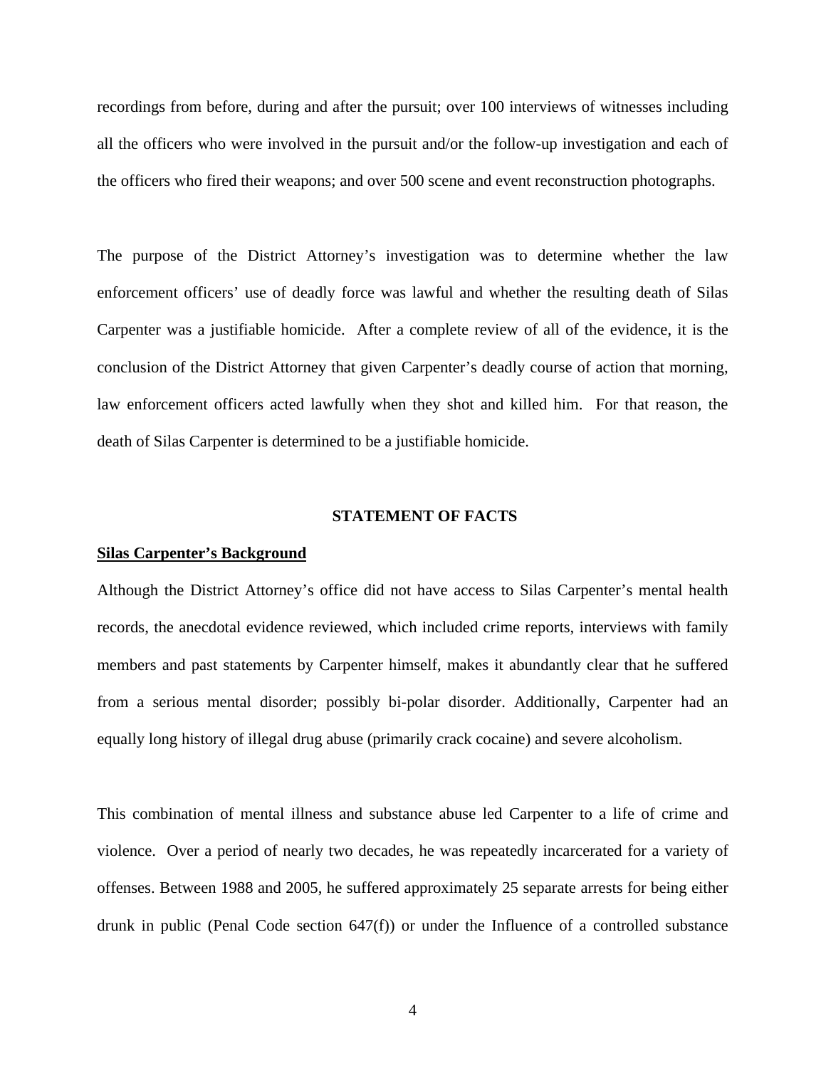recordings from before, during and after the pursuit; over 100 interviews of witnesses including all the officers who were involved in the pursuit and/or the follow-up investigation and each of the officers who fired their weapons; and over 500 scene and event reconstruction photographs.

The purpose of the District Attorney's investigation was to determine whether the law enforcement officers' use of deadly force was lawful and whether the resulting death of Silas Carpenter was a justifiable homicide. After a complete review of all of the evidence, it is the conclusion of the District Attorney that given Carpenter's deadly course of action that morning, law enforcement officers acted lawfully when they shot and killed him. For that reason, the death of Silas Carpenter is determined to be a justifiable homicide.

#### **STATEMENT OF FACTS**

#### **Silas Carpenter's Background**

Although the District Attorney's office did not have access to Silas Carpenter's mental health records, the anecdotal evidence reviewed, which included crime reports, interviews with family members and past statements by Carpenter himself, makes it abundantly clear that he suffered from a serious mental disorder; possibly bi-polar disorder. Additionally, Carpenter had an equally long history of illegal drug abuse (primarily crack cocaine) and severe alcoholism.

This combination of mental illness and substance abuse led Carpenter to a life of crime and violence. Over a period of nearly two decades, he was repeatedly incarcerated for a variety of offenses. Between 1988 and 2005, he suffered approximately 25 separate arrests for being either drunk in public (Penal Code section 647(f)) or under the Influence of a controlled substance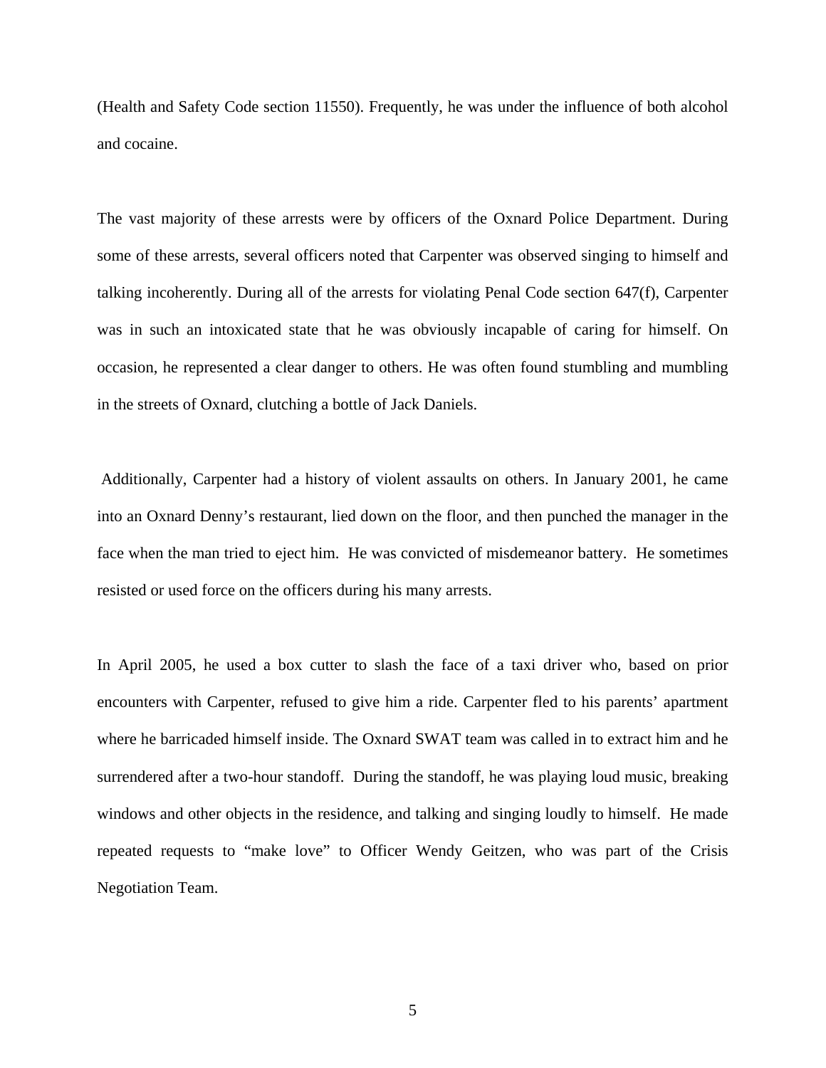(Health and Safety Code section 11550). Frequently, he was under the influence of both alcohol and cocaine.

The vast majority of these arrests were by officers of the Oxnard Police Department. During some of these arrests, several officers noted that Carpenter was observed singing to himself and talking incoherently. During all of the arrests for violating Penal Code section 647(f), Carpenter was in such an intoxicated state that he was obviously incapable of caring for himself. On occasion, he represented a clear danger to others. He was often found stumbling and mumbling in the streets of Oxnard, clutching a bottle of Jack Daniels.

 Additionally, Carpenter had a history of violent assaults on others. In January 2001, he came into an Oxnard Denny's restaurant, lied down on the floor, and then punched the manager in the face when the man tried to eject him. He was convicted of misdemeanor battery. He sometimes resisted or used force on the officers during his many arrests.

In April 2005, he used a box cutter to slash the face of a taxi driver who, based on prior encounters with Carpenter, refused to give him a ride. Carpenter fled to his parents' apartment where he barricaded himself inside. The Oxnard SWAT team was called in to extract him and he surrendered after a two-hour standoff. During the standoff, he was playing loud music, breaking windows and other objects in the residence, and talking and singing loudly to himself. He made repeated requests to "make love" to Officer Wendy Geitzen, who was part of the Crisis Negotiation Team.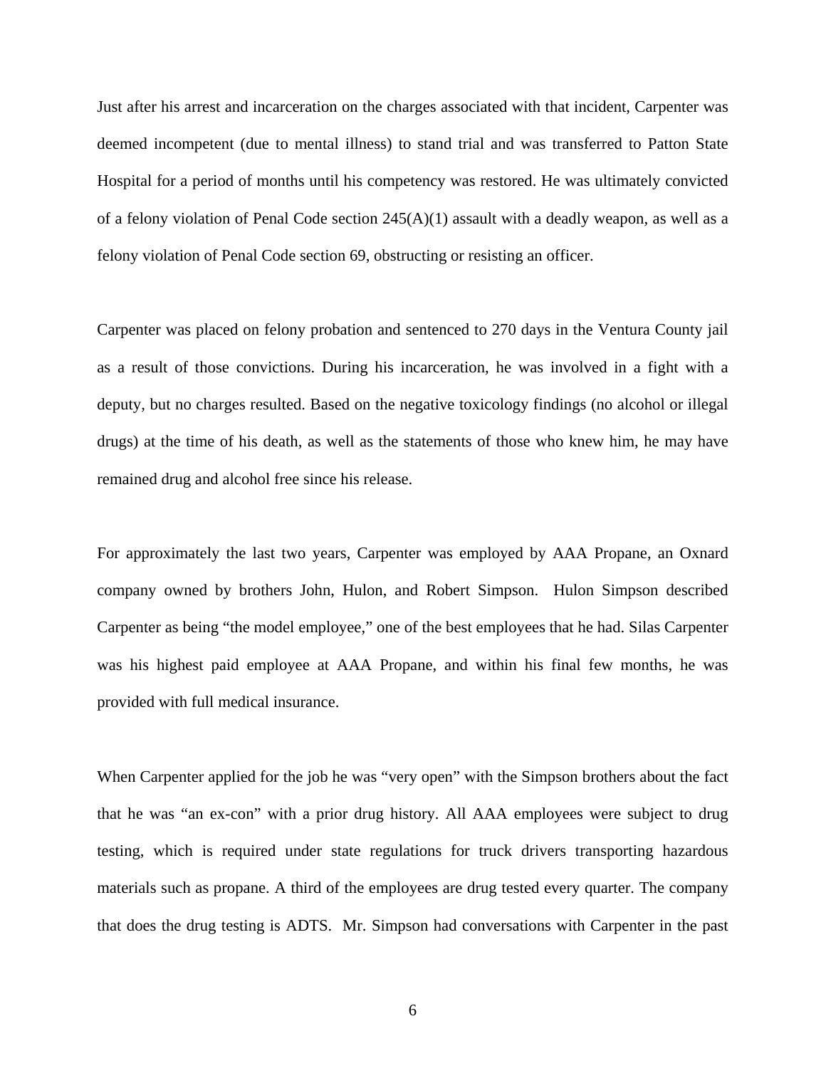Just after his arrest and incarceration on the charges associated with that incident, Carpenter was deemed incompetent (due to mental illness) to stand trial and was transferred to Patton State Hospital for a period of months until his competency was restored. He was ultimately convicted of a felony violation of Penal Code section 245(A)(1) assault with a deadly weapon, as well as a felony violation of Penal Code section 69, obstructing or resisting an officer.

Carpenter was placed on felony probation and sentenced to 270 days in the Ventura County jail as a result of those convictions. During his incarceration, he was involved in a fight with a deputy, but no charges resulted. Based on the negative toxicology findings (no alcohol or illegal drugs) at the time of his death, as well as the statements of those who knew him, he may have remained drug and alcohol free since his release.

For approximately the last two years, Carpenter was employed by AAA Propane, an Oxnard company owned by brothers John, Hulon, and Robert Simpson. Hulon Simpson described Carpenter as being "the model employee," one of the best employees that he had. Silas Carpenter was his highest paid employee at AAA Propane, and within his final few months, he was provided with full medical insurance.

When Carpenter applied for the job he was "very open" with the Simpson brothers about the fact that he was "an ex-con" with a prior drug history. All AAA employees were subject to drug testing, which is required under state regulations for truck drivers transporting hazardous materials such as propane. A third of the employees are drug tested every quarter. The company that does the drug testing is ADTS. Mr. Simpson had conversations with Carpenter in the past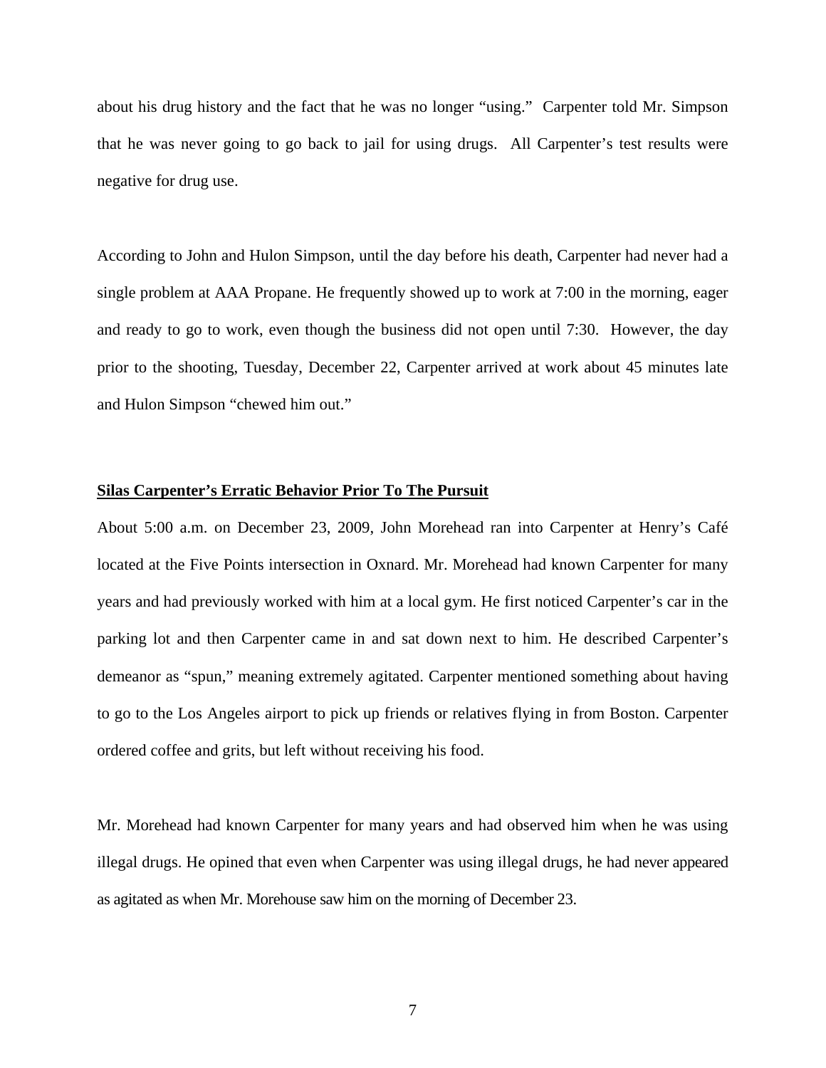about his drug history and the fact that he was no longer "using." Carpenter told Mr. Simpson that he was never going to go back to jail for using drugs. All Carpenter's test results were negative for drug use.

According to John and Hulon Simpson, until the day before his death, Carpenter had never had a single problem at AAA Propane. He frequently showed up to work at 7:00 in the morning, eager and ready to go to work, even though the business did not open until 7:30. However, the day prior to the shooting, Tuesday, December 22, Carpenter arrived at work about 45 minutes late and Hulon Simpson "chewed him out."

### **Silas Carpenter's Erratic Behavior Prior To The Pursuit**

About 5:00 a.m. on December 23, 2009, John Morehead ran into Carpenter at Henry's Café located at the Five Points intersection in Oxnard. Mr. Morehead had known Carpenter for many years and had previously worked with him at a local gym. He first noticed Carpenter's car in the parking lot and then Carpenter came in and sat down next to him. He described Carpenter's demeanor as "spun," meaning extremely agitated. Carpenter mentioned something about having to go to the Los Angeles airport to pick up friends or relatives flying in from Boston. Carpenter ordered coffee and grits, but left without receiving his food.

Mr. Morehead had known Carpenter for many years and had observed him when he was using illegal drugs. He opined that even when Carpenter was using illegal drugs, he had never appeared as agitated as when Mr. Morehouse saw him on the morning of December 23.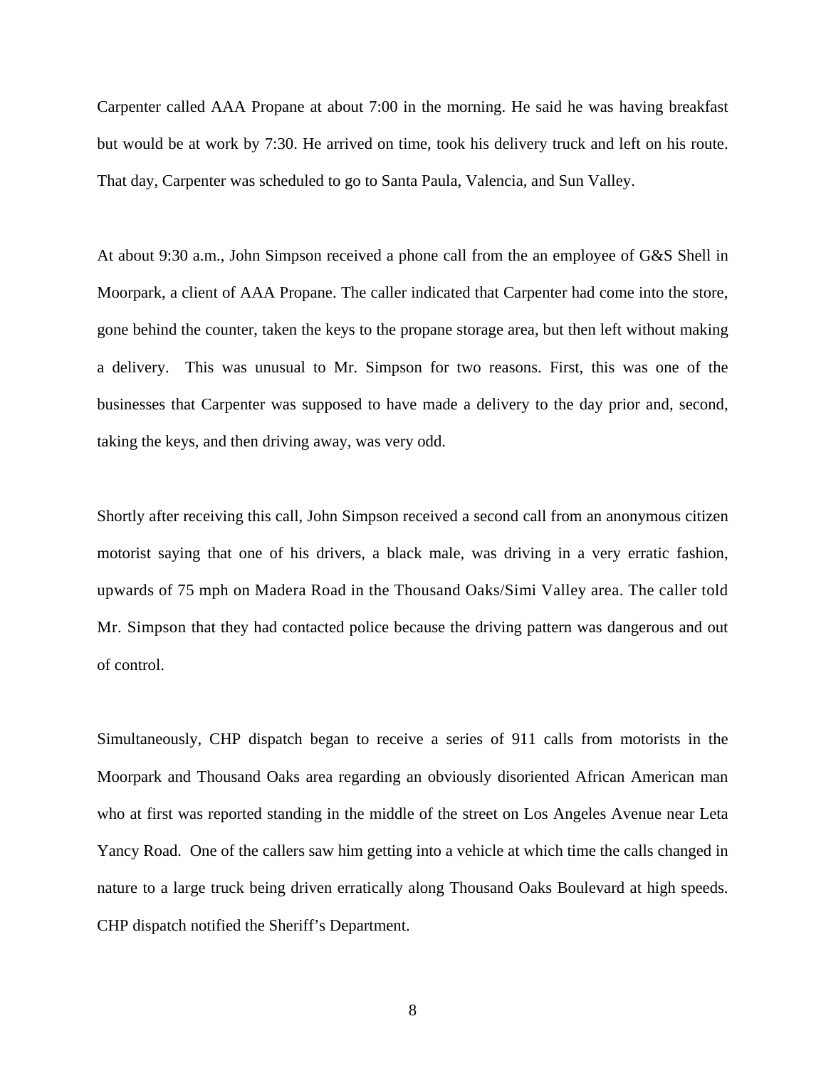Carpenter called AAA Propane at about 7:00 in the morning. He said he was having breakfast but would be at work by 7:30. He arrived on time, took his delivery truck and left on his route. That day, Carpenter was scheduled to go to Santa Paula, Valencia, and Sun Valley.

At about 9:30 a.m., John Simpson received a phone call from the an employee of G&S Shell in Moorpark, a client of AAA Propane. The caller indicated that Carpenter had come into the store, gone behind the counter, taken the keys to the propane storage area, but then left without making a delivery. This was unusual to Mr. Simpson for two reasons. First, this was one of the businesses that Carpenter was supposed to have made a delivery to the day prior and, second, taking the keys, and then driving away, was very odd.

Shortly after receiving this call, John Simpson received a second call from an anonymous citizen motorist saying that one of his drivers, a black male, was driving in a very erratic fashion, upwards of 75 mph on Madera Road in the Thousand Oaks/Simi Valley area. The caller told Mr. Simpson that they had contacted police because the driving pattern was dangerous and out of control.

Simultaneously, CHP dispatch began to receive a series of 911 calls from motorists in the Moorpark and Thousand Oaks area regarding an obviously disoriented African American man who at first was reported standing in the middle of the street on Los Angeles Avenue near Leta Yancy Road. One of the callers saw him getting into a vehicle at which time the calls changed in nature to a large truck being driven erratically along Thousand Oaks Boulevard at high speeds. CHP dispatch notified the Sheriff's Department.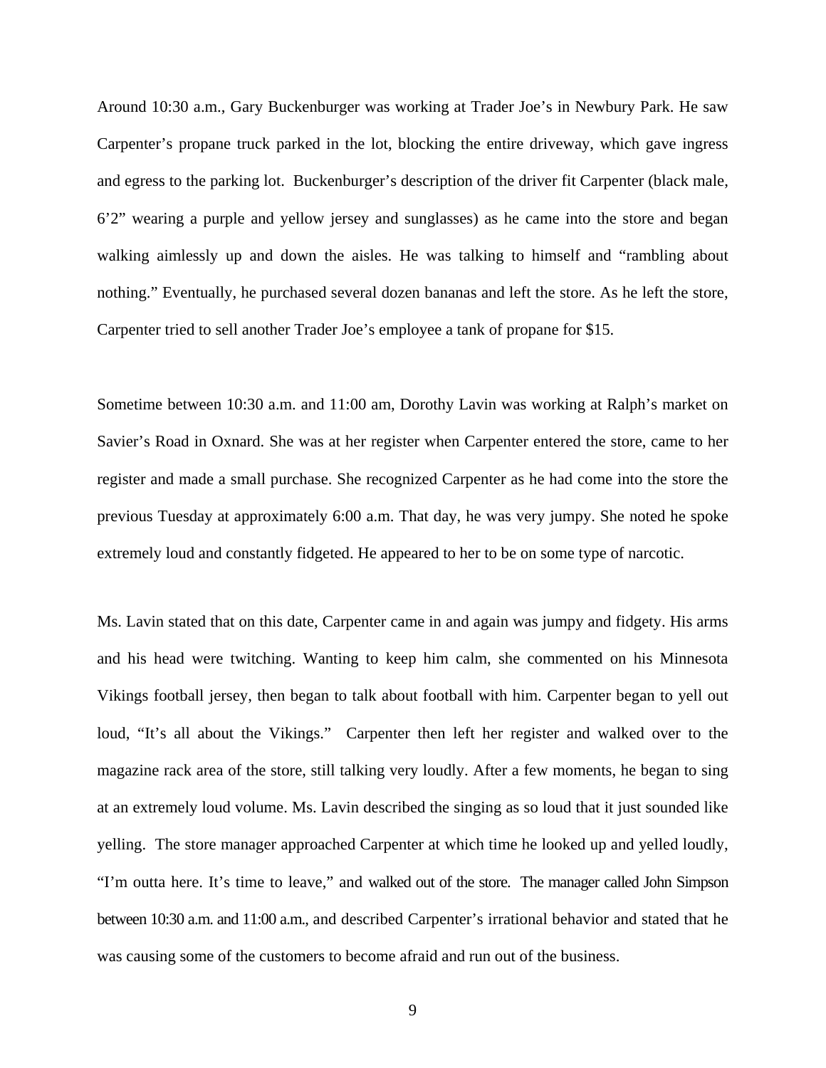Around 10:30 a.m., Gary Buckenburger was working at Trader Joe's in Newbury Park. He saw Carpenter's propane truck parked in the lot, blocking the entire driveway, which gave ingress and egress to the parking lot. Buckenburger's description of the driver fit Carpenter (black male, 6'2" wearing a purple and yellow jersey and sunglasses) as he came into the store and began walking aimlessly up and down the aisles. He was talking to himself and "rambling about nothing." Eventually, he purchased several dozen bananas and left the store. As he left the store, Carpenter tried to sell another Trader Joe's employee a tank of propane for \$15.

Sometime between 10:30 a.m. and 11:00 am, Dorothy Lavin was working at Ralph's market on Savier's Road in Oxnard. She was at her register when Carpenter entered the store, came to her register and made a small purchase. She recognized Carpenter as he had come into the store the previous Tuesday at approximately 6:00 a.m. That day, he was very jumpy. She noted he spoke extremely loud and constantly fidgeted. He appeared to her to be on some type of narcotic.

Ms. Lavin stated that on this date, Carpenter came in and again was jumpy and fidgety. His arms and his head were twitching. Wanting to keep him calm, she commented on his Minnesota Vikings football jersey, then began to talk about football with him. Carpenter began to yell out loud, "It's all about the Vikings." Carpenter then left her register and walked over to the magazine rack area of the store, still talking very loudly. After a few moments, he began to sing at an extremely loud volume. Ms. Lavin described the singing as so loud that it just sounded like yelling. The store manager approached Carpenter at which time he looked up and yelled loudly, "I'm outta here. It's time to leave," and walked out of the store. The manager called John Simpson between 10:30 a.m. and 11:00 a.m., and described Carpenter's irrational behavior and stated that he was causing some of the customers to become afraid and run out of the business.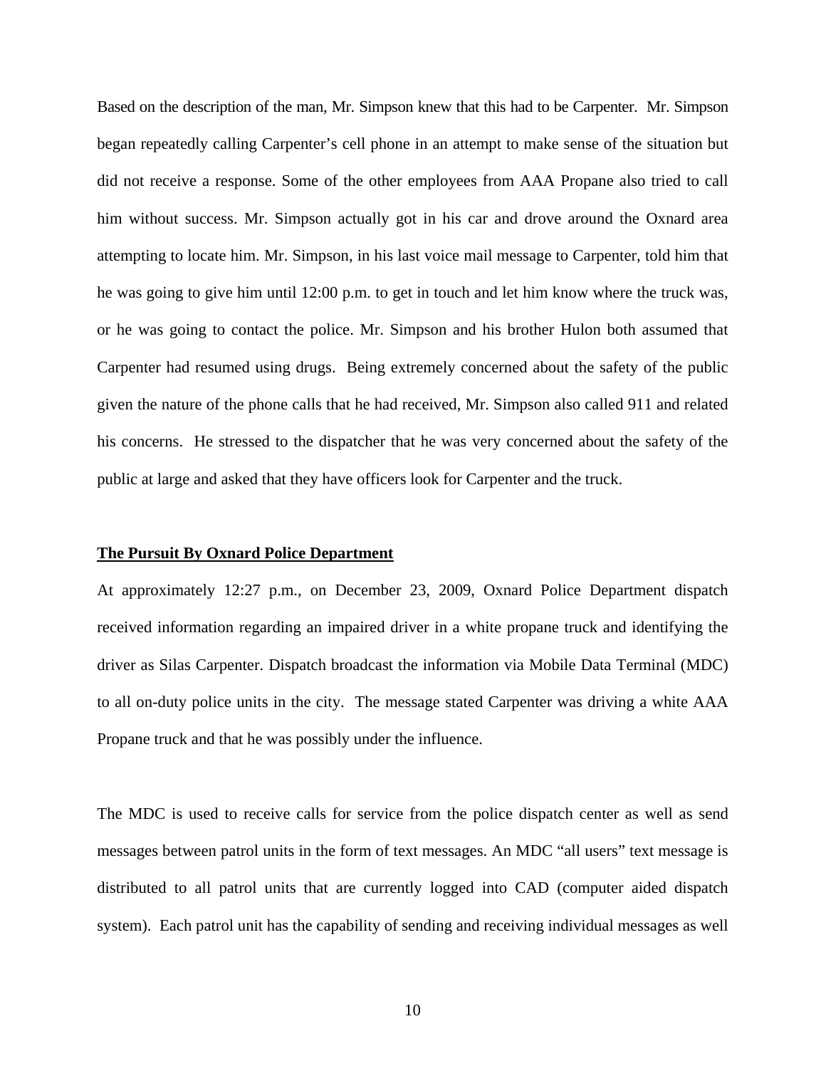Based on the description of the man, Mr. Simpson knew that this had to be Carpenter. Mr. Simpson began repeatedly calling Carpenter's cell phone in an attempt to make sense of the situation but did not receive a response. Some of the other employees from AAA Propane also tried to call him without success. Mr. Simpson actually got in his car and drove around the Oxnard area attempting to locate him. Mr. Simpson, in his last voice mail message to Carpenter, told him that he was going to give him until 12:00 p.m. to get in touch and let him know where the truck was, or he was going to contact the police. Mr. Simpson and his brother Hulon both assumed that Carpenter had resumed using drugs. Being extremely concerned about the safety of the public given the nature of the phone calls that he had received, Mr. Simpson also called 911 and related his concerns. He stressed to the dispatcher that he was very concerned about the safety of the public at large and asked that they have officers look for Carpenter and the truck.

## **The Pursuit By Oxnard Police Department**

At approximately 12:27 p.m., on December 23, 2009, Oxnard Police Department dispatch received information regarding an impaired driver in a white propane truck and identifying the driver as Silas Carpenter. Dispatch broadcast the information via Mobile Data Terminal (MDC) to all on-duty police units in the city. The message stated Carpenter was driving a white AAA Propane truck and that he was possibly under the influence.

The MDC is used to receive calls for service from the police dispatch center as well as send messages between patrol units in the form of text messages. An MDC "all users" text message is distributed to all patrol units that are currently logged into CAD (computer aided dispatch system). Each patrol unit has the capability of sending and receiving individual messages as well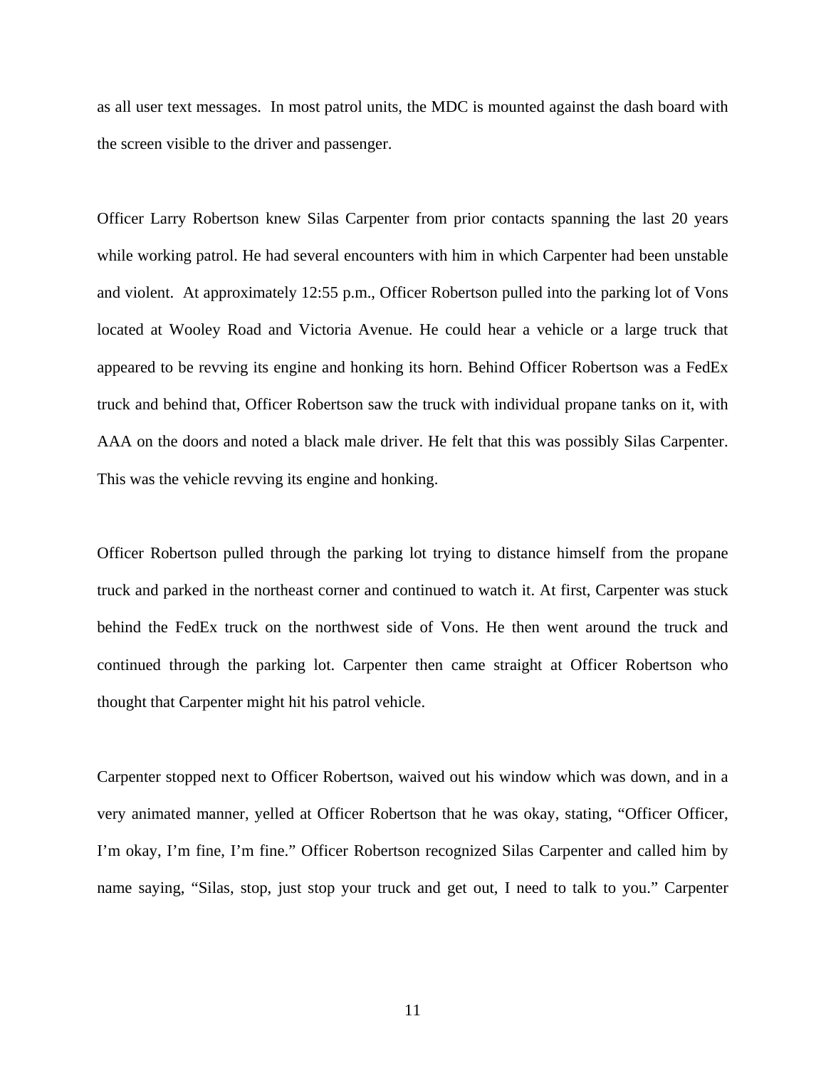as all user text messages. In most patrol units, the MDC is mounted against the dash board with the screen visible to the driver and passenger.

Officer Larry Robertson knew Silas Carpenter from prior contacts spanning the last 20 years while working patrol. He had several encounters with him in which Carpenter had been unstable and violent. At approximately 12:55 p.m., Officer Robertson pulled into the parking lot of Vons located at Wooley Road and Victoria Avenue. He could hear a vehicle or a large truck that appeared to be revving its engine and honking its horn. Behind Officer Robertson was a FedEx truck and behind that, Officer Robertson saw the truck with individual propane tanks on it, with AAA on the doors and noted a black male driver. He felt that this was possibly Silas Carpenter. This was the vehicle revving its engine and honking.

Officer Robertson pulled through the parking lot trying to distance himself from the propane truck and parked in the northeast corner and continued to watch it. At first, Carpenter was stuck behind the FedEx truck on the northwest side of Vons. He then went around the truck and continued through the parking lot. Carpenter then came straight at Officer Robertson who thought that Carpenter might hit his patrol vehicle.

Carpenter stopped next to Officer Robertson, waived out his window which was down, and in a very animated manner, yelled at Officer Robertson that he was okay, stating, "Officer Officer, I'm okay, I'm fine, I'm fine." Officer Robertson recognized Silas Carpenter and called him by name saying, "Silas, stop, just stop your truck and get out, I need to talk to you." Carpenter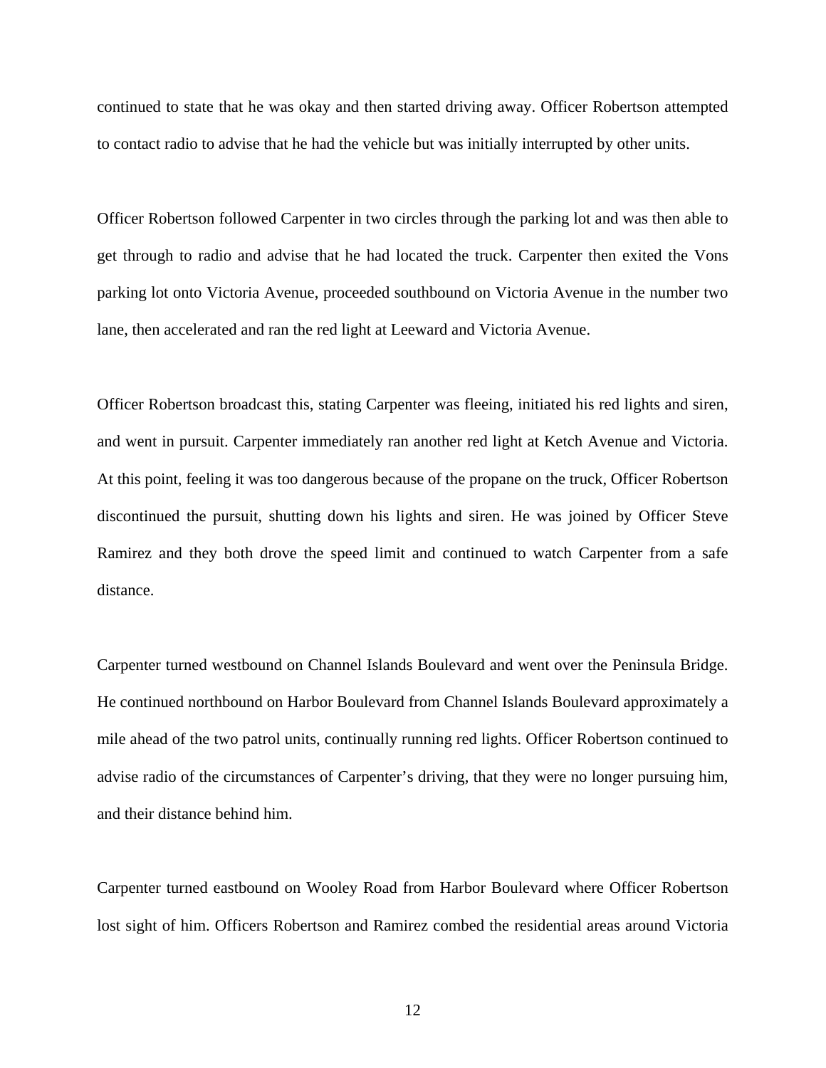continued to state that he was okay and then started driving away. Officer Robertson attempted to contact radio to advise that he had the vehicle but was initially interrupted by other units.

Officer Robertson followed Carpenter in two circles through the parking lot and was then able to get through to radio and advise that he had located the truck. Carpenter then exited the Vons parking lot onto Victoria Avenue, proceeded southbound on Victoria Avenue in the number two lane, then accelerated and ran the red light at Leeward and Victoria Avenue.

Officer Robertson broadcast this, stating Carpenter was fleeing, initiated his red lights and siren, and went in pursuit. Carpenter immediately ran another red light at Ketch Avenue and Victoria. At this point, feeling it was too dangerous because of the propane on the truck, Officer Robertson discontinued the pursuit, shutting down his lights and siren. He was joined by Officer Steve Ramirez and they both drove the speed limit and continued to watch Carpenter from a safe distance.

Carpenter turned westbound on Channel Islands Boulevard and went over the Peninsula Bridge. He continued northbound on Harbor Boulevard from Channel Islands Boulevard approximately a mile ahead of the two patrol units, continually running red lights. Officer Robertson continued to advise radio of the circumstances of Carpenter's driving, that they were no longer pursuing him, and their distance behind him.

Carpenter turned eastbound on Wooley Road from Harbor Boulevard where Officer Robertson lost sight of him. Officers Robertson and Ramirez combed the residential areas around Victoria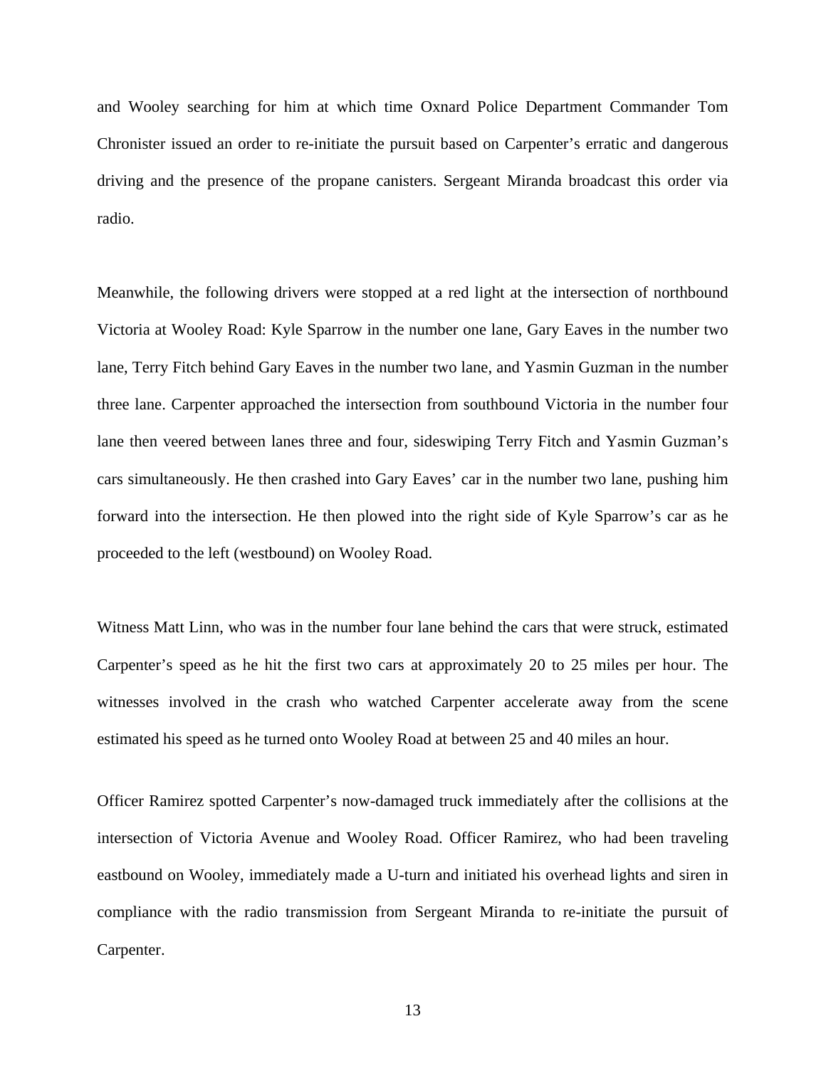and Wooley searching for him at which time Oxnard Police Department Commander Tom Chronister issued an order to re-initiate the pursuit based on Carpenter's erratic and dangerous driving and the presence of the propane canisters. Sergeant Miranda broadcast this order via radio.

Meanwhile, the following drivers were stopped at a red light at the intersection of northbound Victoria at Wooley Road: Kyle Sparrow in the number one lane, Gary Eaves in the number two lane, Terry Fitch behind Gary Eaves in the number two lane, and Yasmin Guzman in the number three lane. Carpenter approached the intersection from southbound Victoria in the number four lane then veered between lanes three and four, sideswiping Terry Fitch and Yasmin Guzman's cars simultaneously. He then crashed into Gary Eaves' car in the number two lane, pushing him forward into the intersection. He then plowed into the right side of Kyle Sparrow's car as he proceeded to the left (westbound) on Wooley Road.

Witness Matt Linn, who was in the number four lane behind the cars that were struck, estimated Carpenter's speed as he hit the first two cars at approximately 20 to 25 miles per hour. The witnesses involved in the crash who watched Carpenter accelerate away from the scene estimated his speed as he turned onto Wooley Road at between 25 and 40 miles an hour.

Officer Ramirez spotted Carpenter's now-damaged truck immediately after the collisions at the intersection of Victoria Avenue and Wooley Road. Officer Ramirez, who had been traveling eastbound on Wooley, immediately made a U-turn and initiated his overhead lights and siren in compliance with the radio transmission from Sergeant Miranda to re-initiate the pursuit of Carpenter.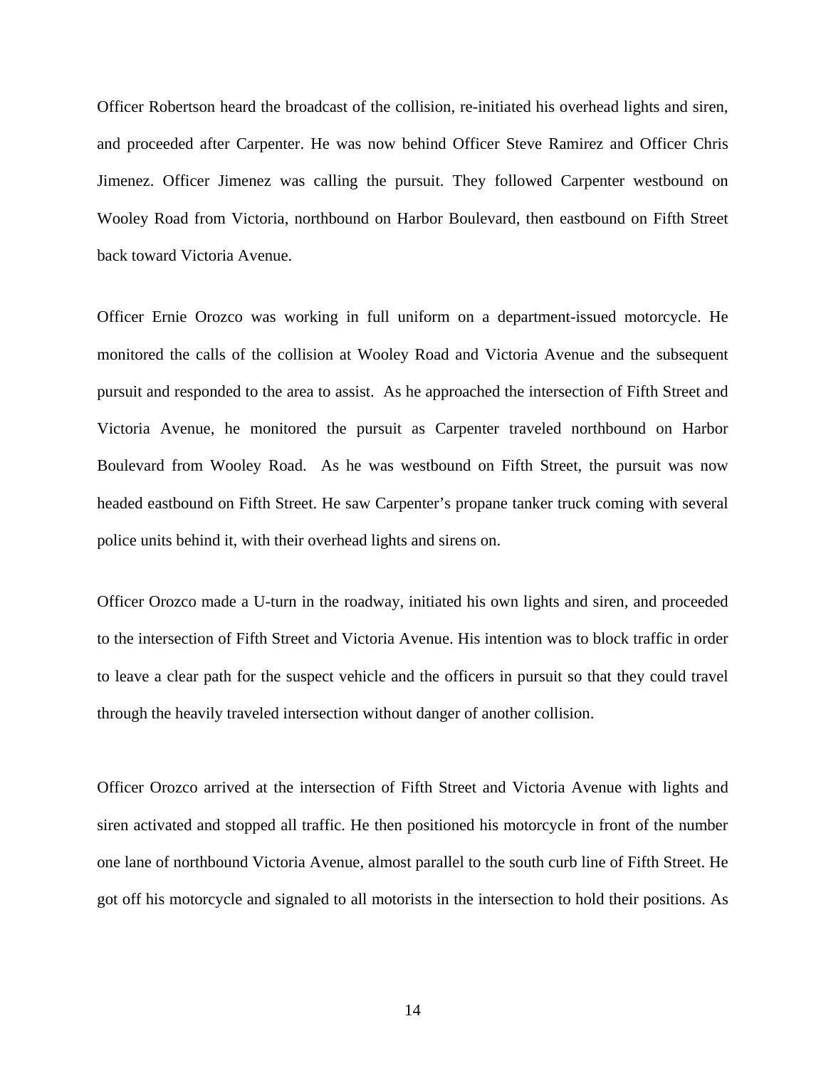Officer Robertson heard the broadcast of the collision, re-initiated his overhead lights and siren, and proceeded after Carpenter. He was now behind Officer Steve Ramirez and Officer Chris Jimenez. Officer Jimenez was calling the pursuit. They followed Carpenter westbound on Wooley Road from Victoria, northbound on Harbor Boulevard, then eastbound on Fifth Street back toward Victoria Avenue.

Officer Ernie Orozco was working in full uniform on a department-issued motorcycle. He monitored the calls of the collision at Wooley Road and Victoria Avenue and the subsequent pursuit and responded to the area to assist. As he approached the intersection of Fifth Street and Victoria Avenue, he monitored the pursuit as Carpenter traveled northbound on Harbor Boulevard from Wooley Road. As he was westbound on Fifth Street, the pursuit was now headed eastbound on Fifth Street. He saw Carpenter's propane tanker truck coming with several police units behind it, with their overhead lights and sirens on.

Officer Orozco made a U-turn in the roadway, initiated his own lights and siren, and proceeded to the intersection of Fifth Street and Victoria Avenue. His intention was to block traffic in order to leave a clear path for the suspect vehicle and the officers in pursuit so that they could travel through the heavily traveled intersection without danger of another collision.

Officer Orozco arrived at the intersection of Fifth Street and Victoria Avenue with lights and siren activated and stopped all traffic. He then positioned his motorcycle in front of the number one lane of northbound Victoria Avenue, almost parallel to the south curb line of Fifth Street. He got off his motorcycle and signaled to all motorists in the intersection to hold their positions. As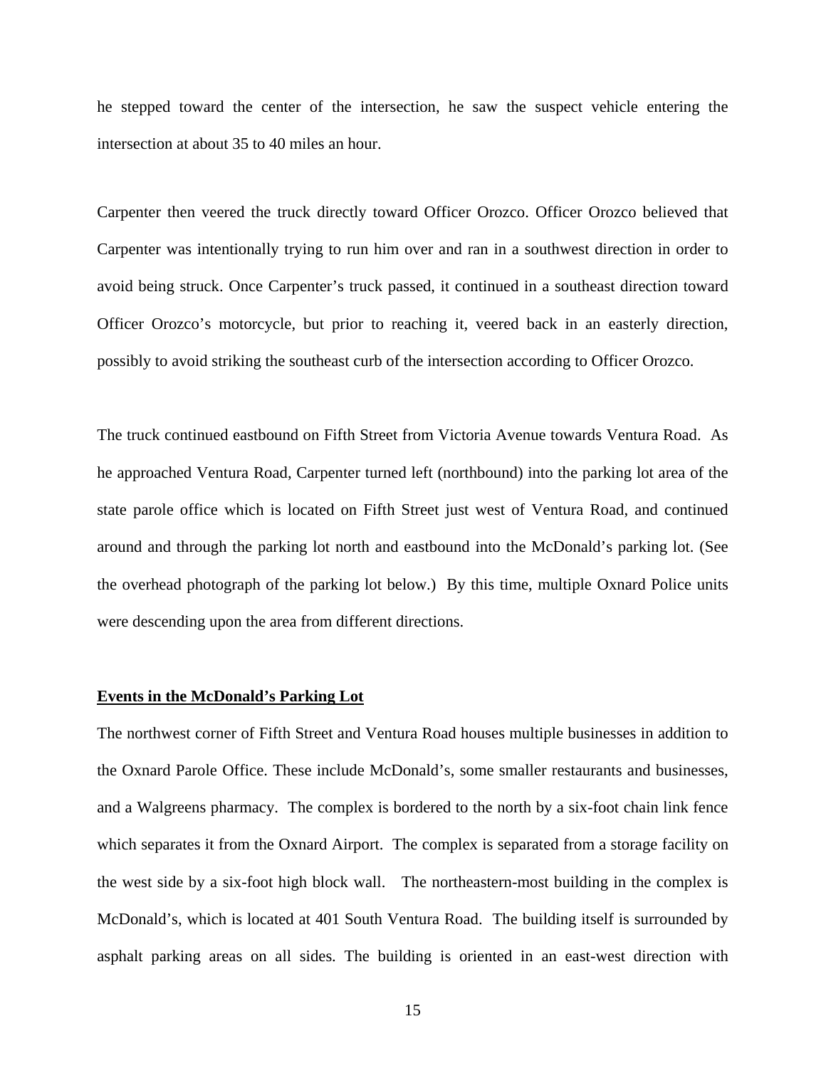he stepped toward the center of the intersection, he saw the suspect vehicle entering the intersection at about 35 to 40 miles an hour.

Carpenter then veered the truck directly toward Officer Orozco. Officer Orozco believed that Carpenter was intentionally trying to run him over and ran in a southwest direction in order to avoid being struck. Once Carpenter's truck passed, it continued in a southeast direction toward Officer Orozco's motorcycle, but prior to reaching it, veered back in an easterly direction, possibly to avoid striking the southeast curb of the intersection according to Officer Orozco.

The truck continued eastbound on Fifth Street from Victoria Avenue towards Ventura Road. As he approached Ventura Road, Carpenter turned left (northbound) into the parking lot area of the state parole office which is located on Fifth Street just west of Ventura Road, and continued around and through the parking lot north and eastbound into the McDonald's parking lot. (See the overhead photograph of the parking lot below.) By this time, multiple Oxnard Police units were descending upon the area from different directions.

## **Events in the McDonald's Parking Lot**

The northwest corner of Fifth Street and Ventura Road houses multiple businesses in addition to the Oxnard Parole Office. These include McDonald's, some smaller restaurants and businesses, and a Walgreens pharmacy. The complex is bordered to the north by a six-foot chain link fence which separates it from the Oxnard Airport. The complex is separated from a storage facility on the west side by a six-foot high block wall. The northeastern-most building in the complex is McDonald's, which is located at 401 South Ventura Road. The building itself is surrounded by asphalt parking areas on all sides. The building is oriented in an east-west direction with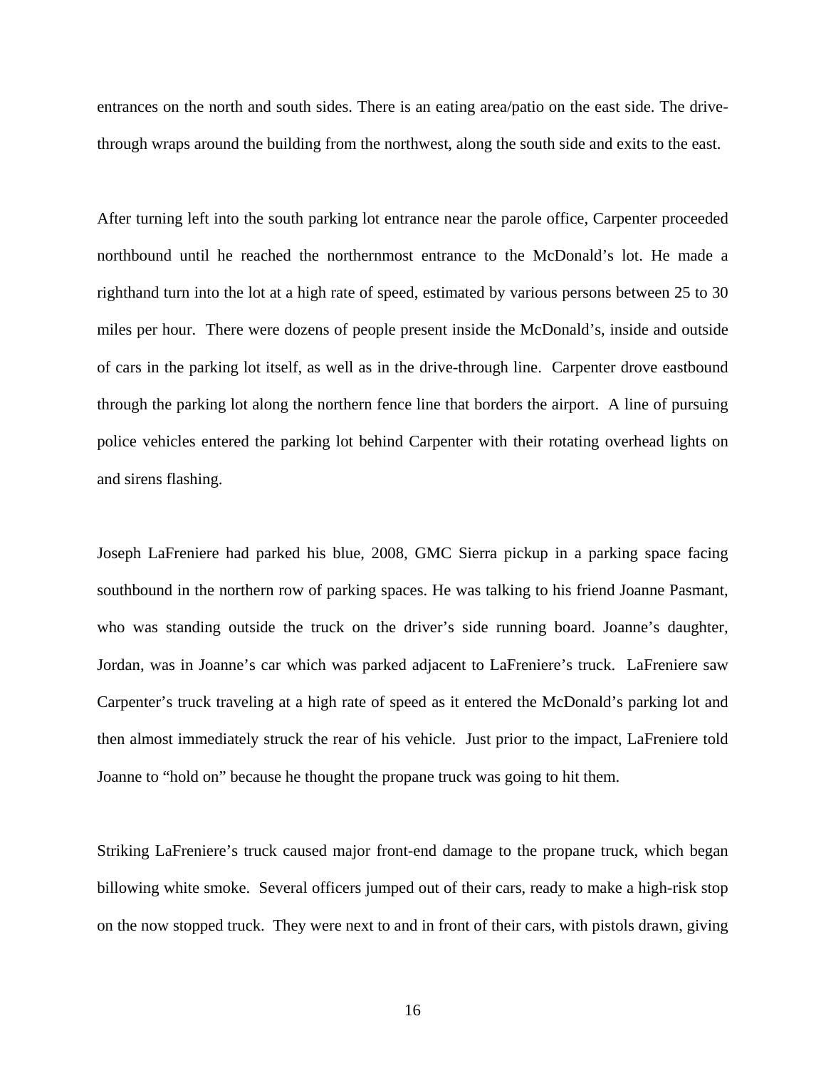entrances on the north and south sides. There is an eating area/patio on the east side. The drivethrough wraps around the building from the northwest, along the south side and exits to the east.

After turning left into the south parking lot entrance near the parole office, Carpenter proceeded northbound until he reached the northernmost entrance to the McDonald's lot. He made a righthand turn into the lot at a high rate of speed, estimated by various persons between 25 to 30 miles per hour. There were dozens of people present inside the McDonald's, inside and outside of cars in the parking lot itself, as well as in the drive-through line. Carpenter drove eastbound through the parking lot along the northern fence line that borders the airport. A line of pursuing police vehicles entered the parking lot behind Carpenter with their rotating overhead lights on and sirens flashing.

Joseph LaFreniere had parked his blue, 2008, GMC Sierra pickup in a parking space facing southbound in the northern row of parking spaces. He was talking to his friend Joanne Pasmant, who was standing outside the truck on the driver's side running board. Joanne's daughter, Jordan, was in Joanne's car which was parked adjacent to LaFreniere's truck. LaFreniere saw Carpenter's truck traveling at a high rate of speed as it entered the McDonald's parking lot and then almost immediately struck the rear of his vehicle. Just prior to the impact, LaFreniere told Joanne to "hold on" because he thought the propane truck was going to hit them.

Striking LaFreniere's truck caused major front-end damage to the propane truck, which began billowing white smoke. Several officers jumped out of their cars, ready to make a high-risk stop on the now stopped truck. They were next to and in front of their cars, with pistols drawn, giving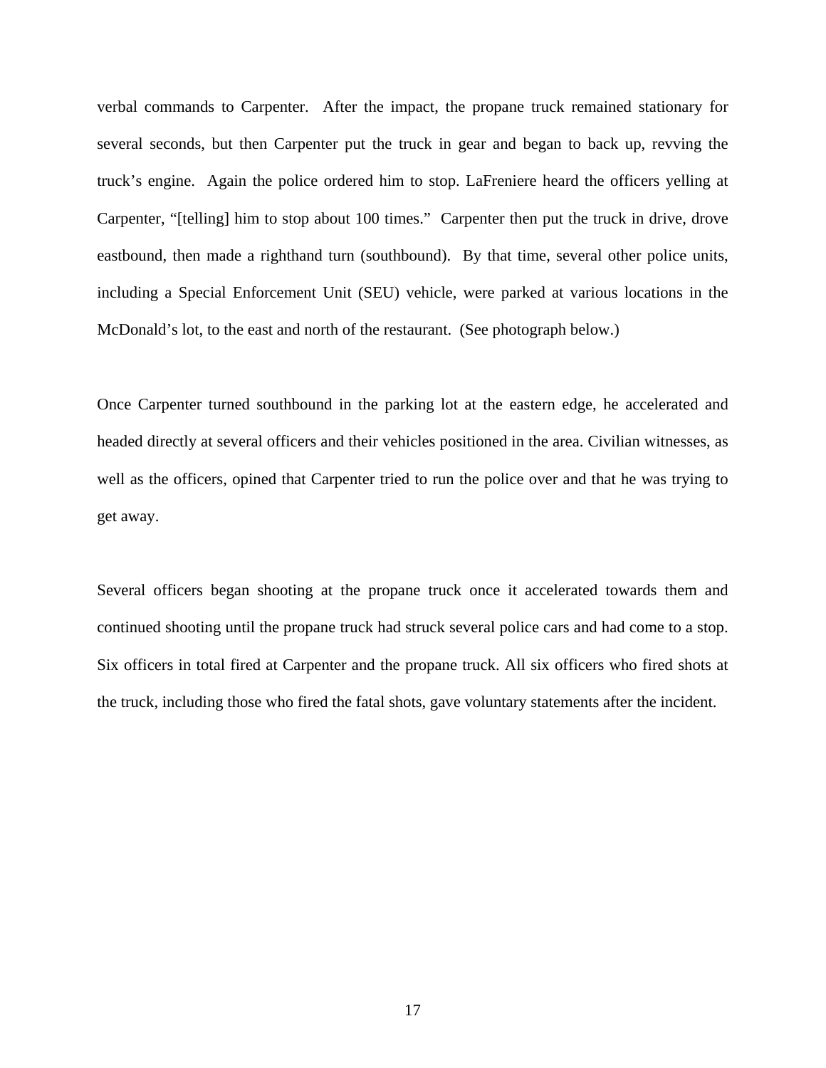verbal commands to Carpenter. After the impact, the propane truck remained stationary for several seconds, but then Carpenter put the truck in gear and began to back up, revving the truck's engine. Again the police ordered him to stop. LaFreniere heard the officers yelling at Carpenter, "[telling] him to stop about 100 times." Carpenter then put the truck in drive, drove eastbound, then made a righthand turn (southbound). By that time, several other police units, including a Special Enforcement Unit (SEU) vehicle, were parked at various locations in the McDonald's lot, to the east and north of the restaurant. (See photograph below.)

Once Carpenter turned southbound in the parking lot at the eastern edge, he accelerated and headed directly at several officers and their vehicles positioned in the area. Civilian witnesses, as well as the officers, opined that Carpenter tried to run the police over and that he was trying to get away.

Several officers began shooting at the propane truck once it accelerated towards them and continued shooting until the propane truck had struck several police cars and had come to a stop. Six officers in total fired at Carpenter and the propane truck. All six officers who fired shots at the truck, including those who fired the fatal shots, gave voluntary statements after the incident.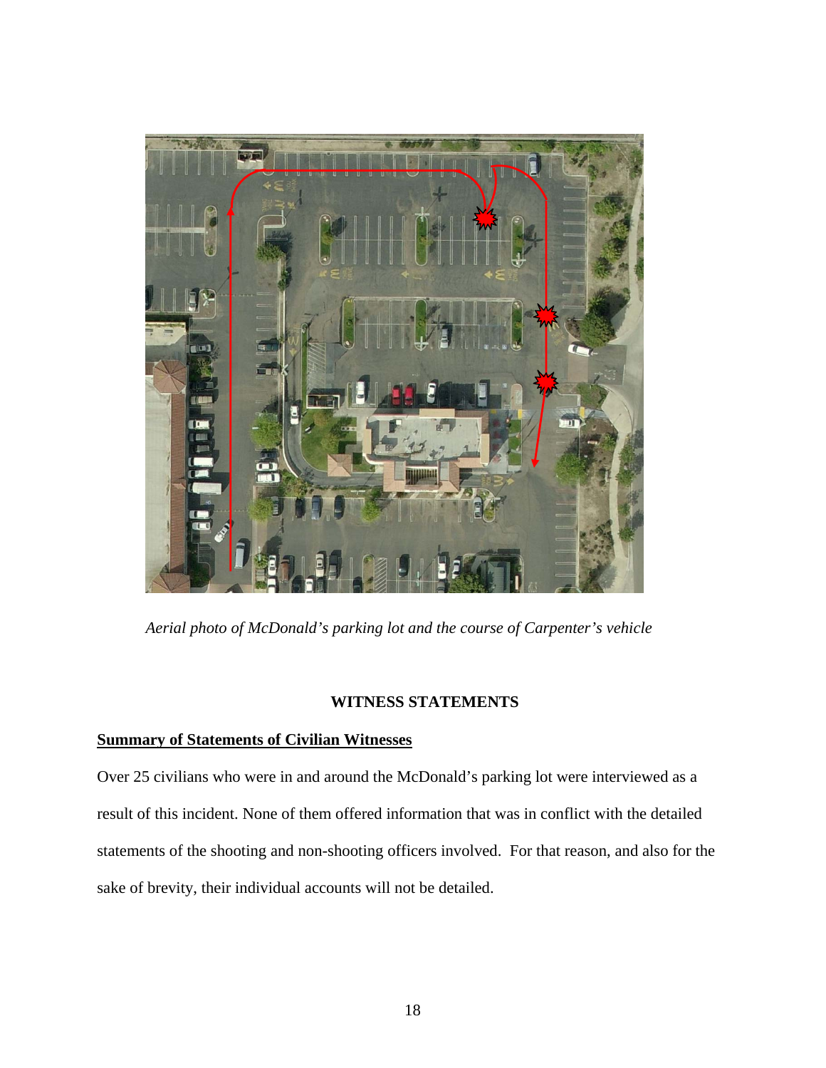

*Aerial photo of McDonald's parking lot and the course of Carpenter's vehicle* 

## **WITNESS STATEMENTS**

# **Summary of Statements of Civilian Witnesses**

Over 25 civilians who were in and around the McDonald's parking lot were interviewed as a result of this incident. None of them offered information that was in conflict with the detailed statements of the shooting and non-shooting officers involved. For that reason, and also for the sake of brevity, their individual accounts will not be detailed.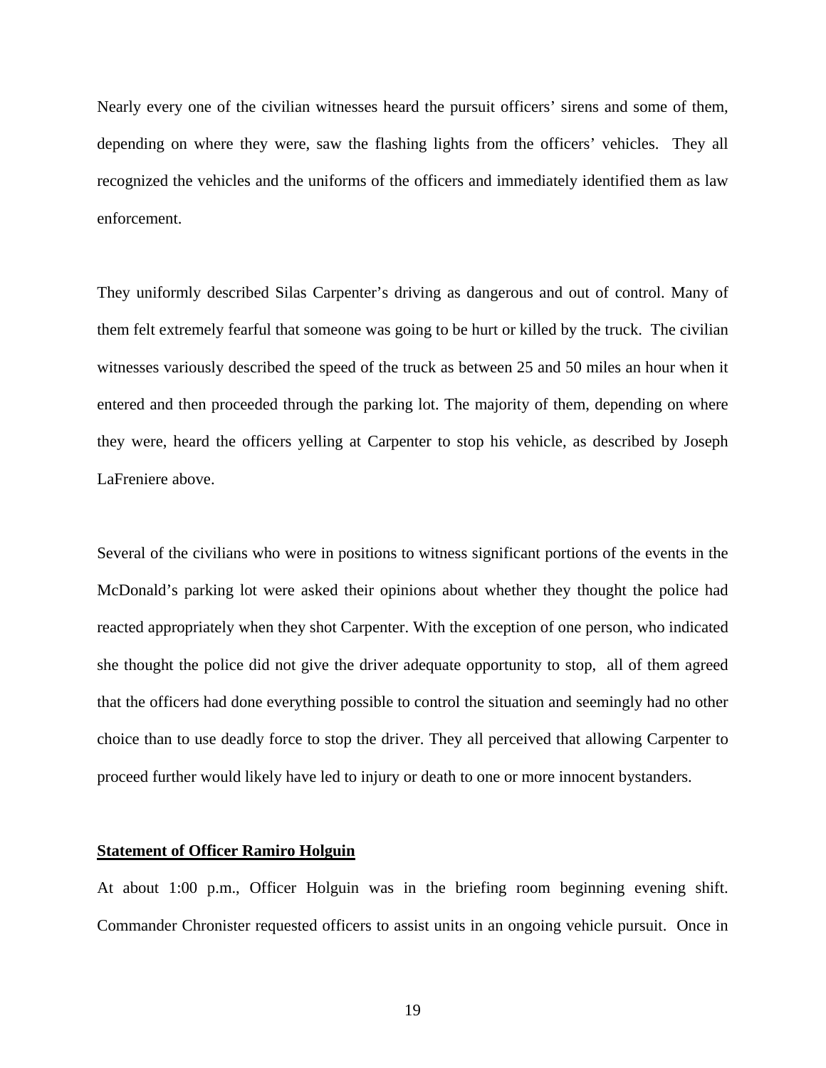Nearly every one of the civilian witnesses heard the pursuit officers' sirens and some of them, depending on where they were, saw the flashing lights from the officers' vehicles. They all recognized the vehicles and the uniforms of the officers and immediately identified them as law enforcement.

They uniformly described Silas Carpenter's driving as dangerous and out of control. Many of them felt extremely fearful that someone was going to be hurt or killed by the truck. The civilian witnesses variously described the speed of the truck as between 25 and 50 miles an hour when it entered and then proceeded through the parking lot. The majority of them, depending on where they were, heard the officers yelling at Carpenter to stop his vehicle, as described by Joseph LaFreniere above.

Several of the civilians who were in positions to witness significant portions of the events in the McDonald's parking lot were asked their opinions about whether they thought the police had reacted appropriately when they shot Carpenter. With the exception of one person, who indicated she thought the police did not give the driver adequate opportunity to stop, all of them agreed that the officers had done everything possible to control the situation and seemingly had no other choice than to use deadly force to stop the driver. They all perceived that allowing Carpenter to proceed further would likely have led to injury or death to one or more innocent bystanders.

## **Statement of Officer Ramiro Holguin**

At about 1:00 p.m., Officer Holguin was in the briefing room beginning evening shift. Commander Chronister requested officers to assist units in an ongoing vehicle pursuit. Once in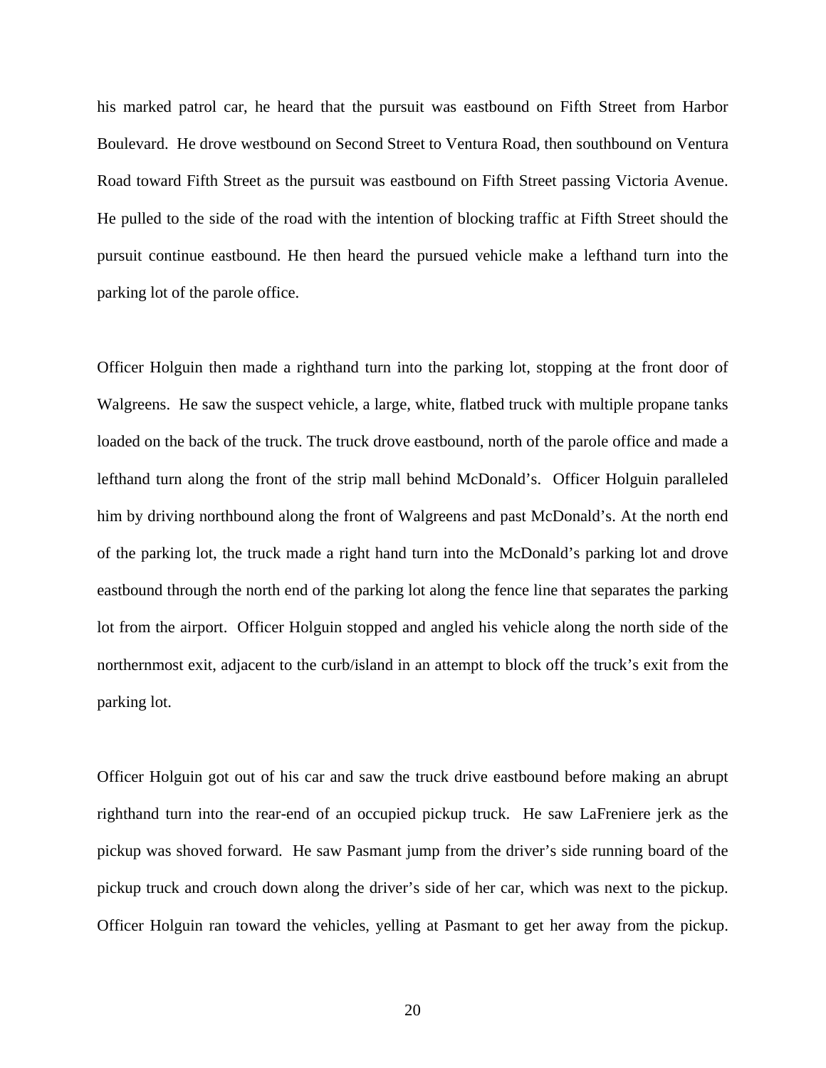his marked patrol car, he heard that the pursuit was eastbound on Fifth Street from Harbor Boulevard. He drove westbound on Second Street to Ventura Road, then southbound on Ventura Road toward Fifth Street as the pursuit was eastbound on Fifth Street passing Victoria Avenue. He pulled to the side of the road with the intention of blocking traffic at Fifth Street should the pursuit continue eastbound. He then heard the pursued vehicle make a lefthand turn into the parking lot of the parole office.

Officer Holguin then made a righthand turn into the parking lot, stopping at the front door of Walgreens. He saw the suspect vehicle, a large, white, flatbed truck with multiple propane tanks loaded on the back of the truck. The truck drove eastbound, north of the parole office and made a lefthand turn along the front of the strip mall behind McDonald's. Officer Holguin paralleled him by driving northbound along the front of Walgreens and past McDonald's. At the north end of the parking lot, the truck made a right hand turn into the McDonald's parking lot and drove eastbound through the north end of the parking lot along the fence line that separates the parking lot from the airport. Officer Holguin stopped and angled his vehicle along the north side of the northernmost exit, adjacent to the curb/island in an attempt to block off the truck's exit from the parking lot.

Officer Holguin got out of his car and saw the truck drive eastbound before making an abrupt righthand turn into the rear-end of an occupied pickup truck. He saw LaFreniere jerk as the pickup was shoved forward. He saw Pasmant jump from the driver's side running board of the pickup truck and crouch down along the driver's side of her car, which was next to the pickup. Officer Holguin ran toward the vehicles, yelling at Pasmant to get her away from the pickup.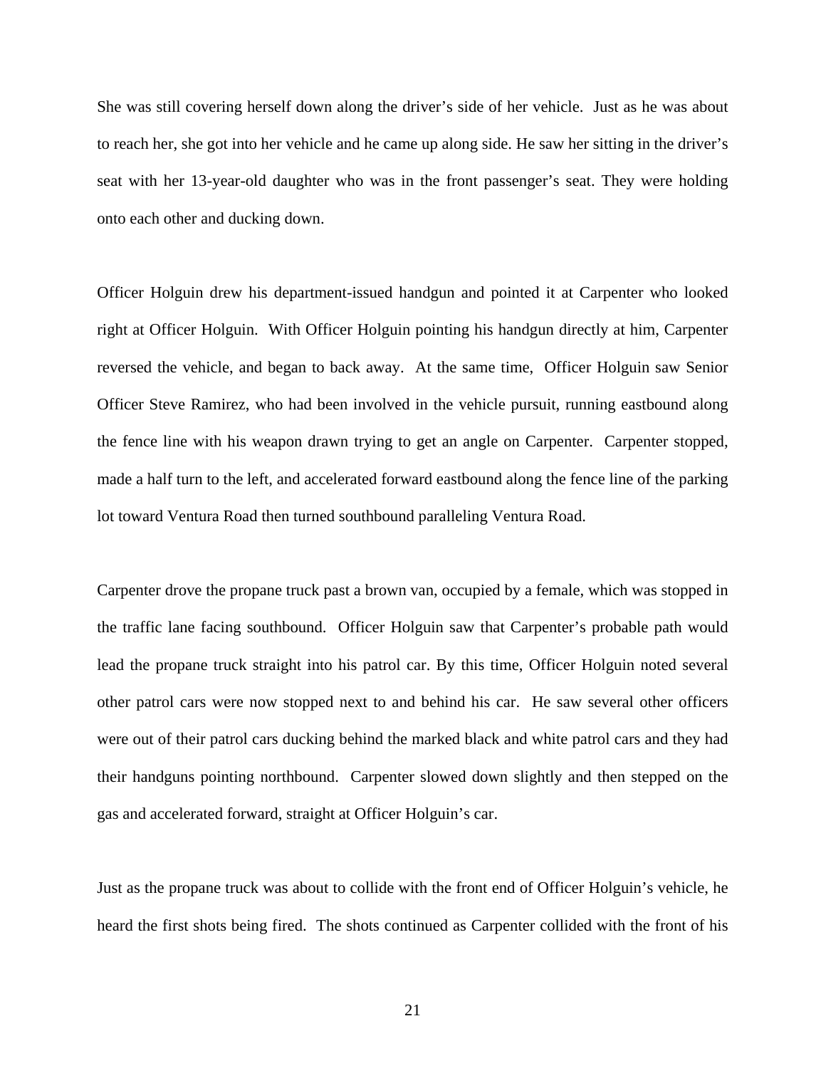She was still covering herself down along the driver's side of her vehicle. Just as he was about to reach her, she got into her vehicle and he came up along side. He saw her sitting in the driver's seat with her 13-year-old daughter who was in the front passenger's seat. They were holding onto each other and ducking down.

Officer Holguin drew his department-issued handgun and pointed it at Carpenter who looked right at Officer Holguin. With Officer Holguin pointing his handgun directly at him, Carpenter reversed the vehicle, and began to back away. At the same time, Officer Holguin saw Senior Officer Steve Ramirez, who had been involved in the vehicle pursuit, running eastbound along the fence line with his weapon drawn trying to get an angle on Carpenter. Carpenter stopped, made a half turn to the left, and accelerated forward eastbound along the fence line of the parking lot toward Ventura Road then turned southbound paralleling Ventura Road.

Carpenter drove the propane truck past a brown van, occupied by a female, which was stopped in the traffic lane facing southbound. Officer Holguin saw that Carpenter's probable path would lead the propane truck straight into his patrol car. By this time, Officer Holguin noted several other patrol cars were now stopped next to and behind his car. He saw several other officers were out of their patrol cars ducking behind the marked black and white patrol cars and they had their handguns pointing northbound. Carpenter slowed down slightly and then stepped on the gas and accelerated forward, straight at Officer Holguin's car.

Just as the propane truck was about to collide with the front end of Officer Holguin's vehicle, he heard the first shots being fired. The shots continued as Carpenter collided with the front of his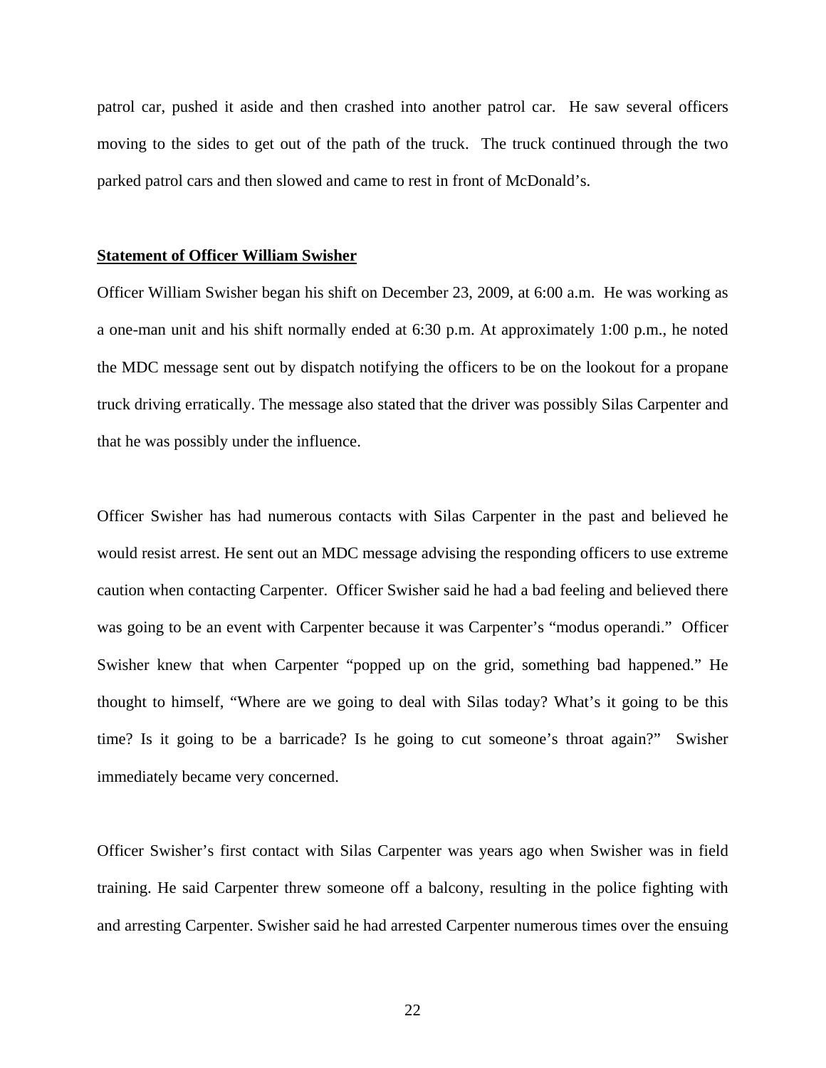patrol car, pushed it aside and then crashed into another patrol car. He saw several officers moving to the sides to get out of the path of the truck. The truck continued through the two parked patrol cars and then slowed and came to rest in front of McDonald's.

#### **Statement of Officer William Swisher**

Officer William Swisher began his shift on December 23, 2009, at 6:00 a.m. He was working as a one-man unit and his shift normally ended at 6:30 p.m. At approximately 1:00 p.m., he noted the MDC message sent out by dispatch notifying the officers to be on the lookout for a propane truck driving erratically. The message also stated that the driver was possibly Silas Carpenter and that he was possibly under the influence.

Officer Swisher has had numerous contacts with Silas Carpenter in the past and believed he would resist arrest. He sent out an MDC message advising the responding officers to use extreme caution when contacting Carpenter. Officer Swisher said he had a bad feeling and believed there was going to be an event with Carpenter because it was Carpenter's "modus operandi." Officer Swisher knew that when Carpenter "popped up on the grid, something bad happened." He thought to himself, "Where are we going to deal with Silas today? What's it going to be this time? Is it going to be a barricade? Is he going to cut someone's throat again?" Swisher immediately became very concerned.

Officer Swisher's first contact with Silas Carpenter was years ago when Swisher was in field training. He said Carpenter threw someone off a balcony, resulting in the police fighting with and arresting Carpenter. Swisher said he had arrested Carpenter numerous times over the ensuing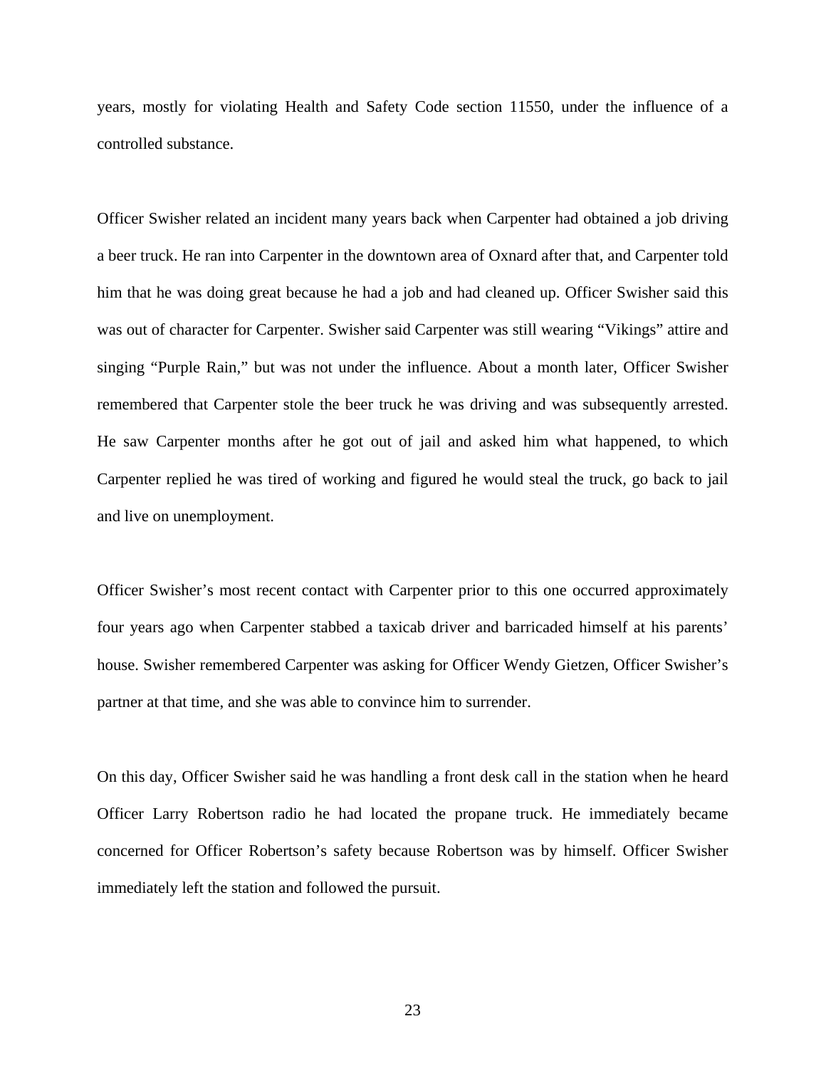years, mostly for violating Health and Safety Code section 11550, under the influence of a controlled substance.

Officer Swisher related an incident many years back when Carpenter had obtained a job driving a beer truck. He ran into Carpenter in the downtown area of Oxnard after that, and Carpenter told him that he was doing great because he had a job and had cleaned up. Officer Swisher said this was out of character for Carpenter. Swisher said Carpenter was still wearing "Vikings" attire and singing "Purple Rain," but was not under the influence. About a month later, Officer Swisher remembered that Carpenter stole the beer truck he was driving and was subsequently arrested. He saw Carpenter months after he got out of jail and asked him what happened, to which Carpenter replied he was tired of working and figured he would steal the truck, go back to jail and live on unemployment.

Officer Swisher's most recent contact with Carpenter prior to this one occurred approximately four years ago when Carpenter stabbed a taxicab driver and barricaded himself at his parents' house. Swisher remembered Carpenter was asking for Officer Wendy Gietzen, Officer Swisher's partner at that time, and she was able to convince him to surrender.

On this day, Officer Swisher said he was handling a front desk call in the station when he heard Officer Larry Robertson radio he had located the propane truck. He immediately became concerned for Officer Robertson's safety because Robertson was by himself. Officer Swisher immediately left the station and followed the pursuit.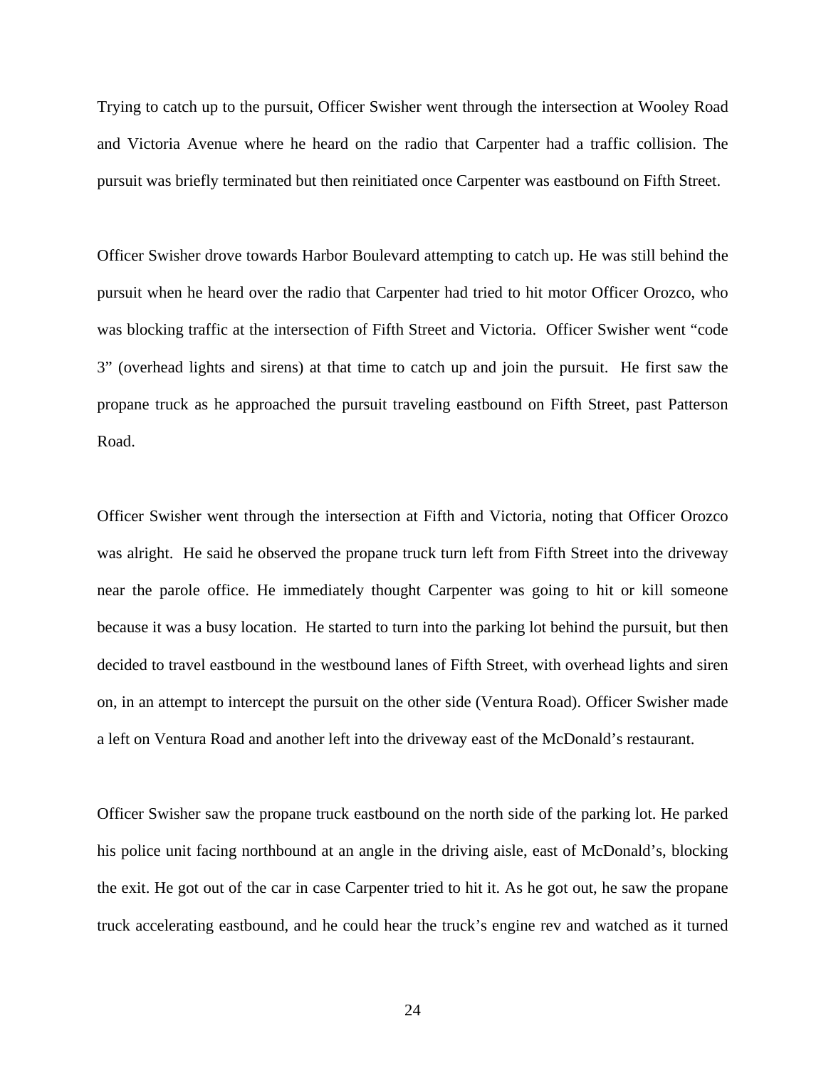Trying to catch up to the pursuit, Officer Swisher went through the intersection at Wooley Road and Victoria Avenue where he heard on the radio that Carpenter had a traffic collision. The pursuit was briefly terminated but then reinitiated once Carpenter was eastbound on Fifth Street.

Officer Swisher drove towards Harbor Boulevard attempting to catch up. He was still behind the pursuit when he heard over the radio that Carpenter had tried to hit motor Officer Orozco, who was blocking traffic at the intersection of Fifth Street and Victoria. Officer Swisher went "code 3" (overhead lights and sirens) at that time to catch up and join the pursuit. He first saw the propane truck as he approached the pursuit traveling eastbound on Fifth Street, past Patterson Road.

Officer Swisher went through the intersection at Fifth and Victoria, noting that Officer Orozco was alright. He said he observed the propane truck turn left from Fifth Street into the driveway near the parole office. He immediately thought Carpenter was going to hit or kill someone because it was a busy location. He started to turn into the parking lot behind the pursuit, but then decided to travel eastbound in the westbound lanes of Fifth Street, with overhead lights and siren on, in an attempt to intercept the pursuit on the other side (Ventura Road). Officer Swisher made a left on Ventura Road and another left into the driveway east of the McDonald's restaurant.

Officer Swisher saw the propane truck eastbound on the north side of the parking lot. He parked his police unit facing northbound at an angle in the driving aisle, east of McDonald's, blocking the exit. He got out of the car in case Carpenter tried to hit it. As he got out, he saw the propane truck accelerating eastbound, and he could hear the truck's engine rev and watched as it turned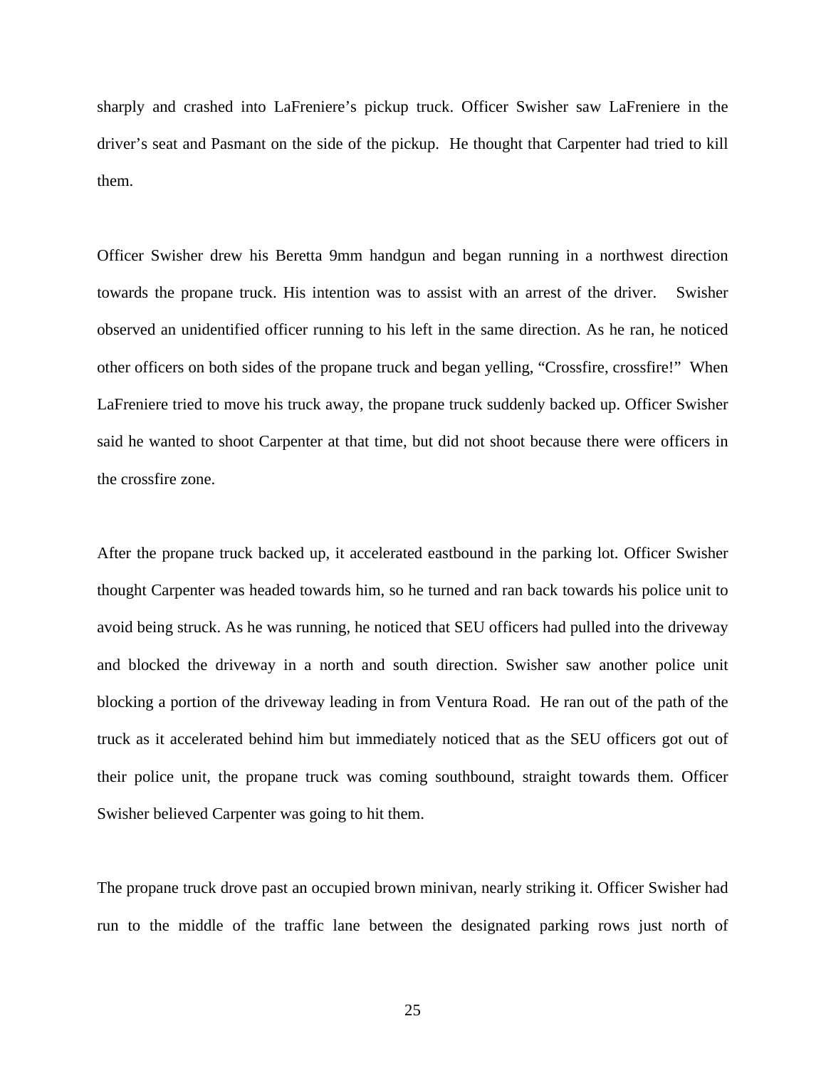sharply and crashed into LaFreniere's pickup truck. Officer Swisher saw LaFreniere in the driver's seat and Pasmant on the side of the pickup. He thought that Carpenter had tried to kill them.

Officer Swisher drew his Beretta 9mm handgun and began running in a northwest direction towards the propane truck. His intention was to assist with an arrest of the driver. Swisher observed an unidentified officer running to his left in the same direction. As he ran, he noticed other officers on both sides of the propane truck and began yelling, "Crossfire, crossfire!" When LaFreniere tried to move his truck away, the propane truck suddenly backed up. Officer Swisher said he wanted to shoot Carpenter at that time, but did not shoot because there were officers in the crossfire zone.

After the propane truck backed up, it accelerated eastbound in the parking lot. Officer Swisher thought Carpenter was headed towards him, so he turned and ran back towards his police unit to avoid being struck. As he was running, he noticed that SEU officers had pulled into the driveway and blocked the driveway in a north and south direction. Swisher saw another police unit blocking a portion of the driveway leading in from Ventura Road. He ran out of the path of the truck as it accelerated behind him but immediately noticed that as the SEU officers got out of their police unit, the propane truck was coming southbound, straight towards them. Officer Swisher believed Carpenter was going to hit them.

The propane truck drove past an occupied brown minivan, nearly striking it. Officer Swisher had run to the middle of the traffic lane between the designated parking rows just north of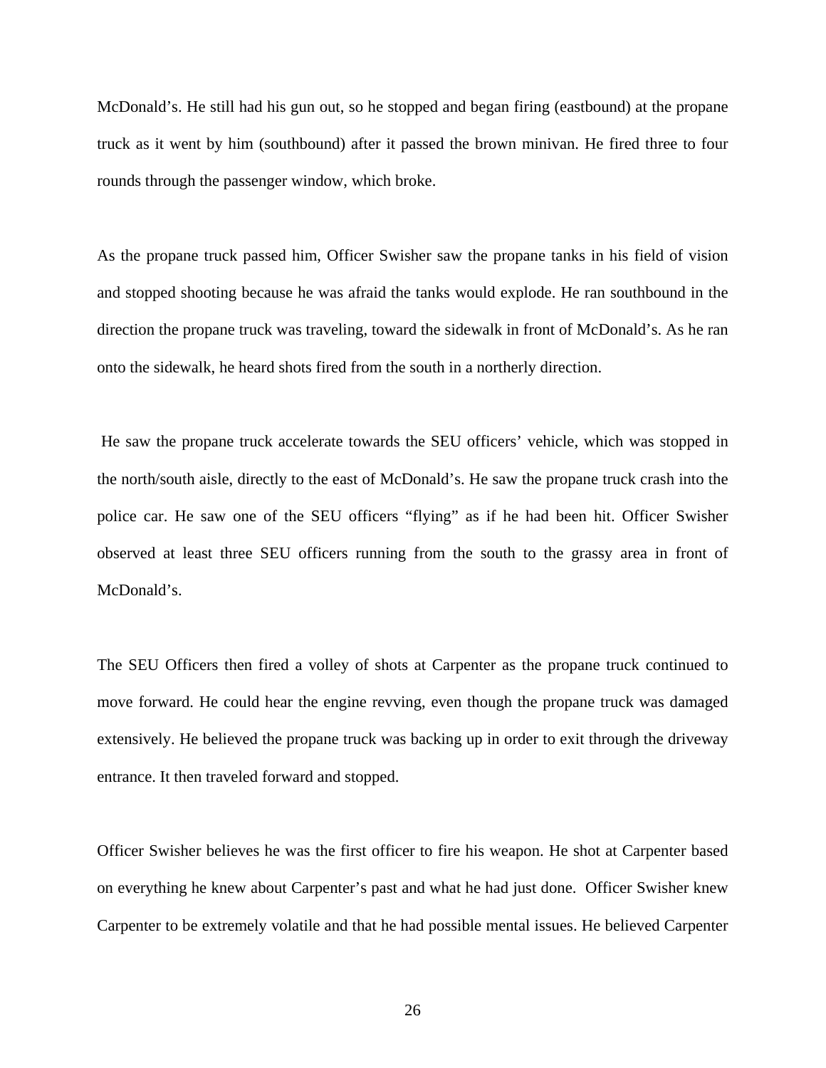McDonald's. He still had his gun out, so he stopped and began firing (eastbound) at the propane truck as it went by him (southbound) after it passed the brown minivan. He fired three to four rounds through the passenger window, which broke.

As the propane truck passed him, Officer Swisher saw the propane tanks in his field of vision and stopped shooting because he was afraid the tanks would explode. He ran southbound in the direction the propane truck was traveling, toward the sidewalk in front of McDonald's. As he ran onto the sidewalk, he heard shots fired from the south in a northerly direction.

 He saw the propane truck accelerate towards the SEU officers' vehicle, which was stopped in the north/south aisle, directly to the east of McDonald's. He saw the propane truck crash into the police car. He saw one of the SEU officers "flying" as if he had been hit. Officer Swisher observed at least three SEU officers running from the south to the grassy area in front of McDonald's.

The SEU Officers then fired a volley of shots at Carpenter as the propane truck continued to move forward. He could hear the engine revving, even though the propane truck was damaged extensively. He believed the propane truck was backing up in order to exit through the driveway entrance. It then traveled forward and stopped.

Officer Swisher believes he was the first officer to fire his weapon. He shot at Carpenter based on everything he knew about Carpenter's past and what he had just done. Officer Swisher knew Carpenter to be extremely volatile and that he had possible mental issues. He believed Carpenter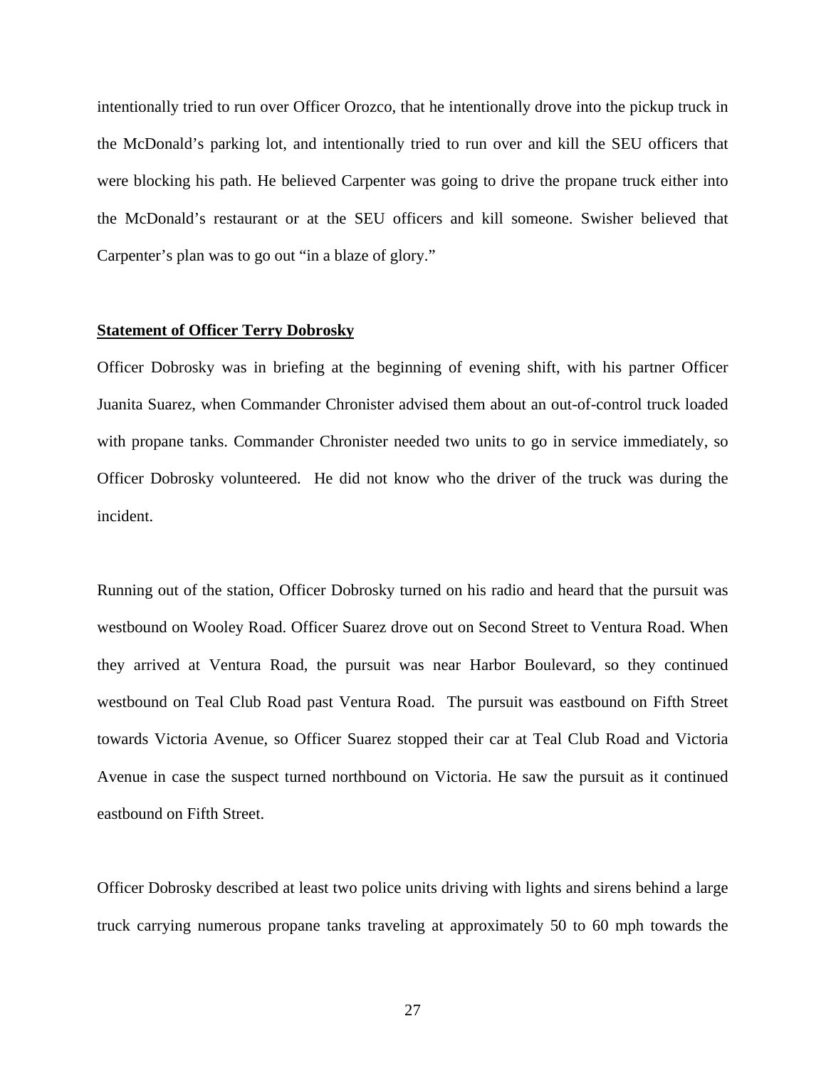intentionally tried to run over Officer Orozco, that he intentionally drove into the pickup truck in the McDonald's parking lot, and intentionally tried to run over and kill the SEU officers that were blocking his path. He believed Carpenter was going to drive the propane truck either into the McDonald's restaurant or at the SEU officers and kill someone. Swisher believed that Carpenter's plan was to go out "in a blaze of glory."

### **Statement of Officer Terry Dobrosky**

Officer Dobrosky was in briefing at the beginning of evening shift, with his partner Officer Juanita Suarez, when Commander Chronister advised them about an out-of-control truck loaded with propane tanks. Commander Chronister needed two units to go in service immediately, so Officer Dobrosky volunteered. He did not know who the driver of the truck was during the incident.

Running out of the station, Officer Dobrosky turned on his radio and heard that the pursuit was westbound on Wooley Road. Officer Suarez drove out on Second Street to Ventura Road. When they arrived at Ventura Road, the pursuit was near Harbor Boulevard, so they continued westbound on Teal Club Road past Ventura Road. The pursuit was eastbound on Fifth Street towards Victoria Avenue, so Officer Suarez stopped their car at Teal Club Road and Victoria Avenue in case the suspect turned northbound on Victoria. He saw the pursuit as it continued eastbound on Fifth Street.

Officer Dobrosky described at least two police units driving with lights and sirens behind a large truck carrying numerous propane tanks traveling at approximately 50 to 60 mph towards the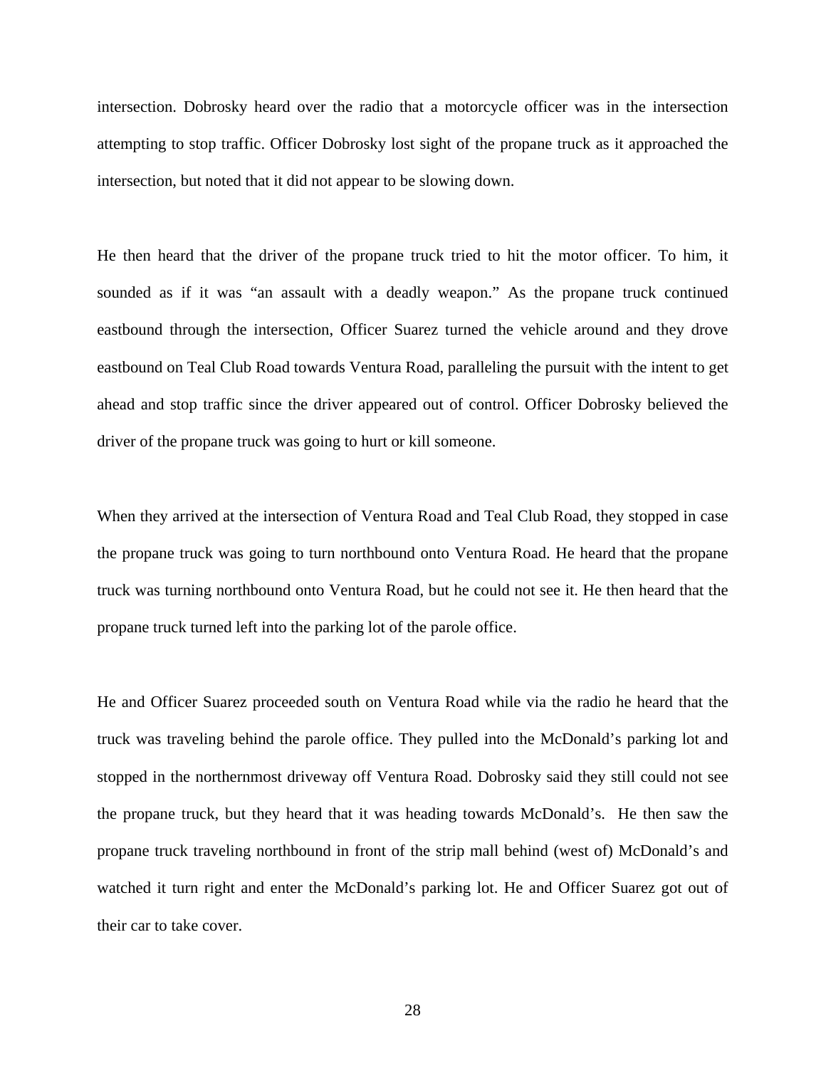intersection. Dobrosky heard over the radio that a motorcycle officer was in the intersection attempting to stop traffic. Officer Dobrosky lost sight of the propane truck as it approached the intersection, but noted that it did not appear to be slowing down.

He then heard that the driver of the propane truck tried to hit the motor officer. To him, it sounded as if it was "an assault with a deadly weapon." As the propane truck continued eastbound through the intersection, Officer Suarez turned the vehicle around and they drove eastbound on Teal Club Road towards Ventura Road, paralleling the pursuit with the intent to get ahead and stop traffic since the driver appeared out of control. Officer Dobrosky believed the driver of the propane truck was going to hurt or kill someone.

When they arrived at the intersection of Ventura Road and Teal Club Road, they stopped in case the propane truck was going to turn northbound onto Ventura Road. He heard that the propane truck was turning northbound onto Ventura Road, but he could not see it. He then heard that the propane truck turned left into the parking lot of the parole office.

He and Officer Suarez proceeded south on Ventura Road while via the radio he heard that the truck was traveling behind the parole office. They pulled into the McDonald's parking lot and stopped in the northernmost driveway off Ventura Road. Dobrosky said they still could not see the propane truck, but they heard that it was heading towards McDonald's. He then saw the propane truck traveling northbound in front of the strip mall behind (west of) McDonald's and watched it turn right and enter the McDonald's parking lot. He and Officer Suarez got out of their car to take cover.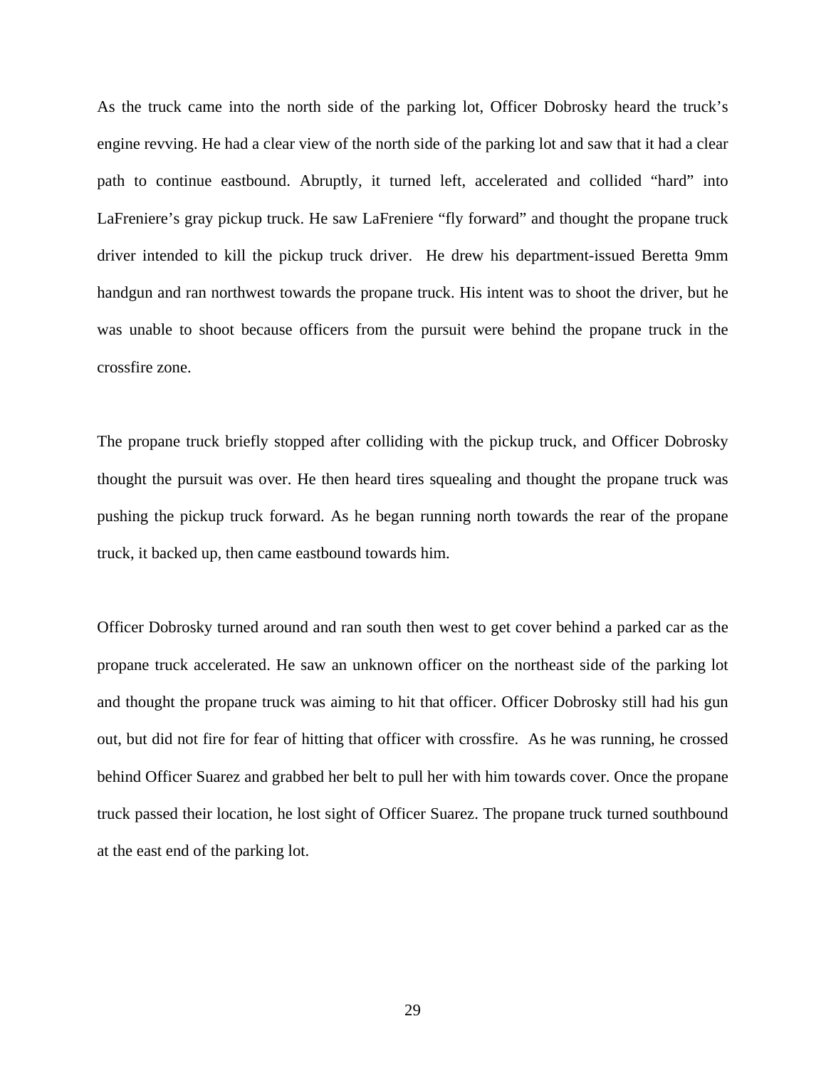As the truck came into the north side of the parking lot, Officer Dobrosky heard the truck's engine revving. He had a clear view of the north side of the parking lot and saw that it had a clear path to continue eastbound. Abruptly, it turned left, accelerated and collided "hard" into LaFreniere's gray pickup truck. He saw LaFreniere "fly forward" and thought the propane truck driver intended to kill the pickup truck driver. He drew his department-issued Beretta 9mm handgun and ran northwest towards the propane truck. His intent was to shoot the driver, but he was unable to shoot because officers from the pursuit were behind the propane truck in the crossfire zone.

The propane truck briefly stopped after colliding with the pickup truck, and Officer Dobrosky thought the pursuit was over. He then heard tires squealing and thought the propane truck was pushing the pickup truck forward. As he began running north towards the rear of the propane truck, it backed up, then came eastbound towards him.

Officer Dobrosky turned around and ran south then west to get cover behind a parked car as the propane truck accelerated. He saw an unknown officer on the northeast side of the parking lot and thought the propane truck was aiming to hit that officer. Officer Dobrosky still had his gun out, but did not fire for fear of hitting that officer with crossfire. As he was running, he crossed behind Officer Suarez and grabbed her belt to pull her with him towards cover. Once the propane truck passed their location, he lost sight of Officer Suarez. The propane truck turned southbound at the east end of the parking lot.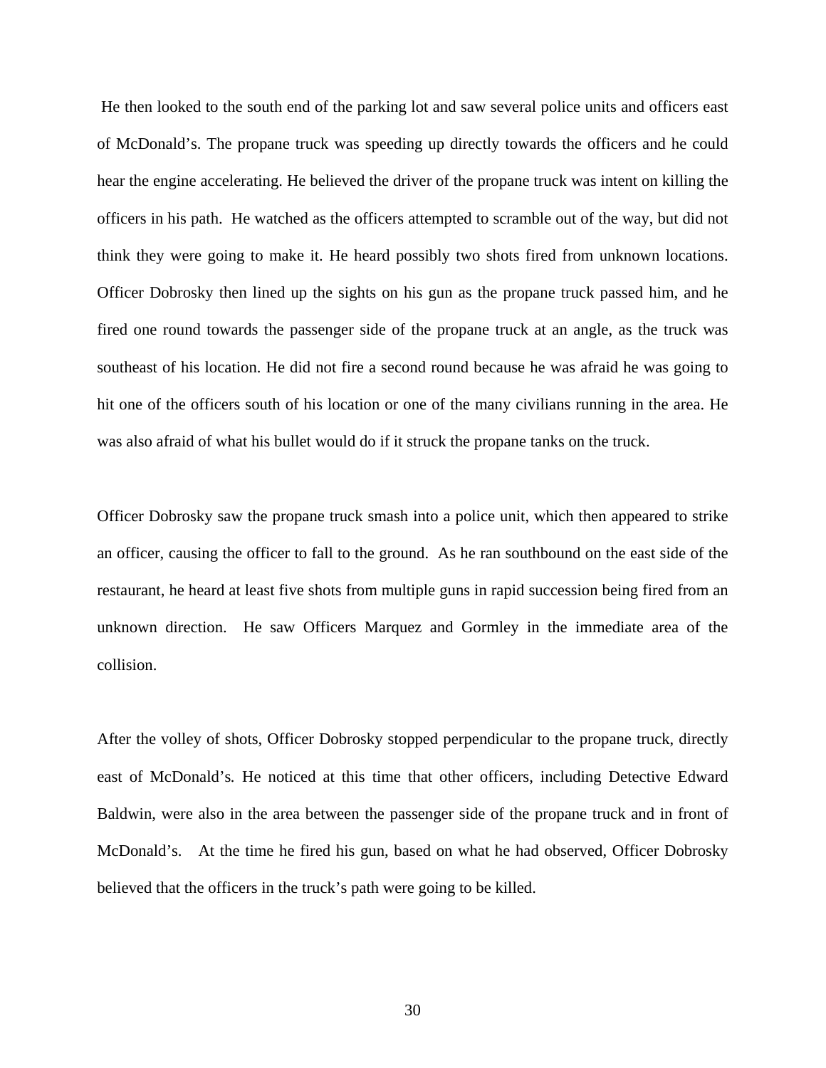He then looked to the south end of the parking lot and saw several police units and officers east of McDonald's. The propane truck was speeding up directly towards the officers and he could hear the engine accelerating. He believed the driver of the propane truck was intent on killing the officers in his path. He watched as the officers attempted to scramble out of the way, but did not think they were going to make it. He heard possibly two shots fired from unknown locations. Officer Dobrosky then lined up the sights on his gun as the propane truck passed him, and he fired one round towards the passenger side of the propane truck at an angle, as the truck was southeast of his location. He did not fire a second round because he was afraid he was going to hit one of the officers south of his location or one of the many civilians running in the area. He was also afraid of what his bullet would do if it struck the propane tanks on the truck.

Officer Dobrosky saw the propane truck smash into a police unit, which then appeared to strike an officer, causing the officer to fall to the ground. As he ran southbound on the east side of the restaurant, he heard at least five shots from multiple guns in rapid succession being fired from an unknown direction. He saw Officers Marquez and Gormley in the immediate area of the collision.

After the volley of shots, Officer Dobrosky stopped perpendicular to the propane truck, directly east of McDonald's*.* He noticed at this time that other officers, including Detective Edward Baldwin, were also in the area between the passenger side of the propane truck and in front of McDonald's. At the time he fired his gun, based on what he had observed, Officer Dobrosky believed that the officers in the truck's path were going to be killed.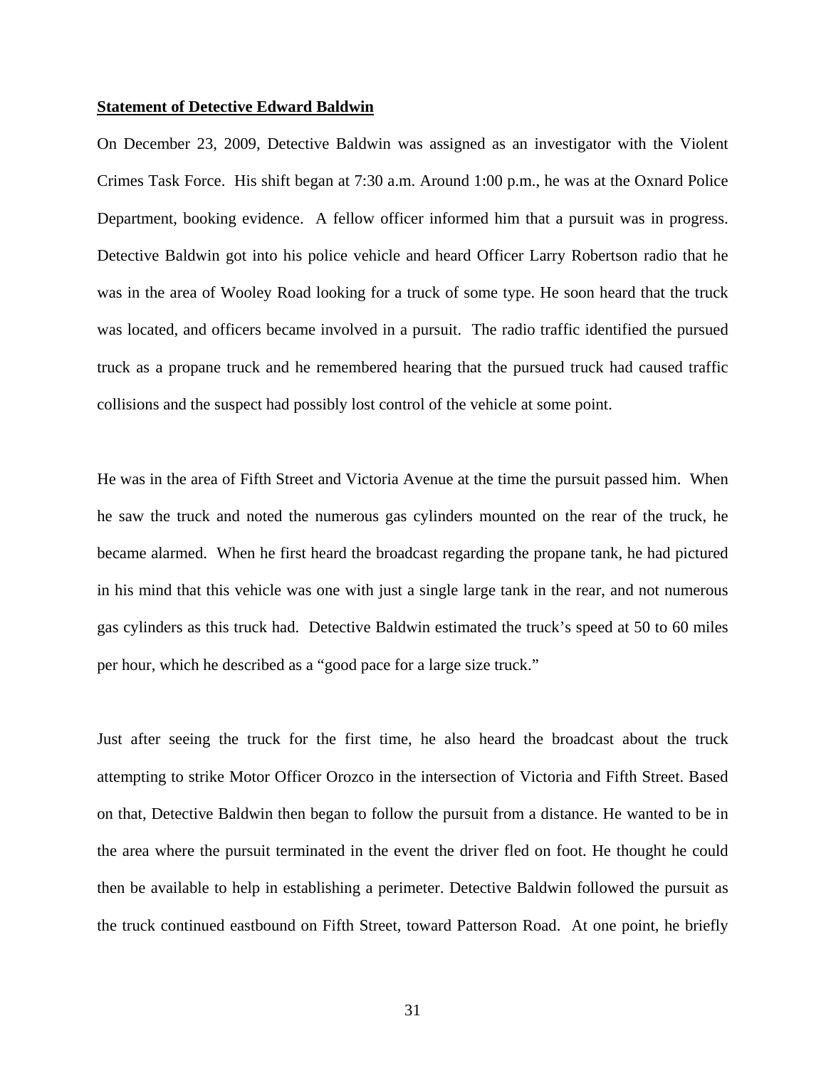#### **Statement of Detective Edward Baldwin**

On December 23, 2009, Detective Baldwin was assigned as an investigator with the Violent Crimes Task Force. His shift began at 7:30 a.m. Around 1:00 p.m., he was at the Oxnard Police Department, booking evidence. A fellow officer informed him that a pursuit was in progress. Detective Baldwin got into his police vehicle and heard Officer Larry Robertson radio that he was in the area of Wooley Road looking for a truck of some type. He soon heard that the truck was located, and officers became involved in a pursuit. The radio traffic identified the pursued truck as a propane truck and he remembered hearing that the pursued truck had caused traffic collisions and the suspect had possibly lost control of the vehicle at some point.

He was in the area of Fifth Street and Victoria Avenue at the time the pursuit passed him. When he saw the truck and noted the numerous gas cylinders mounted on the rear of the truck, he became alarmed. When he first heard the broadcast regarding the propane tank, he had pictured in his mind that this vehicle was one with just a single large tank in the rear, and not numerous gas cylinders as this truck had. Detective Baldwin estimated the truck's speed at 50 to 60 miles per hour, which he described as a "good pace for a large size truck."

Just after seeing the truck for the first time, he also heard the broadcast about the truck attempting to strike Motor Officer Orozco in the intersection of Victoria and Fifth Street. Based on that, Detective Baldwin then began to follow the pursuit from a distance. He wanted to be in the area where the pursuit terminated in the event the driver fled on foot. He thought he could then be available to help in establishing a perimeter. Detective Baldwin followed the pursuit as the truck continued eastbound on Fifth Street, toward Patterson Road. At one point, he briefly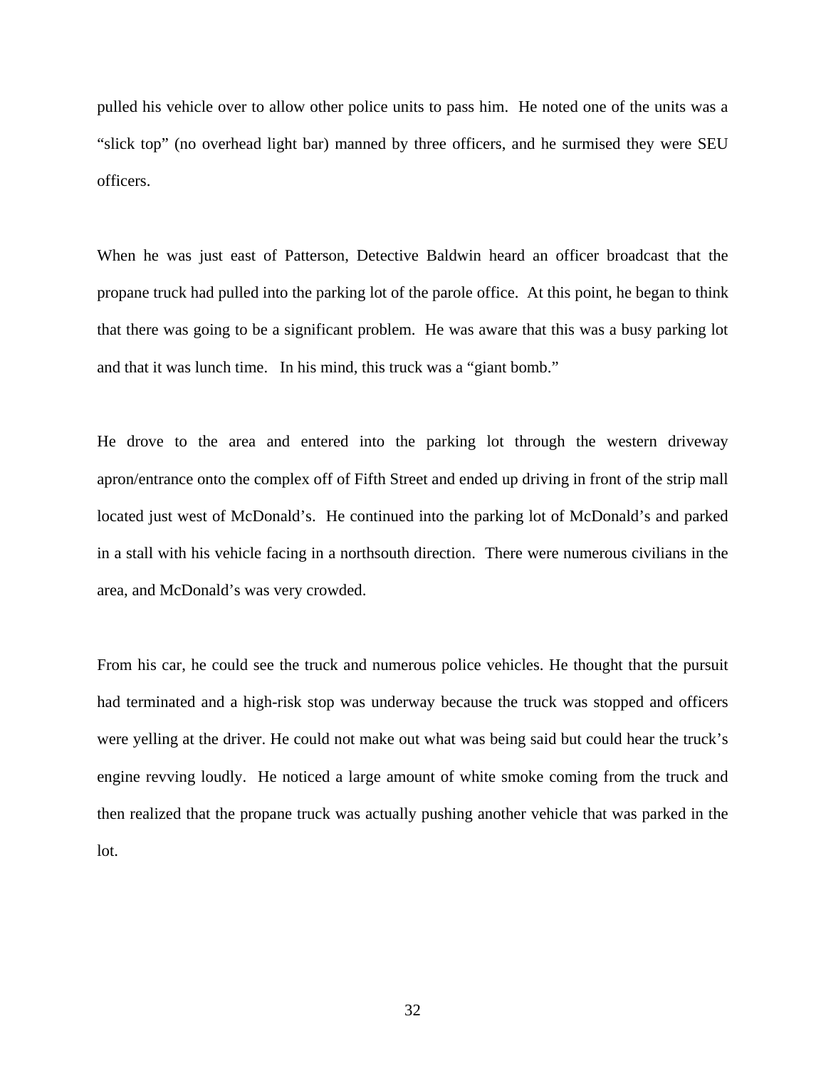pulled his vehicle over to allow other police units to pass him. He noted one of the units was a "slick top" (no overhead light bar) manned by three officers, and he surmised they were SEU officers.

When he was just east of Patterson, Detective Baldwin heard an officer broadcast that the propane truck had pulled into the parking lot of the parole office. At this point, he began to think that there was going to be a significant problem. He was aware that this was a busy parking lot and that it was lunch time. In his mind, this truck was a "giant bomb."

He drove to the area and entered into the parking lot through the western driveway apron/entrance onto the complex off of Fifth Street and ended up driving in front of the strip mall located just west of McDonald's. He continued into the parking lot of McDonald's and parked in a stall with his vehicle facing in a northsouth direction. There were numerous civilians in the area, and McDonald's was very crowded.

From his car, he could see the truck and numerous police vehicles. He thought that the pursuit had terminated and a high-risk stop was underway because the truck was stopped and officers were yelling at the driver. He could not make out what was being said but could hear the truck's engine revving loudly. He noticed a large amount of white smoke coming from the truck and then realized that the propane truck was actually pushing another vehicle that was parked in the lot.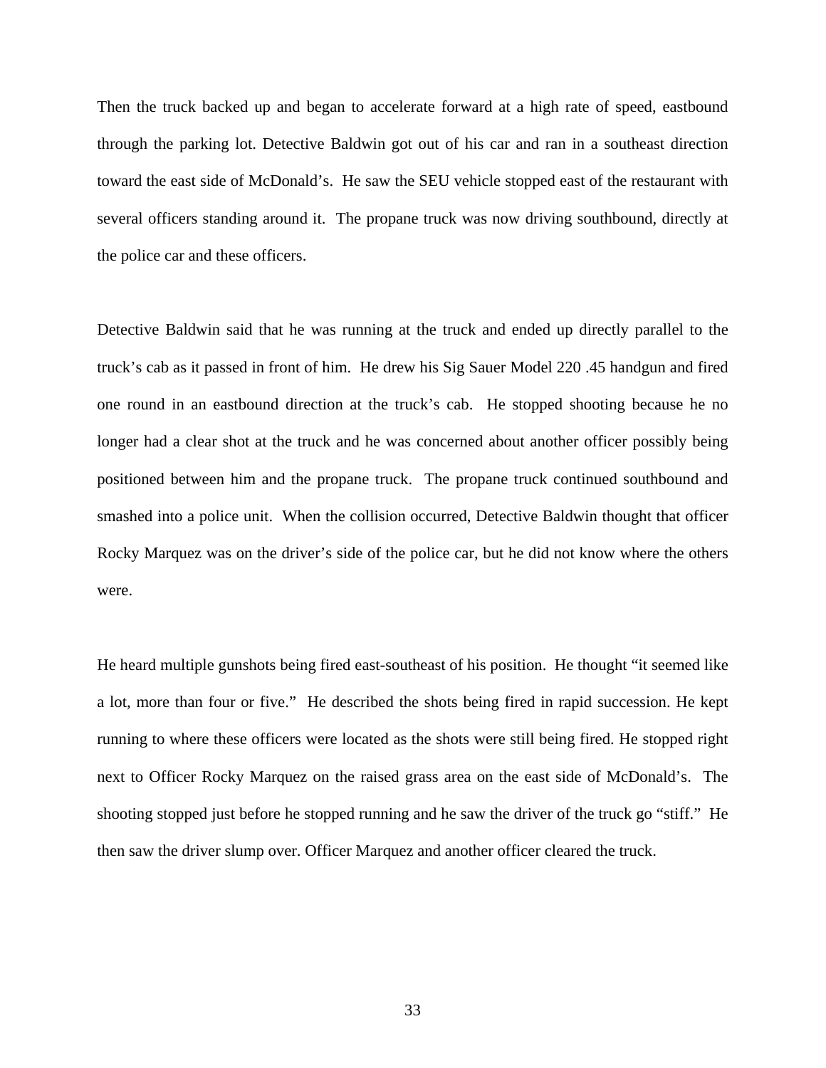Then the truck backed up and began to accelerate forward at a high rate of speed, eastbound through the parking lot. Detective Baldwin got out of his car and ran in a southeast direction toward the east side of McDonald's. He saw the SEU vehicle stopped east of the restaurant with several officers standing around it. The propane truck was now driving southbound, directly at the police car and these officers.

Detective Baldwin said that he was running at the truck and ended up directly parallel to the truck's cab as it passed in front of him. He drew his Sig Sauer Model 220 .45 handgun and fired one round in an eastbound direction at the truck's cab. He stopped shooting because he no longer had a clear shot at the truck and he was concerned about another officer possibly being positioned between him and the propane truck. The propane truck continued southbound and smashed into a police unit. When the collision occurred, Detective Baldwin thought that officer Rocky Marquez was on the driver's side of the police car, but he did not know where the others were.

He heard multiple gunshots being fired east-southeast of his position. He thought "it seemed like a lot, more than four or five." He described the shots being fired in rapid succession. He kept running to where these officers were located as the shots were still being fired. He stopped right next to Officer Rocky Marquez on the raised grass area on the east side of McDonald's. The shooting stopped just before he stopped running and he saw the driver of the truck go "stiff." He then saw the driver slump over. Officer Marquez and another officer cleared the truck.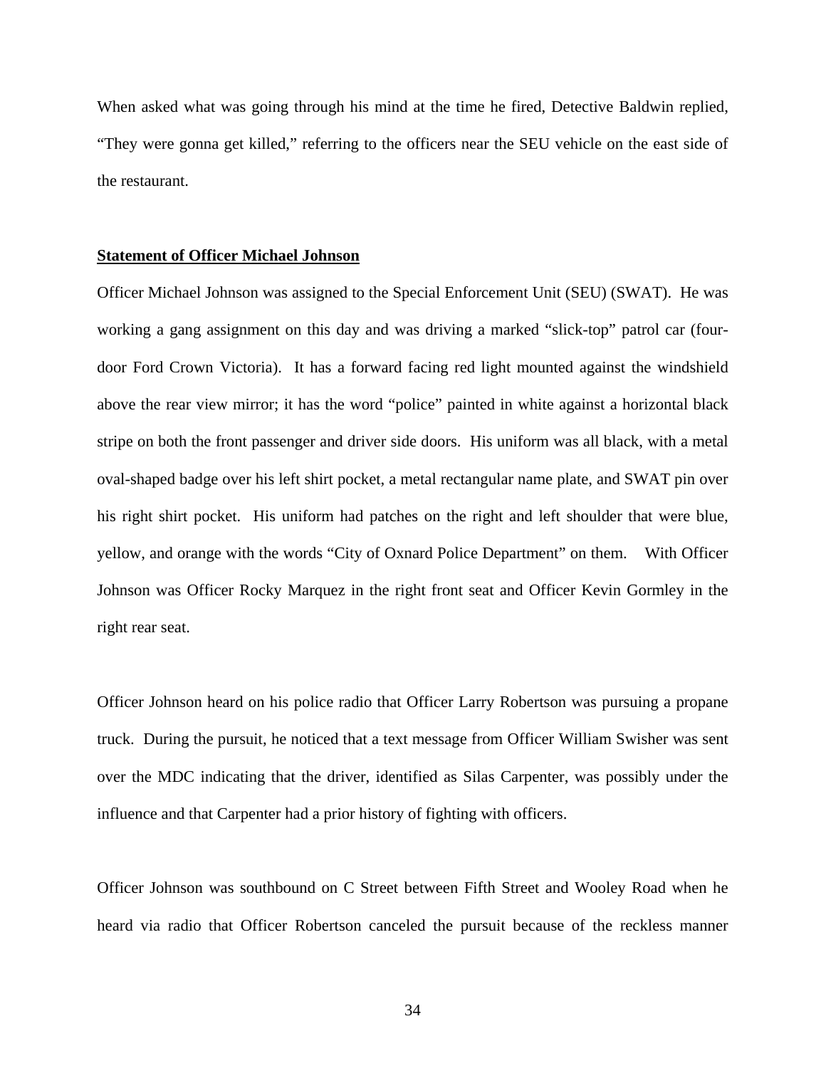When asked what was going through his mind at the time he fired, Detective Baldwin replied, "They were gonna get killed," referring to the officers near the SEU vehicle on the east side of the restaurant.

#### **Statement of Officer Michael Johnson**

Officer Michael Johnson was assigned to the Special Enforcement Unit (SEU) (SWAT). He was working a gang assignment on this day and was driving a marked "slick-top" patrol car (fourdoor Ford Crown Victoria). It has a forward facing red light mounted against the windshield above the rear view mirror; it has the word "police" painted in white against a horizontal black stripe on both the front passenger and driver side doors. His uniform was all black, with a metal oval-shaped badge over his left shirt pocket, a metal rectangular name plate, and SWAT pin over his right shirt pocket. His uniform had patches on the right and left shoulder that were blue, yellow, and orange with the words "City of Oxnard Police Department" on them. With Officer Johnson was Officer Rocky Marquez in the right front seat and Officer Kevin Gormley in the right rear seat.

Officer Johnson heard on his police radio that Officer Larry Robertson was pursuing a propane truck. During the pursuit, he noticed that a text message from Officer William Swisher was sent over the MDC indicating that the driver, identified as Silas Carpenter, was possibly under the influence and that Carpenter had a prior history of fighting with officers.

Officer Johnson was southbound on C Street between Fifth Street and Wooley Road when he heard via radio that Officer Robertson canceled the pursuit because of the reckless manner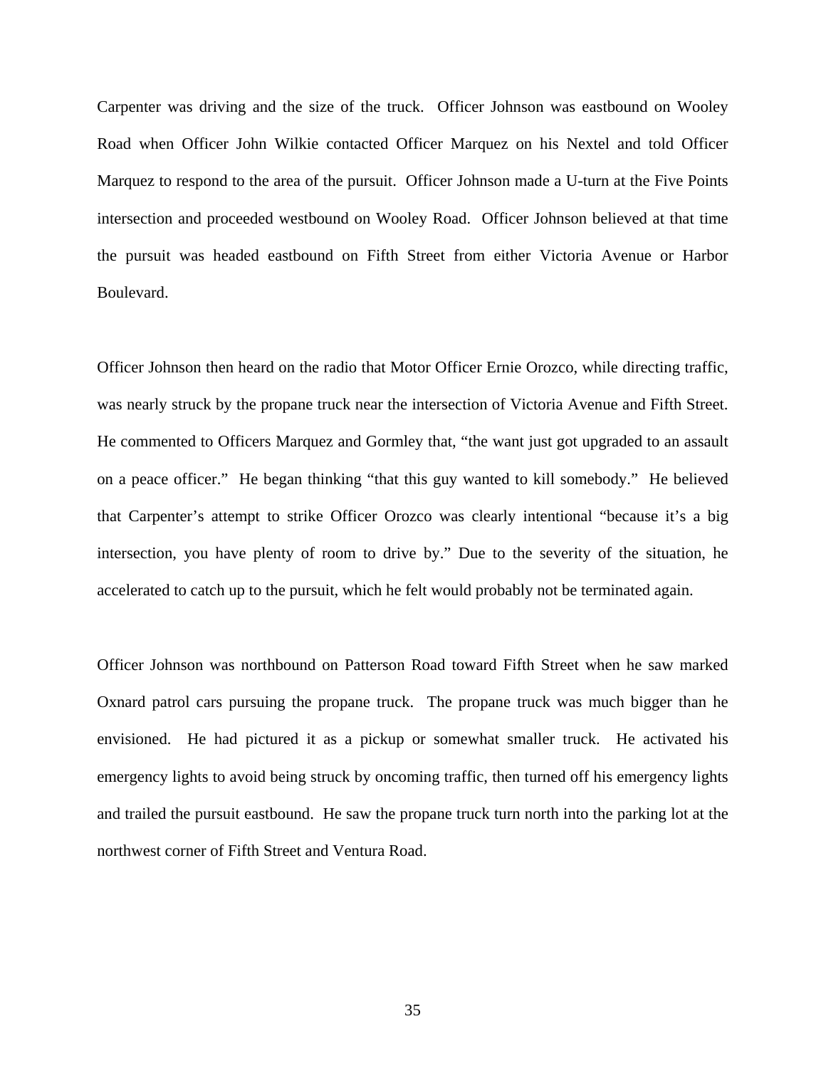Carpenter was driving and the size of the truck. Officer Johnson was eastbound on Wooley Road when Officer John Wilkie contacted Officer Marquez on his Nextel and told Officer Marquez to respond to the area of the pursuit. Officer Johnson made a U-turn at the Five Points intersection and proceeded westbound on Wooley Road. Officer Johnson believed at that time the pursuit was headed eastbound on Fifth Street from either Victoria Avenue or Harbor Boulevard.

Officer Johnson then heard on the radio that Motor Officer Ernie Orozco, while directing traffic, was nearly struck by the propane truck near the intersection of Victoria Avenue and Fifth Street. He commented to Officers Marquez and Gormley that, "the want just got upgraded to an assault on a peace officer." He began thinking "that this guy wanted to kill somebody." He believed that Carpenter's attempt to strike Officer Orozco was clearly intentional "because it's a big intersection, you have plenty of room to drive by." Due to the severity of the situation, he accelerated to catch up to the pursuit, which he felt would probably not be terminated again.

Officer Johnson was northbound on Patterson Road toward Fifth Street when he saw marked Oxnard patrol cars pursuing the propane truck. The propane truck was much bigger than he envisioned. He had pictured it as a pickup or somewhat smaller truck. He activated his emergency lights to avoid being struck by oncoming traffic, then turned off his emergency lights and trailed the pursuit eastbound. He saw the propane truck turn north into the parking lot at the northwest corner of Fifth Street and Ventura Road.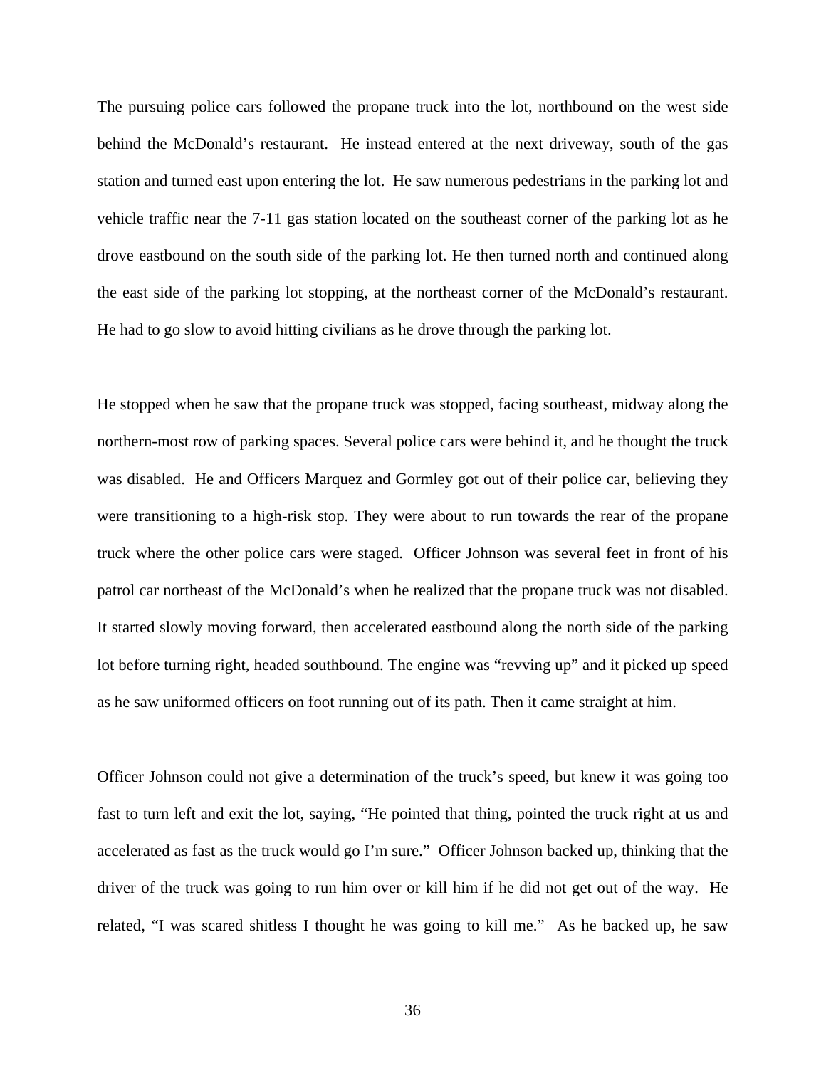The pursuing police cars followed the propane truck into the lot, northbound on the west side behind the McDonald's restaurant. He instead entered at the next driveway, south of the gas station and turned east upon entering the lot. He saw numerous pedestrians in the parking lot and vehicle traffic near the 7-11 gas station located on the southeast corner of the parking lot as he drove eastbound on the south side of the parking lot. He then turned north and continued along the east side of the parking lot stopping, at the northeast corner of the McDonald's restaurant. He had to go slow to avoid hitting civilians as he drove through the parking lot.

He stopped when he saw that the propane truck was stopped, facing southeast, midway along the northern-most row of parking spaces. Several police cars were behind it, and he thought the truck was disabled. He and Officers Marquez and Gormley got out of their police car, believing they were transitioning to a high-risk stop. They were about to run towards the rear of the propane truck where the other police cars were staged. Officer Johnson was several feet in front of his patrol car northeast of the McDonald's when he realized that the propane truck was not disabled. It started slowly moving forward, then accelerated eastbound along the north side of the parking lot before turning right, headed southbound. The engine was "revving up" and it picked up speed as he saw uniformed officers on foot running out of its path. Then it came straight at him.

Officer Johnson could not give a determination of the truck's speed, but knew it was going too fast to turn left and exit the lot, saying, "He pointed that thing, pointed the truck right at us and accelerated as fast as the truck would go I'm sure." Officer Johnson backed up, thinking that the driver of the truck was going to run him over or kill him if he did not get out of the way. He related, "I was scared shitless I thought he was going to kill me." As he backed up, he saw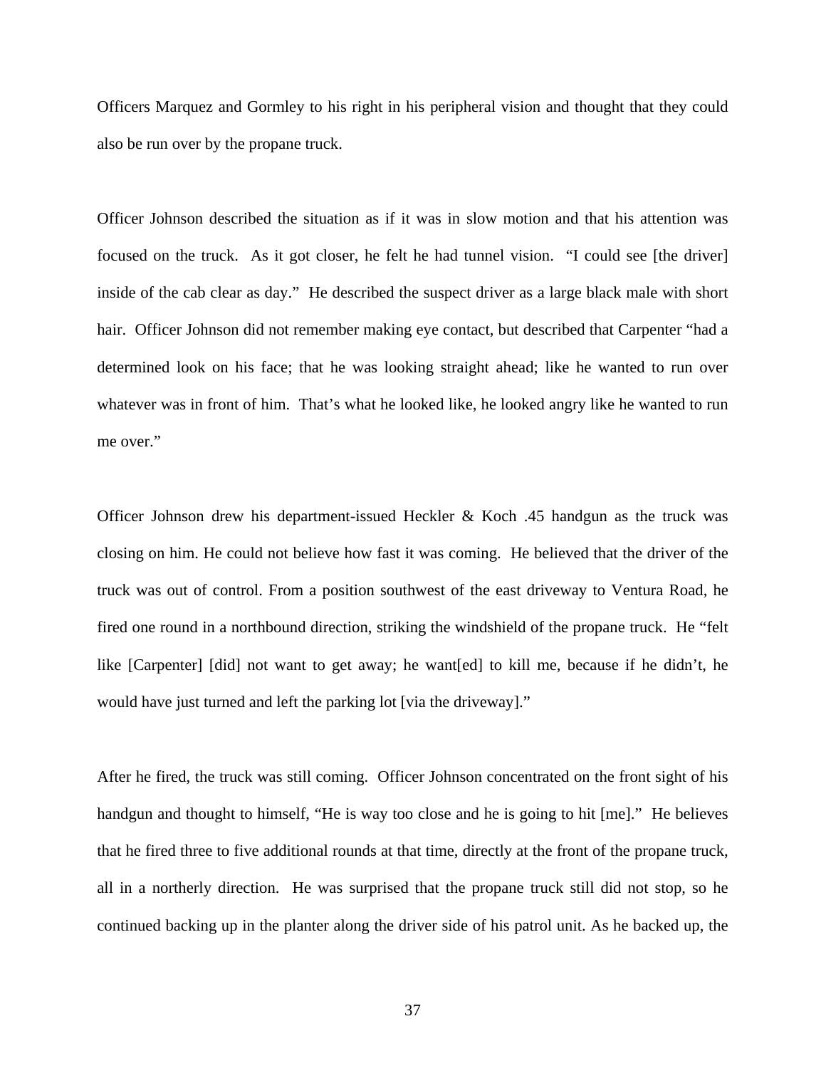Officers Marquez and Gormley to his right in his peripheral vision and thought that they could also be run over by the propane truck.

Officer Johnson described the situation as if it was in slow motion and that his attention was focused on the truck. As it got closer, he felt he had tunnel vision. "I could see [the driver] inside of the cab clear as day." He described the suspect driver as a large black male with short hair. Officer Johnson did not remember making eye contact, but described that Carpenter "had a determined look on his face; that he was looking straight ahead; like he wanted to run over whatever was in front of him. That's what he looked like, he looked angry like he wanted to run me over."

Officer Johnson drew his department-issued Heckler & Koch .45 handgun as the truck was closing on him. He could not believe how fast it was coming. He believed that the driver of the truck was out of control. From a position southwest of the east driveway to Ventura Road, he fired one round in a northbound direction, striking the windshield of the propane truck. He "felt like [Carpenter] [did] not want to get away; he want[ed] to kill me, because if he didn't, he would have just turned and left the parking lot [via the driveway]."

After he fired, the truck was still coming. Officer Johnson concentrated on the front sight of his handgun and thought to himself, "He is way too close and he is going to hit [me]." He believes that he fired three to five additional rounds at that time, directly at the front of the propane truck, all in a northerly direction. He was surprised that the propane truck still did not stop, so he continued backing up in the planter along the driver side of his patrol unit. As he backed up, the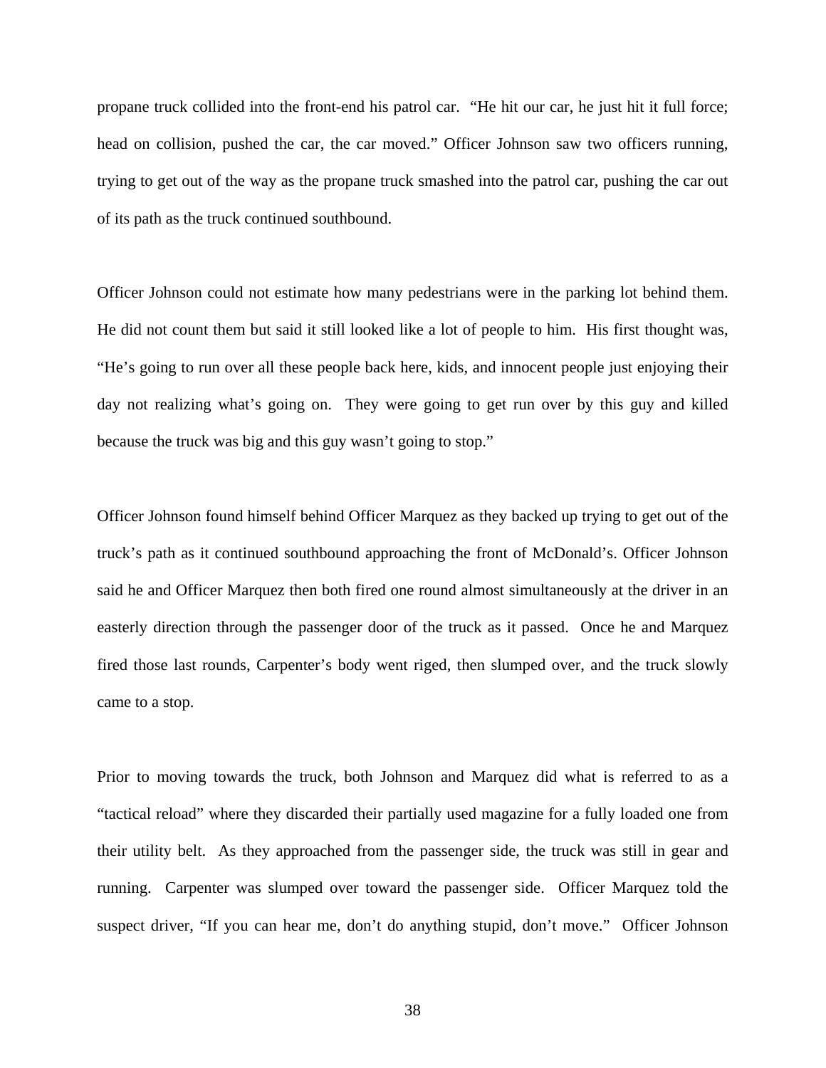propane truck collided into the front-end his patrol car. "He hit our car, he just hit it full force; head on collision, pushed the car, the car moved." Officer Johnson saw two officers running, trying to get out of the way as the propane truck smashed into the patrol car, pushing the car out of its path as the truck continued southbound.

Officer Johnson could not estimate how many pedestrians were in the parking lot behind them. He did not count them but said it still looked like a lot of people to him. His first thought was, "He's going to run over all these people back here, kids, and innocent people just enjoying their day not realizing what's going on. They were going to get run over by this guy and killed because the truck was big and this guy wasn't going to stop."

Officer Johnson found himself behind Officer Marquez as they backed up trying to get out of the truck's path as it continued southbound approaching the front of McDonald's. Officer Johnson said he and Officer Marquez then both fired one round almost simultaneously at the driver in an easterly direction through the passenger door of the truck as it passed. Once he and Marquez fired those last rounds, Carpenter's body went riged, then slumped over, and the truck slowly came to a stop.

Prior to moving towards the truck, both Johnson and Marquez did what is referred to as a "tactical reload" where they discarded their partially used magazine for a fully loaded one from their utility belt. As they approached from the passenger side, the truck was still in gear and running. Carpenter was slumped over toward the passenger side. Officer Marquez told the suspect driver, "If you can hear me, don't do anything stupid, don't move." Officer Johnson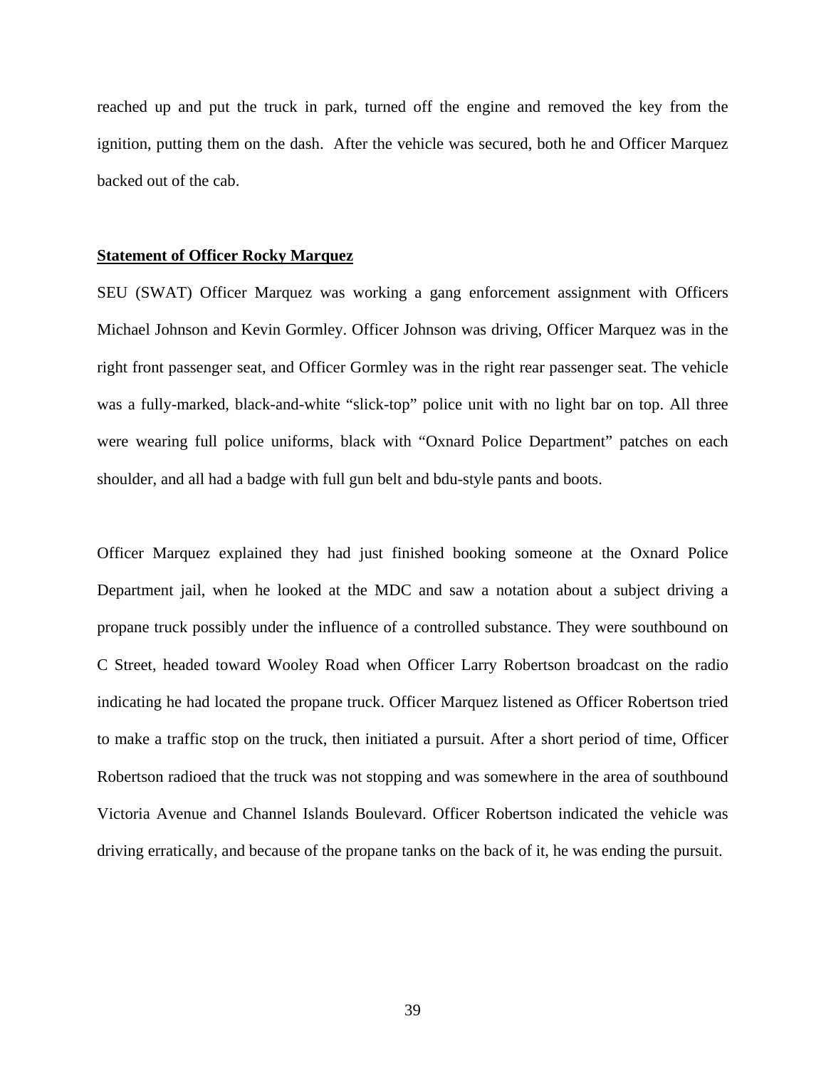reached up and put the truck in park, turned off the engine and removed the key from the ignition, putting them on the dash. After the vehicle was secured, both he and Officer Marquez backed out of the cab.

#### **Statement of Officer Rocky Marquez**

SEU (SWAT) Officer Marquez was working a gang enforcement assignment with Officers Michael Johnson and Kevin Gormley. Officer Johnson was driving, Officer Marquez was in the right front passenger seat, and Officer Gormley was in the right rear passenger seat. The vehicle was a fully-marked, black-and-white "slick-top" police unit with no light bar on top. All three were wearing full police uniforms, black with "Oxnard Police Department" patches on each shoulder, and all had a badge with full gun belt and bdu-style pants and boots.

Officer Marquez explained they had just finished booking someone at the Oxnard Police Department jail, when he looked at the MDC and saw a notation about a subject driving a propane truck possibly under the influence of a controlled substance. They were southbound on C Street, headed toward Wooley Road when Officer Larry Robertson broadcast on the radio indicating he had located the propane truck. Officer Marquez listened as Officer Robertson tried to make a traffic stop on the truck, then initiated a pursuit. After a short period of time, Officer Robertson radioed that the truck was not stopping and was somewhere in the area of southbound Victoria Avenue and Channel Islands Boulevard. Officer Robertson indicated the vehicle was driving erratically, and because of the propane tanks on the back of it, he was ending the pursuit.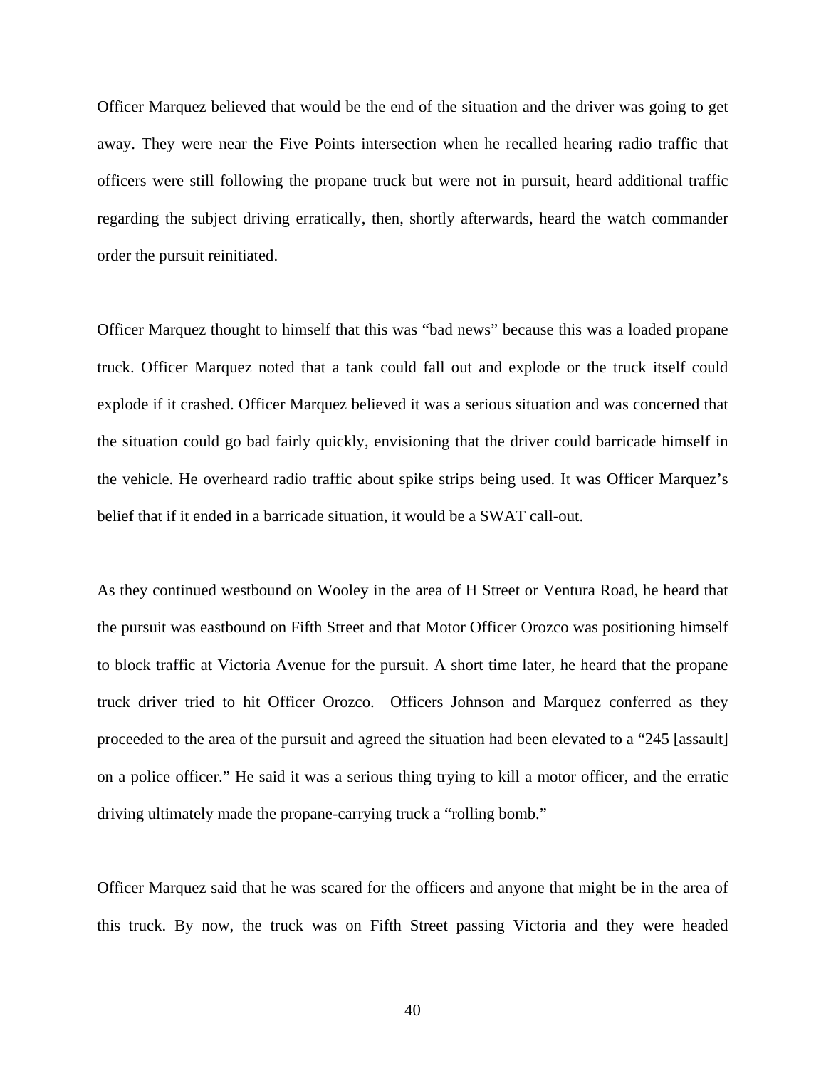Officer Marquez believed that would be the end of the situation and the driver was going to get away. They were near the Five Points intersection when he recalled hearing radio traffic that officers were still following the propane truck but were not in pursuit, heard additional traffic regarding the subject driving erratically, then, shortly afterwards, heard the watch commander order the pursuit reinitiated.

Officer Marquez thought to himself that this was "bad news" because this was a loaded propane truck. Officer Marquez noted that a tank could fall out and explode or the truck itself could explode if it crashed. Officer Marquez believed it was a serious situation and was concerned that the situation could go bad fairly quickly, envisioning that the driver could barricade himself in the vehicle. He overheard radio traffic about spike strips being used. It was Officer Marquez's belief that if it ended in a barricade situation, it would be a SWAT call-out.

As they continued westbound on Wooley in the area of H Street or Ventura Road, he heard that the pursuit was eastbound on Fifth Street and that Motor Officer Orozco was positioning himself to block traffic at Victoria Avenue for the pursuit. A short time later, he heard that the propane truck driver tried to hit Officer Orozco. Officers Johnson and Marquez conferred as they proceeded to the area of the pursuit and agreed the situation had been elevated to a "245 [assault] on a police officer." He said it was a serious thing trying to kill a motor officer, and the erratic driving ultimately made the propane-carrying truck a "rolling bomb."

Officer Marquez said that he was scared for the officers and anyone that might be in the area of this truck. By now, the truck was on Fifth Street passing Victoria and they were headed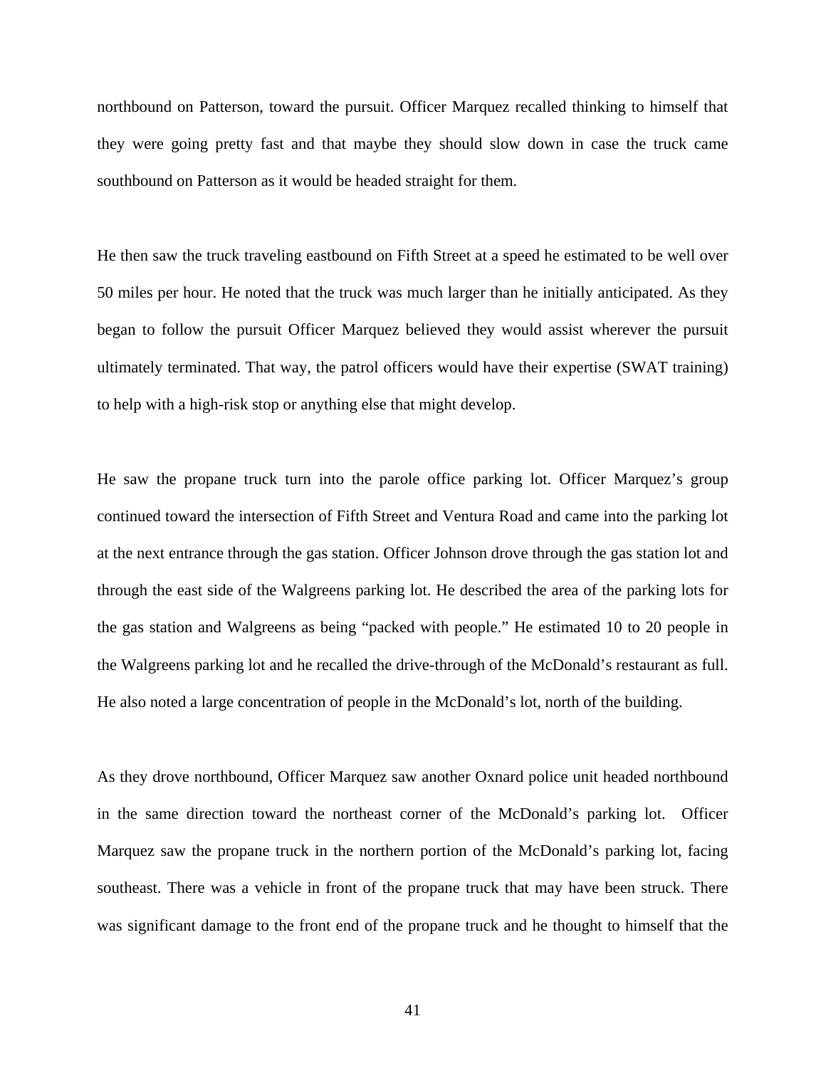northbound on Patterson, toward the pursuit. Officer Marquez recalled thinking to himself that they were going pretty fast and that maybe they should slow down in case the truck came southbound on Patterson as it would be headed straight for them.

He then saw the truck traveling eastbound on Fifth Street at a speed he estimated to be well over 50 miles per hour. He noted that the truck was much larger than he initially anticipated. As they began to follow the pursuit Officer Marquez believed they would assist wherever the pursuit ultimately terminated. That way, the patrol officers would have their expertise (SWAT training) to help with a high-risk stop or anything else that might develop.

He saw the propane truck turn into the parole office parking lot. Officer Marquez's group continued toward the intersection of Fifth Street and Ventura Road and came into the parking lot at the next entrance through the gas station. Officer Johnson drove through the gas station lot and through the east side of the Walgreens parking lot. He described the area of the parking lots for the gas station and Walgreens as being "packed with people." He estimated 10 to 20 people in the Walgreens parking lot and he recalled the drive-through of the McDonald's restaurant as full. He also noted a large concentration of people in the McDonald's lot, north of the building.

As they drove northbound, Officer Marquez saw another Oxnard police unit headed northbound in the same direction toward the northeast corner of the McDonald's parking lot. Officer Marquez saw the propane truck in the northern portion of the McDonald's parking lot, facing southeast. There was a vehicle in front of the propane truck that may have been struck. There was significant damage to the front end of the propane truck and he thought to himself that the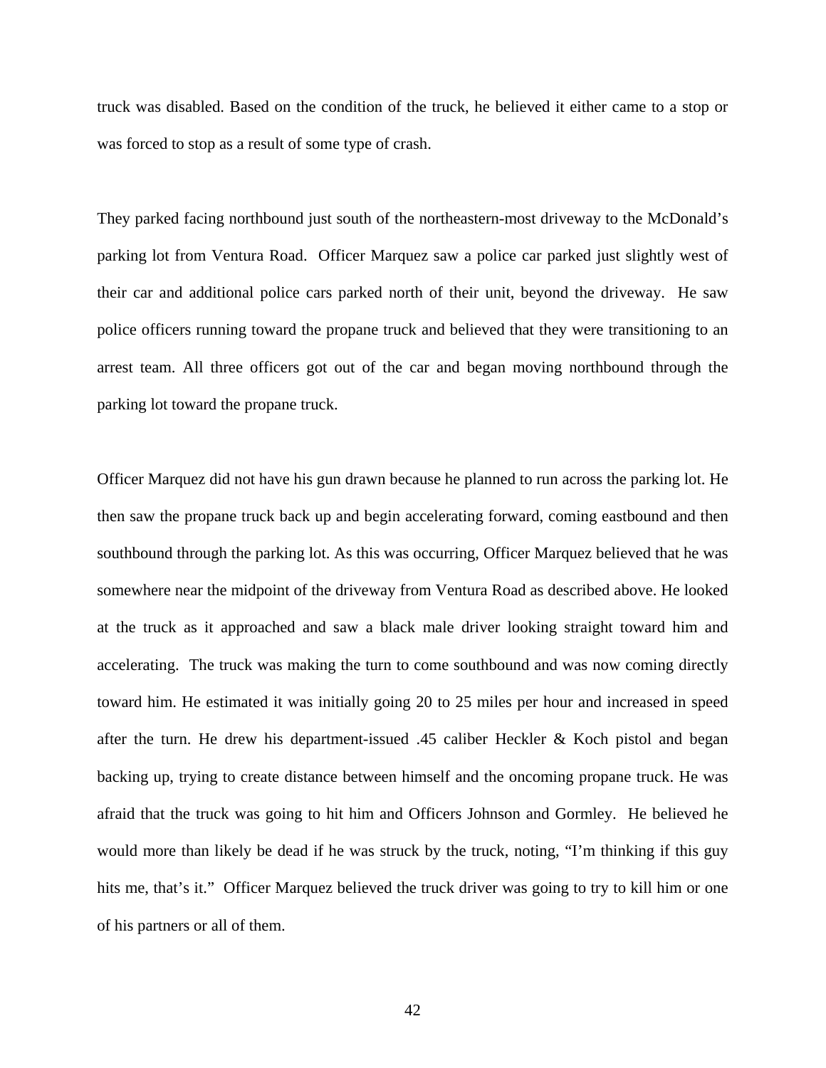truck was disabled. Based on the condition of the truck, he believed it either came to a stop or was forced to stop as a result of some type of crash.

They parked facing northbound just south of the northeastern-most driveway to the McDonald's parking lot from Ventura Road. Officer Marquez saw a police car parked just slightly west of their car and additional police cars parked north of their unit, beyond the driveway. He saw police officers running toward the propane truck and believed that they were transitioning to an arrest team. All three officers got out of the car and began moving northbound through the parking lot toward the propane truck.

Officer Marquez did not have his gun drawn because he planned to run across the parking lot. He then saw the propane truck back up and begin accelerating forward, coming eastbound and then southbound through the parking lot. As this was occurring, Officer Marquez believed that he was somewhere near the midpoint of the driveway from Ventura Road as described above. He looked at the truck as it approached and saw a black male driver looking straight toward him and accelerating. The truck was making the turn to come southbound and was now coming directly toward him. He estimated it was initially going 20 to 25 miles per hour and increased in speed after the turn. He drew his department-issued .45 caliber Heckler & Koch pistol and began backing up, trying to create distance between himself and the oncoming propane truck. He was afraid that the truck was going to hit him and Officers Johnson and Gormley. He believed he would more than likely be dead if he was struck by the truck, noting, "I'm thinking if this guy hits me, that's it." Officer Marquez believed the truck driver was going to try to kill him or one of his partners or all of them.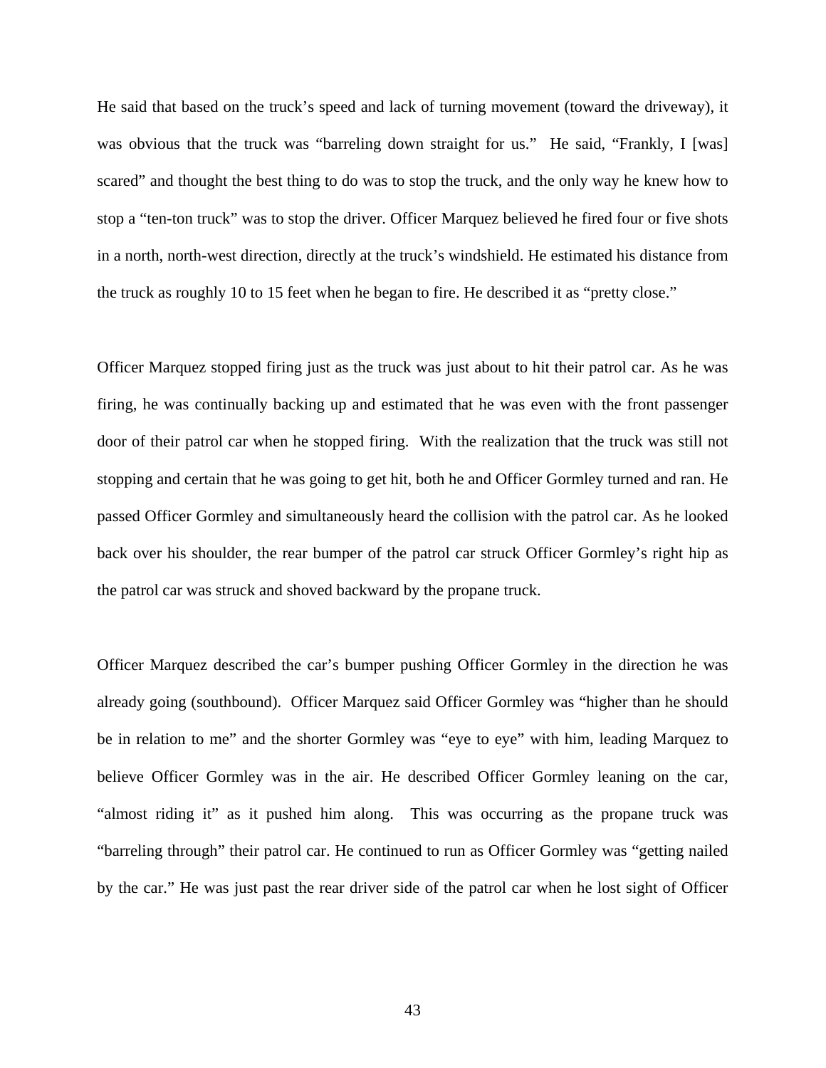He said that based on the truck's speed and lack of turning movement (toward the driveway), it was obvious that the truck was "barreling down straight for us." He said, "Frankly, I [was] scared" and thought the best thing to do was to stop the truck, and the only way he knew how to stop a "ten-ton truck" was to stop the driver. Officer Marquez believed he fired four or five shots in a north, north-west direction, directly at the truck's windshield. He estimated his distance from the truck as roughly 10 to 15 feet when he began to fire. He described it as "pretty close."

Officer Marquez stopped firing just as the truck was just about to hit their patrol car. As he was firing, he was continually backing up and estimated that he was even with the front passenger door of their patrol car when he stopped firing. With the realization that the truck was still not stopping and certain that he was going to get hit, both he and Officer Gormley turned and ran. He passed Officer Gormley and simultaneously heard the collision with the patrol car. As he looked back over his shoulder, the rear bumper of the patrol car struck Officer Gormley's right hip as the patrol car was struck and shoved backward by the propane truck.

Officer Marquez described the car's bumper pushing Officer Gormley in the direction he was already going (southbound). Officer Marquez said Officer Gormley was "higher than he should be in relation to me" and the shorter Gormley was "eye to eye" with him, leading Marquez to believe Officer Gormley was in the air. He described Officer Gormley leaning on the car, "almost riding it" as it pushed him along. This was occurring as the propane truck was "barreling through" their patrol car. He continued to run as Officer Gormley was "getting nailed by the car." He was just past the rear driver side of the patrol car when he lost sight of Officer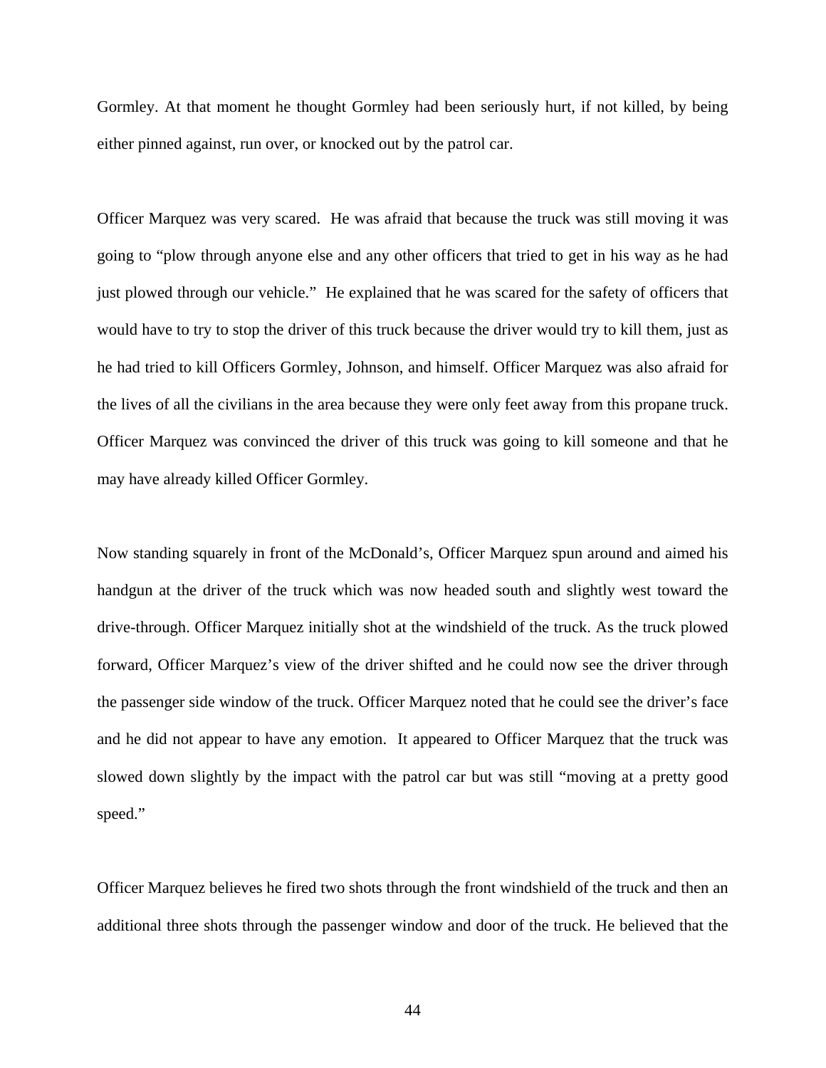Gormley. At that moment he thought Gormley had been seriously hurt, if not killed, by being either pinned against, run over, or knocked out by the patrol car.

Officer Marquez was very scared. He was afraid that because the truck was still moving it was going to "plow through anyone else and any other officers that tried to get in his way as he had just plowed through our vehicle." He explained that he was scared for the safety of officers that would have to try to stop the driver of this truck because the driver would try to kill them, just as he had tried to kill Officers Gormley, Johnson, and himself. Officer Marquez was also afraid for the lives of all the civilians in the area because they were only feet away from this propane truck. Officer Marquez was convinced the driver of this truck was going to kill someone and that he may have already killed Officer Gormley.

Now standing squarely in front of the McDonald's, Officer Marquez spun around and aimed his handgun at the driver of the truck which was now headed south and slightly west toward the drive-through. Officer Marquez initially shot at the windshield of the truck. As the truck plowed forward, Officer Marquez's view of the driver shifted and he could now see the driver through the passenger side window of the truck. Officer Marquez noted that he could see the driver's face and he did not appear to have any emotion. It appeared to Officer Marquez that the truck was slowed down slightly by the impact with the patrol car but was still "moving at a pretty good speed."

Officer Marquez believes he fired two shots through the front windshield of the truck and then an additional three shots through the passenger window and door of the truck. He believed that the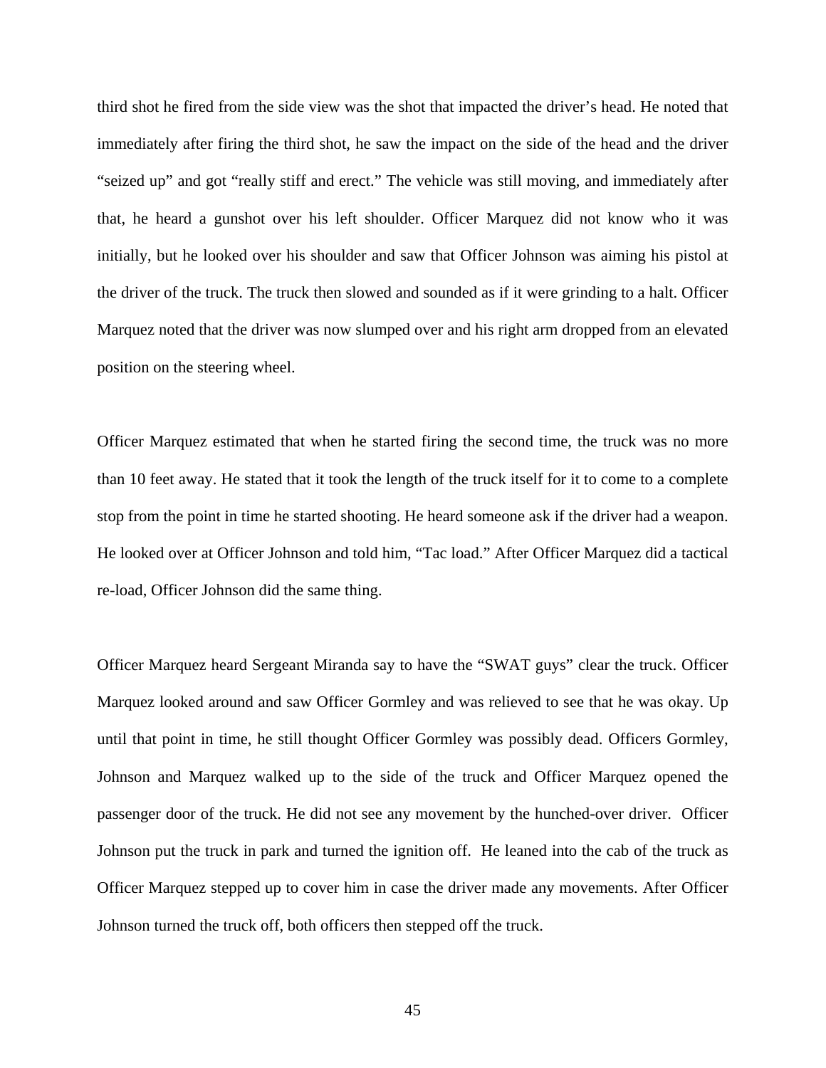third shot he fired from the side view was the shot that impacted the driver's head. He noted that immediately after firing the third shot, he saw the impact on the side of the head and the driver "seized up" and got "really stiff and erect." The vehicle was still moving, and immediately after that, he heard a gunshot over his left shoulder. Officer Marquez did not know who it was initially, but he looked over his shoulder and saw that Officer Johnson was aiming his pistol at the driver of the truck. The truck then slowed and sounded as if it were grinding to a halt. Officer Marquez noted that the driver was now slumped over and his right arm dropped from an elevated position on the steering wheel.

Officer Marquez estimated that when he started firing the second time, the truck was no more than 10 feet away. He stated that it took the length of the truck itself for it to come to a complete stop from the point in time he started shooting. He heard someone ask if the driver had a weapon. He looked over at Officer Johnson and told him, "Tac load." After Officer Marquez did a tactical re-load, Officer Johnson did the same thing.

Officer Marquez heard Sergeant Miranda say to have the "SWAT guys" clear the truck. Officer Marquez looked around and saw Officer Gormley and was relieved to see that he was okay. Up until that point in time, he still thought Officer Gormley was possibly dead. Officers Gormley, Johnson and Marquez walked up to the side of the truck and Officer Marquez opened the passenger door of the truck. He did not see any movement by the hunched-over driver. Officer Johnson put the truck in park and turned the ignition off. He leaned into the cab of the truck as Officer Marquez stepped up to cover him in case the driver made any movements. After Officer Johnson turned the truck off, both officers then stepped off the truck.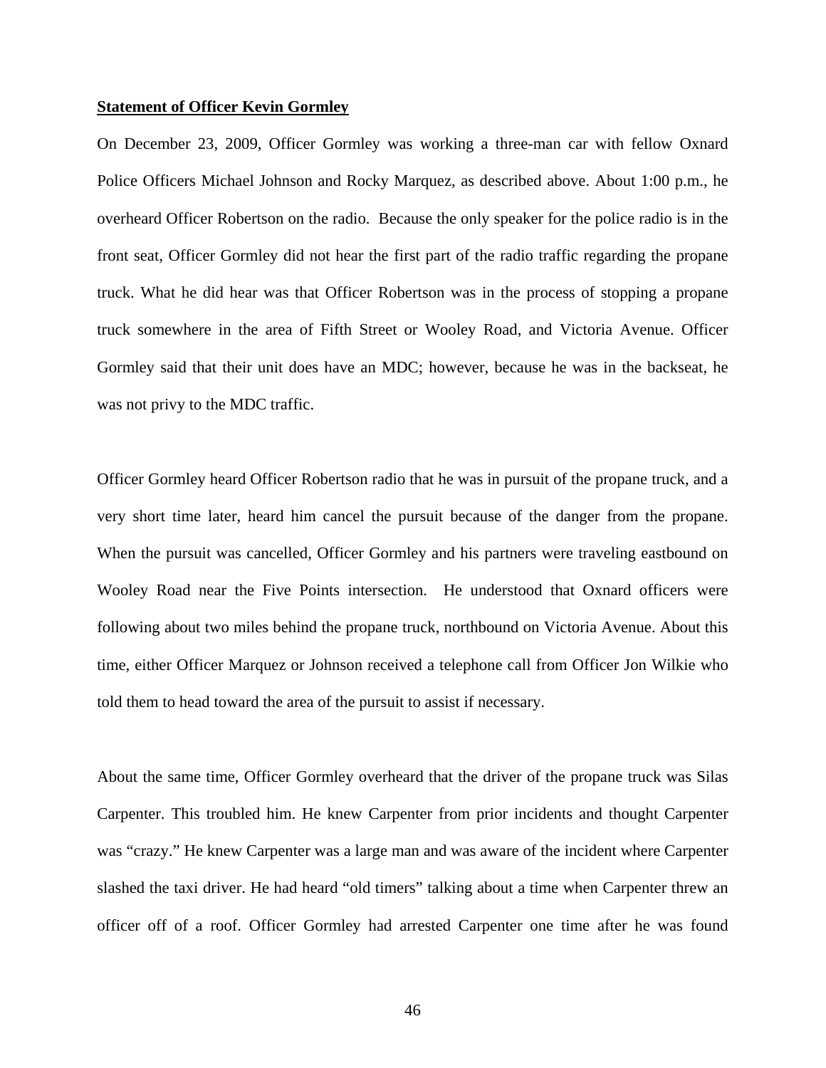#### **Statement of Officer Kevin Gormley**

On December 23, 2009, Officer Gormley was working a three-man car with fellow Oxnard Police Officers Michael Johnson and Rocky Marquez, as described above. About 1:00 p.m., he overheard Officer Robertson on the radio. Because the only speaker for the police radio is in the front seat, Officer Gormley did not hear the first part of the radio traffic regarding the propane truck. What he did hear was that Officer Robertson was in the process of stopping a propane truck somewhere in the area of Fifth Street or Wooley Road, and Victoria Avenue. Officer Gormley said that their unit does have an MDC; however, because he was in the backseat, he was not privy to the MDC traffic.

Officer Gormley heard Officer Robertson radio that he was in pursuit of the propane truck, and a very short time later, heard him cancel the pursuit because of the danger from the propane. When the pursuit was cancelled, Officer Gormley and his partners were traveling eastbound on Wooley Road near the Five Points intersection. He understood that Oxnard officers were following about two miles behind the propane truck, northbound on Victoria Avenue. About this time, either Officer Marquez or Johnson received a telephone call from Officer Jon Wilkie who told them to head toward the area of the pursuit to assist if necessary.

About the same time, Officer Gormley overheard that the driver of the propane truck was Silas Carpenter. This troubled him. He knew Carpenter from prior incidents and thought Carpenter was "crazy." He knew Carpenter was a large man and was aware of the incident where Carpenter slashed the taxi driver. He had heard "old timers" talking about a time when Carpenter threw an officer off of a roof. Officer Gormley had arrested Carpenter one time after he was found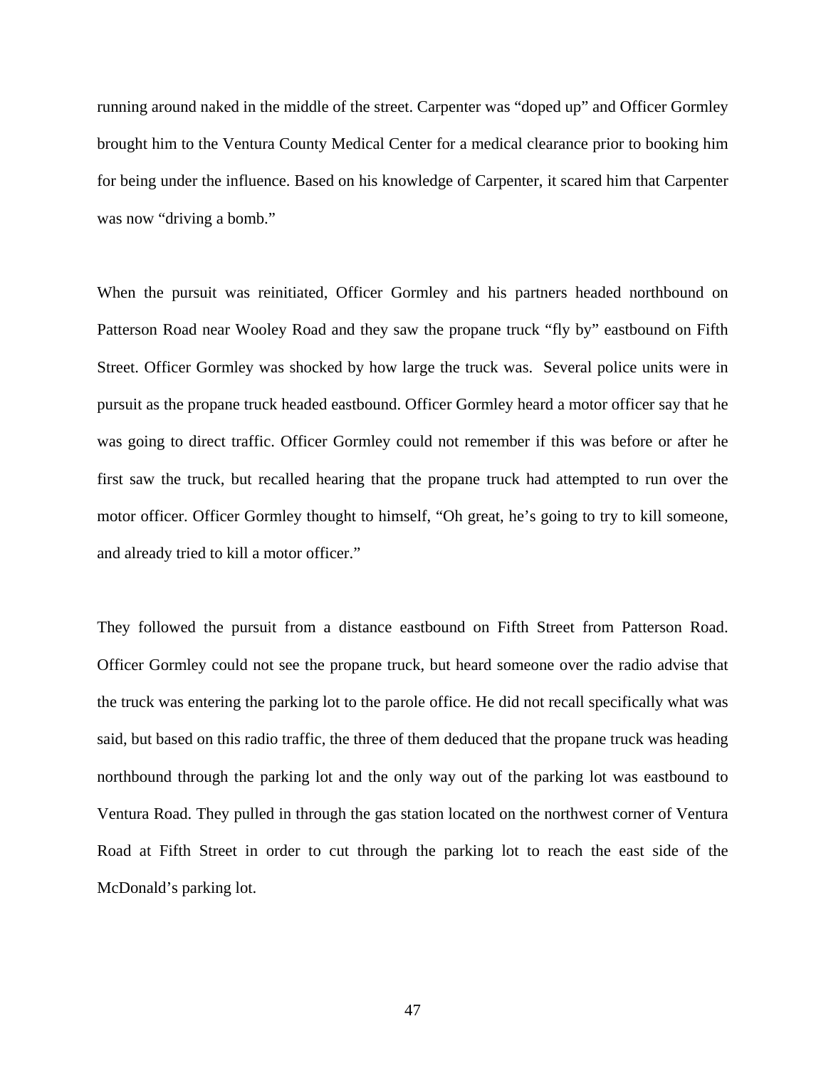running around naked in the middle of the street. Carpenter was "doped up" and Officer Gormley brought him to the Ventura County Medical Center for a medical clearance prior to booking him for being under the influence. Based on his knowledge of Carpenter, it scared him that Carpenter was now "driving a bomb."

When the pursuit was reinitiated, Officer Gormley and his partners headed northbound on Patterson Road near Wooley Road and they saw the propane truck "fly by" eastbound on Fifth Street. Officer Gormley was shocked by how large the truck was. Several police units were in pursuit as the propane truck headed eastbound. Officer Gormley heard a motor officer say that he was going to direct traffic. Officer Gormley could not remember if this was before or after he first saw the truck, but recalled hearing that the propane truck had attempted to run over the motor officer. Officer Gormley thought to himself, "Oh great, he's going to try to kill someone, and already tried to kill a motor officer."

They followed the pursuit from a distance eastbound on Fifth Street from Patterson Road. Officer Gormley could not see the propane truck, but heard someone over the radio advise that the truck was entering the parking lot to the parole office. He did not recall specifically what was said, but based on this radio traffic, the three of them deduced that the propane truck was heading northbound through the parking lot and the only way out of the parking lot was eastbound to Ventura Road. They pulled in through the gas station located on the northwest corner of Ventura Road at Fifth Street in order to cut through the parking lot to reach the east side of the McDonald's parking lot.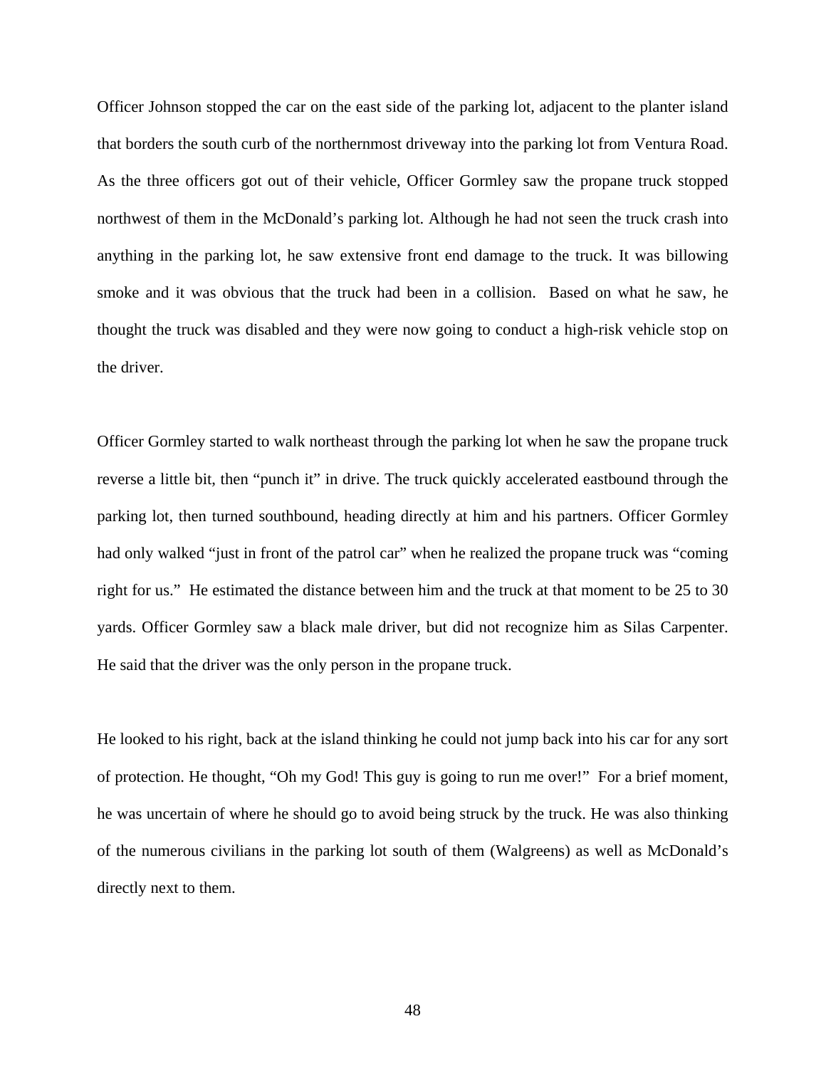Officer Johnson stopped the car on the east side of the parking lot, adjacent to the planter island that borders the south curb of the northernmost driveway into the parking lot from Ventura Road. As the three officers got out of their vehicle, Officer Gormley saw the propane truck stopped northwest of them in the McDonald's parking lot. Although he had not seen the truck crash into anything in the parking lot, he saw extensive front end damage to the truck. It was billowing smoke and it was obvious that the truck had been in a collision. Based on what he saw, he thought the truck was disabled and they were now going to conduct a high-risk vehicle stop on the driver.

Officer Gormley started to walk northeast through the parking lot when he saw the propane truck reverse a little bit, then "punch it" in drive. The truck quickly accelerated eastbound through the parking lot, then turned southbound, heading directly at him and his partners. Officer Gormley had only walked "just in front of the patrol car" when he realized the propane truck was "coming right for us." He estimated the distance between him and the truck at that moment to be 25 to 30 yards. Officer Gormley saw a black male driver, but did not recognize him as Silas Carpenter. He said that the driver was the only person in the propane truck.

He looked to his right, back at the island thinking he could not jump back into his car for any sort of protection. He thought, "Oh my God! This guy is going to run me over!" For a brief moment, he was uncertain of where he should go to avoid being struck by the truck. He was also thinking of the numerous civilians in the parking lot south of them (Walgreens) as well as McDonald's directly next to them.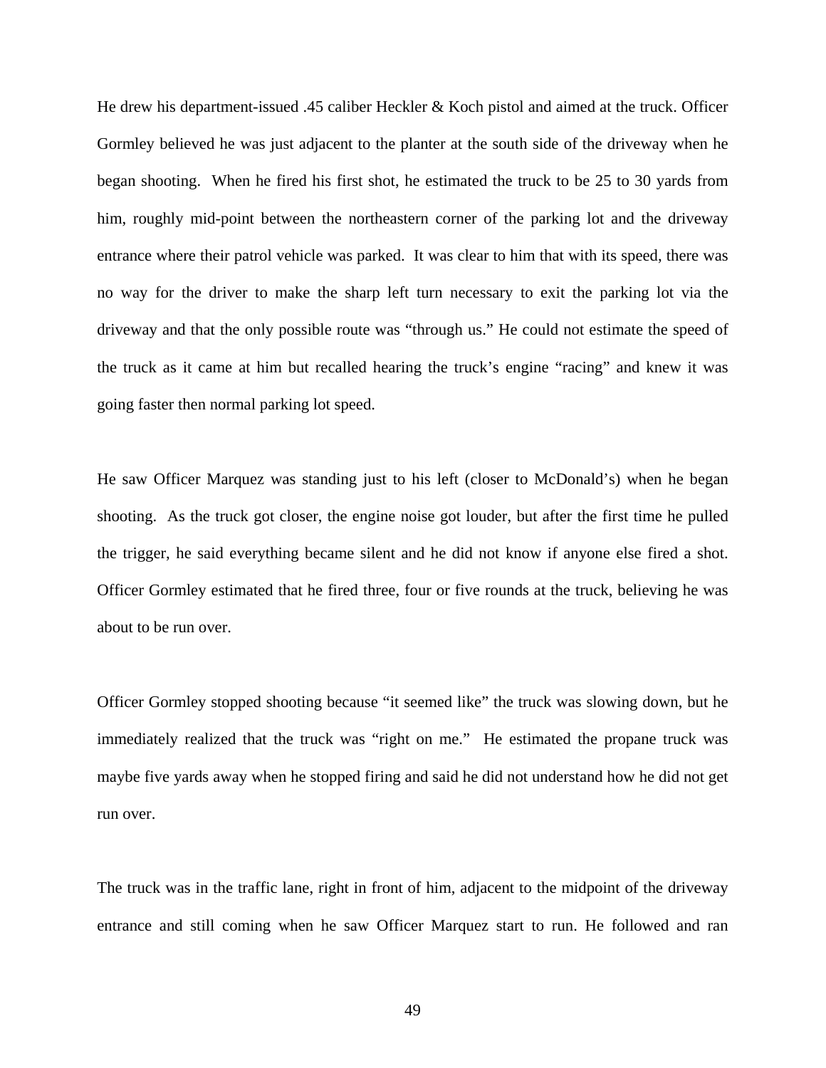He drew his department-issued .45 caliber Heckler & Koch pistol and aimed at the truck. Officer Gormley believed he was just adjacent to the planter at the south side of the driveway when he began shooting. When he fired his first shot, he estimated the truck to be 25 to 30 yards from him, roughly mid-point between the northeastern corner of the parking lot and the driveway entrance where their patrol vehicle was parked. It was clear to him that with its speed, there was no way for the driver to make the sharp left turn necessary to exit the parking lot via the driveway and that the only possible route was "through us." He could not estimate the speed of the truck as it came at him but recalled hearing the truck's engine "racing" and knew it was going faster then normal parking lot speed.

He saw Officer Marquez was standing just to his left (closer to McDonald's) when he began shooting. As the truck got closer, the engine noise got louder, but after the first time he pulled the trigger, he said everything became silent and he did not know if anyone else fired a shot. Officer Gormley estimated that he fired three, four or five rounds at the truck, believing he was about to be run over.

Officer Gormley stopped shooting because "it seemed like" the truck was slowing down, but he immediately realized that the truck was "right on me." He estimated the propane truck was maybe five yards away when he stopped firing and said he did not understand how he did not get run over.

The truck was in the traffic lane, right in front of him, adjacent to the midpoint of the driveway entrance and still coming when he saw Officer Marquez start to run. He followed and ran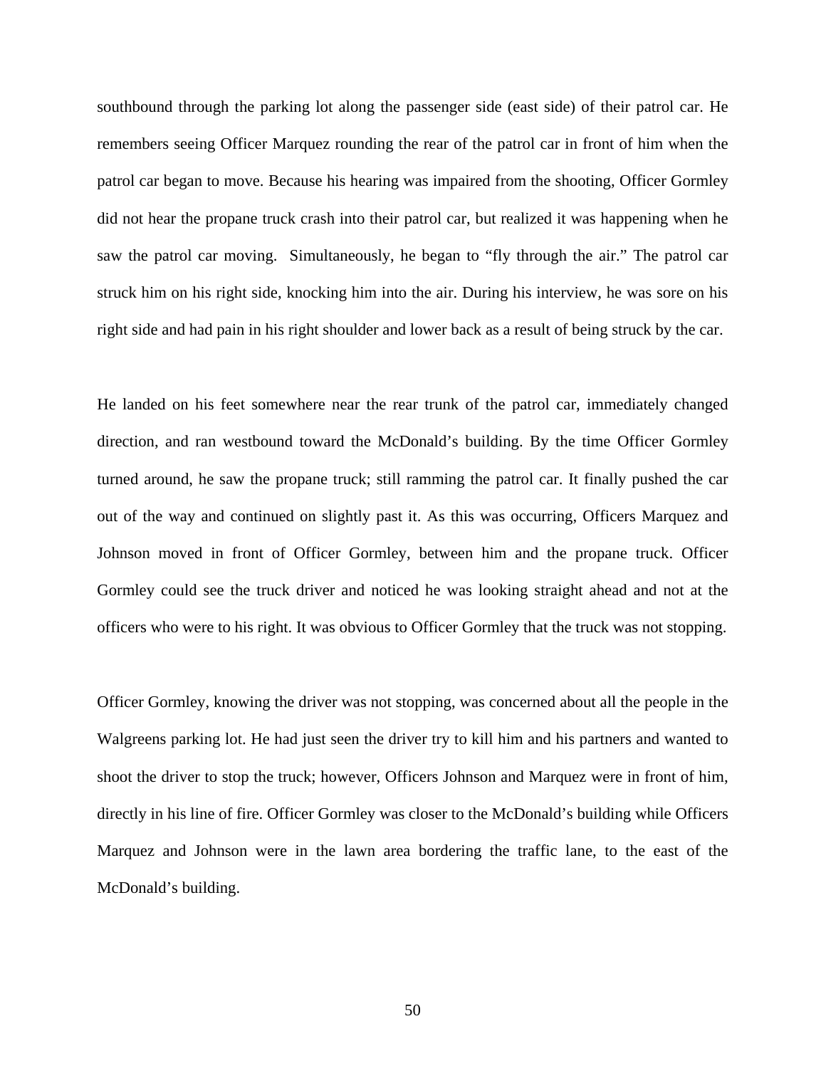southbound through the parking lot along the passenger side (east side) of their patrol car. He remembers seeing Officer Marquez rounding the rear of the patrol car in front of him when the patrol car began to move. Because his hearing was impaired from the shooting, Officer Gormley did not hear the propane truck crash into their patrol car, but realized it was happening when he saw the patrol car moving. Simultaneously, he began to "fly through the air." The patrol car struck him on his right side, knocking him into the air. During his interview, he was sore on his right side and had pain in his right shoulder and lower back as a result of being struck by the car.

He landed on his feet somewhere near the rear trunk of the patrol car, immediately changed direction, and ran westbound toward the McDonald's building. By the time Officer Gormley turned around, he saw the propane truck; still ramming the patrol car. It finally pushed the car out of the way and continued on slightly past it. As this was occurring, Officers Marquez and Johnson moved in front of Officer Gormley, between him and the propane truck. Officer Gormley could see the truck driver and noticed he was looking straight ahead and not at the officers who were to his right. It was obvious to Officer Gormley that the truck was not stopping.

Officer Gormley, knowing the driver was not stopping, was concerned about all the people in the Walgreens parking lot. He had just seen the driver try to kill him and his partners and wanted to shoot the driver to stop the truck; however, Officers Johnson and Marquez were in front of him, directly in his line of fire. Officer Gormley was closer to the McDonald's building while Officers Marquez and Johnson were in the lawn area bordering the traffic lane, to the east of the McDonald's building.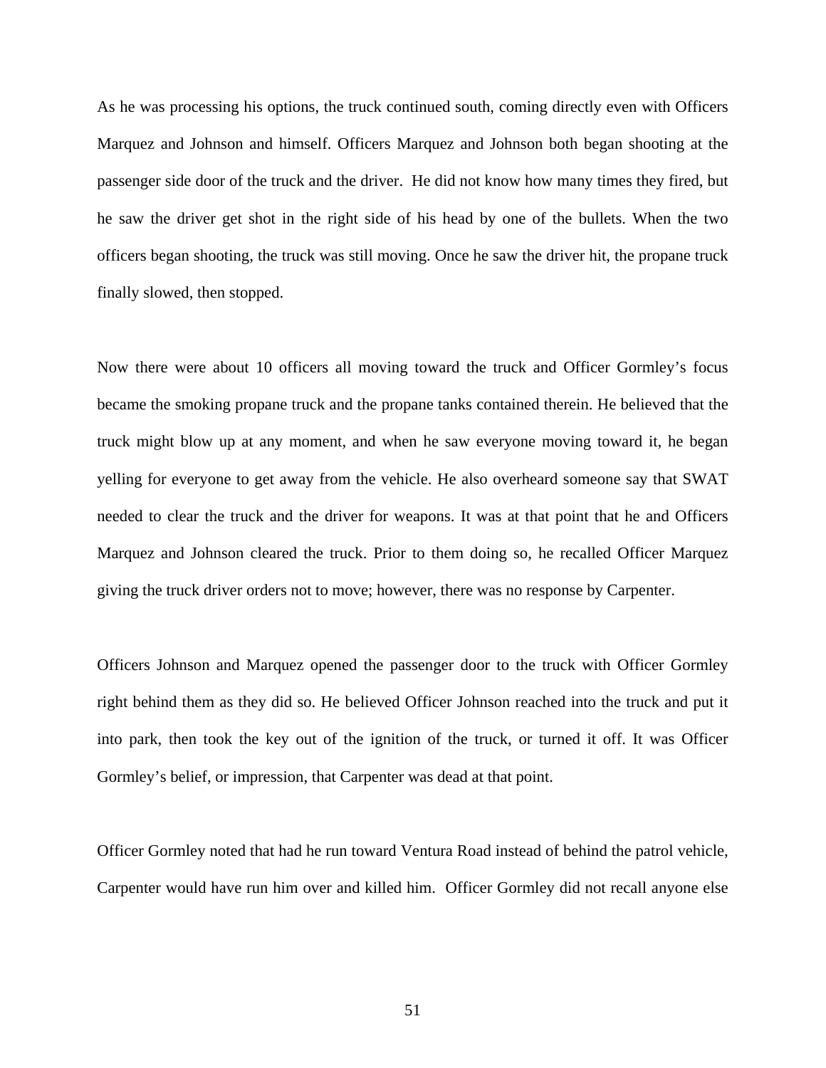As he was processing his options, the truck continued south, coming directly even with Officers Marquez and Johnson and himself. Officers Marquez and Johnson both began shooting at the passenger side door of the truck and the driver. He did not know how many times they fired, but he saw the driver get shot in the right side of his head by one of the bullets. When the two officers began shooting, the truck was still moving. Once he saw the driver hit, the propane truck finally slowed, then stopped.

Now there were about 10 officers all moving toward the truck and Officer Gormley's focus became the smoking propane truck and the propane tanks contained therein. He believed that the truck might blow up at any moment, and when he saw everyone moving toward it, he began yelling for everyone to get away from the vehicle. He also overheard someone say that SWAT needed to clear the truck and the driver for weapons. It was at that point that he and Officers Marquez and Johnson cleared the truck. Prior to them doing so, he recalled Officer Marquez giving the truck driver orders not to move; however, there was no response by Carpenter.

Officers Johnson and Marquez opened the passenger door to the truck with Officer Gormley right behind them as they did so. He believed Officer Johnson reached into the truck and put it into park, then took the key out of the ignition of the truck, or turned it off. It was Officer Gormley's belief, or impression, that Carpenter was dead at that point.

Officer Gormley noted that had he run toward Ventura Road instead of behind the patrol vehicle, Carpenter would have run him over and killed him. Officer Gormley did not recall anyone else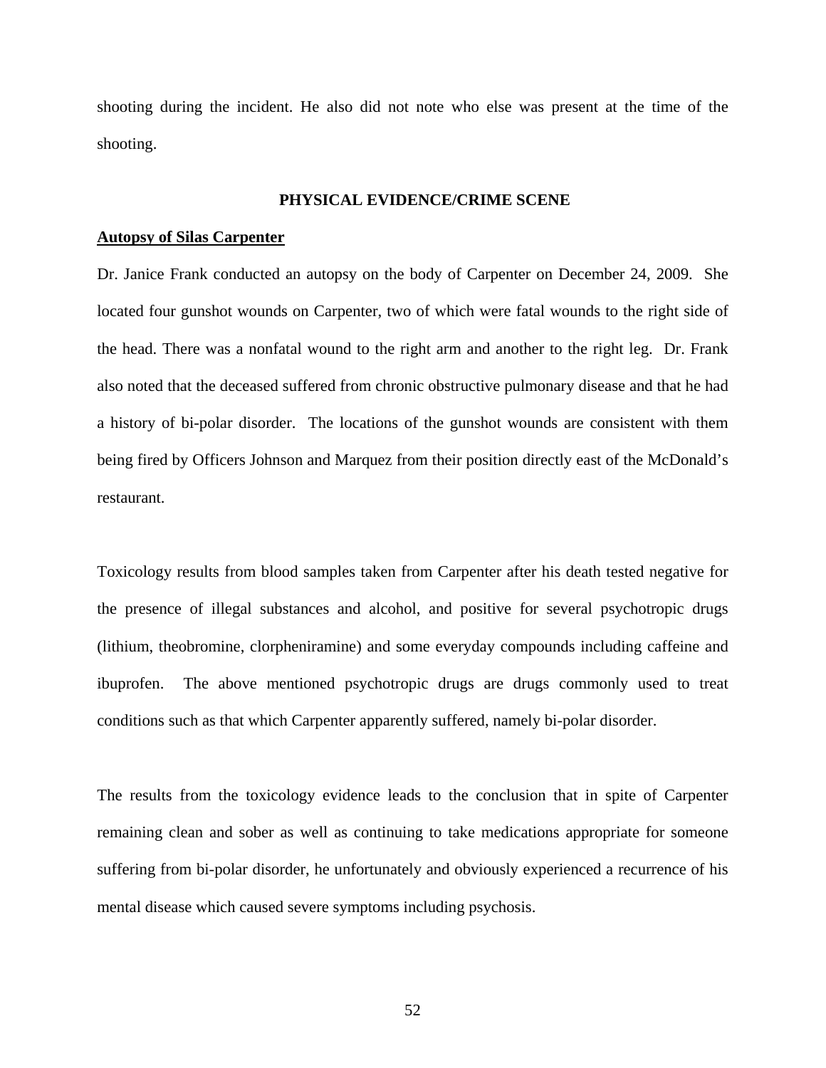shooting during the incident. He also did not note who else was present at the time of the shooting.

### **PHYSICAL EVIDENCE/CRIME SCENE**

## **Autopsy of Silas Carpenter**

Dr. Janice Frank conducted an autopsy on the body of Carpenter on December 24, 2009. She located four gunshot wounds on Carpenter, two of which were fatal wounds to the right side of the head. There was a nonfatal wound to the right arm and another to the right leg. Dr. Frank also noted that the deceased suffered from chronic obstructive pulmonary disease and that he had a history of bi-polar disorder. The locations of the gunshot wounds are consistent with them being fired by Officers Johnson and Marquez from their position directly east of the McDonald's restaurant.

Toxicology results from blood samples taken from Carpenter after his death tested negative for the presence of illegal substances and alcohol, and positive for several psychotropic drugs (lithium, theobromine, clorpheniramine) and some everyday compounds including caffeine and ibuprofen. The above mentioned psychotropic drugs are drugs commonly used to treat conditions such as that which Carpenter apparently suffered, namely bi-polar disorder.

The results from the toxicology evidence leads to the conclusion that in spite of Carpenter remaining clean and sober as well as continuing to take medications appropriate for someone suffering from bi-polar disorder, he unfortunately and obviously experienced a recurrence of his mental disease which caused severe symptoms including psychosis.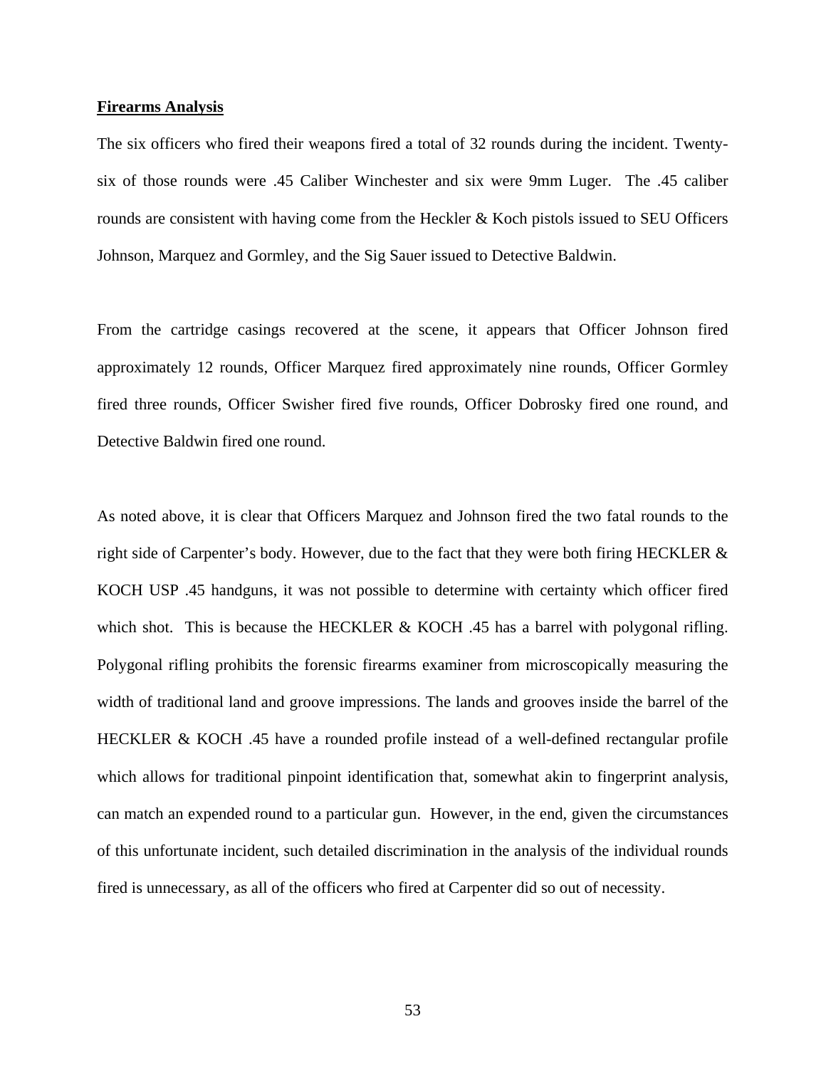### **Firearms Analysis**

The six officers who fired their weapons fired a total of 32 rounds during the incident. Twentysix of those rounds were .45 Caliber Winchester and six were 9mm Luger. The .45 caliber rounds are consistent with having come from the Heckler & Koch pistols issued to SEU Officers Johnson, Marquez and Gormley, and the Sig Sauer issued to Detective Baldwin.

From the cartridge casings recovered at the scene, it appears that Officer Johnson fired approximately 12 rounds, Officer Marquez fired approximately nine rounds, Officer Gormley fired three rounds, Officer Swisher fired five rounds, Officer Dobrosky fired one round, and Detective Baldwin fired one round.

As noted above, it is clear that Officers Marquez and Johnson fired the two fatal rounds to the right side of Carpenter's body. However, due to the fact that they were both firing HECKLER & KOCH USP .45 handguns, it was not possible to determine with certainty which officer fired which shot. This is because the HECKLER  $& KOCH$  .45 has a barrel with polygonal rifling. Polygonal rifling prohibits the forensic firearms examiner from microscopically measuring the width of traditional land and groove impressions. The lands and grooves inside the barrel of the HECKLER & KOCH .45 have a rounded profile instead of a well-defined rectangular profile which allows for traditional pinpoint identification that, somewhat akin to fingerprint analysis, can match an expended round to a particular gun. However, in the end, given the circumstances of this unfortunate incident, such detailed discrimination in the analysis of the individual rounds fired is unnecessary, as all of the officers who fired at Carpenter did so out of necessity.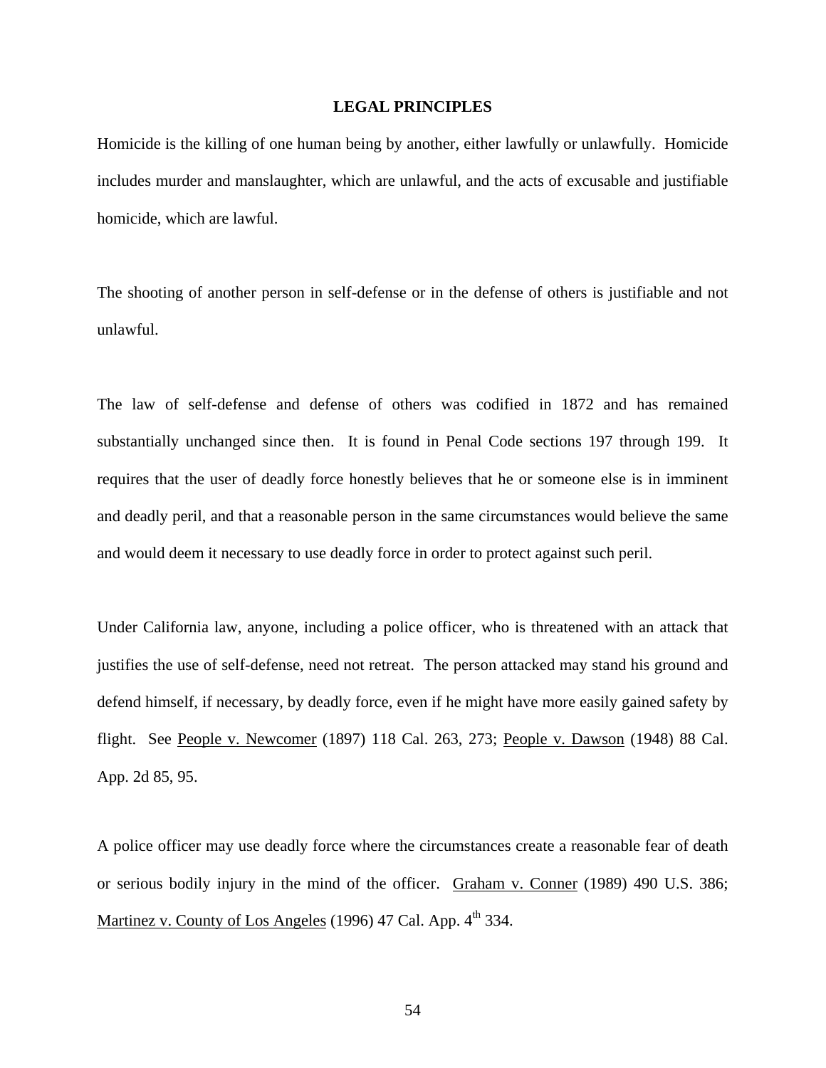### **LEGAL PRINCIPLES**

Homicide is the killing of one human being by another, either lawfully or unlawfully. Homicide includes murder and manslaughter, which are unlawful, and the acts of excusable and justifiable homicide, which are lawful.

The shooting of another person in self-defense or in the defense of others is justifiable and not unlawful.

The law of self-defense and defense of others was codified in 1872 and has remained substantially unchanged since then. It is found in Penal Code sections 197 through 199. It requires that the user of deadly force honestly believes that he or someone else is in imminent and deadly peril, and that a reasonable person in the same circumstances would believe the same and would deem it necessary to use deadly force in order to protect against such peril.

Under California law, anyone, including a police officer, who is threatened with an attack that justifies the use of self-defense, need not retreat. The person attacked may stand his ground and defend himself, if necessary, by deadly force, even if he might have more easily gained safety by flight. See People v. Newcomer (1897) 118 Cal. 263, 273; People v. Dawson (1948) 88 Cal. App. 2d 85, 95.

A police officer may use deadly force where the circumstances create a reasonable fear of death or serious bodily injury in the mind of the officer. Graham v. Conner (1989) 490 U.S. 386; Martinez v. County of Los Angeles (1996) 47 Cal. App. 4<sup>th</sup> 334.

54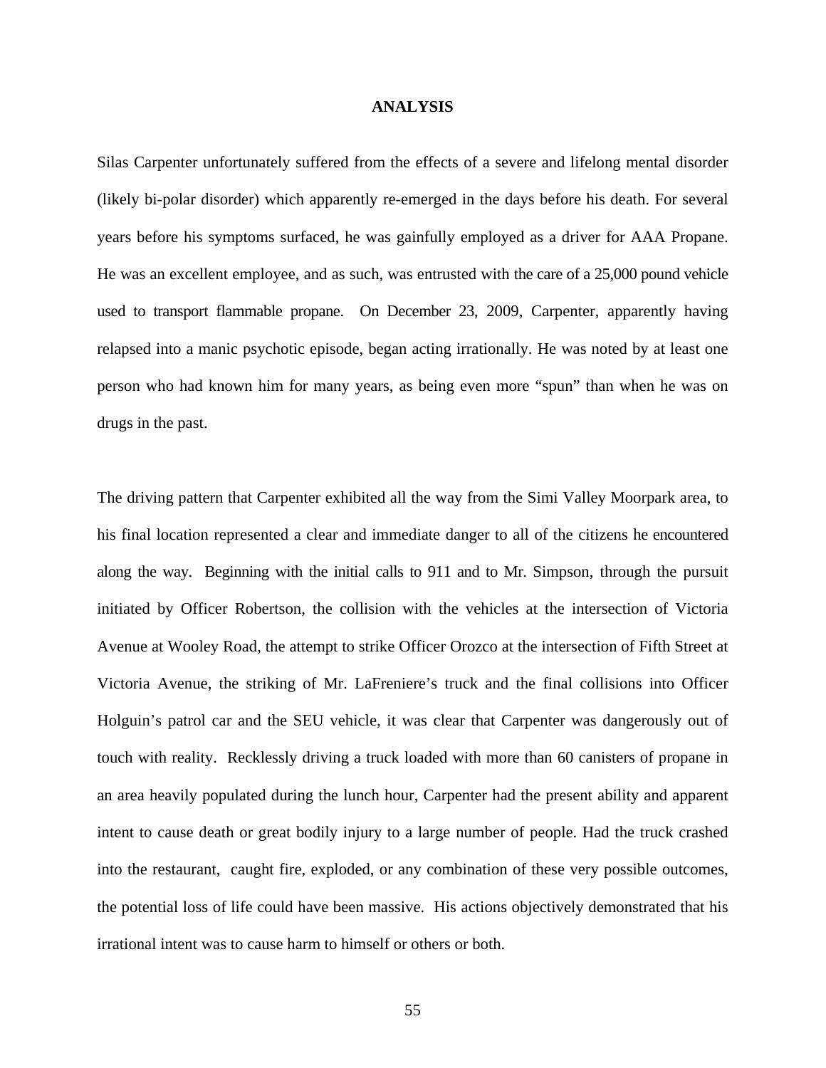#### **ANALYSIS**

Silas Carpenter unfortunately suffered from the effects of a severe and lifelong mental disorder (likely bi-polar disorder) which apparently re-emerged in the days before his death. For several years before his symptoms surfaced, he was gainfully employed as a driver for AAA Propane. He was an excellent employee, and as such, was entrusted with the care of a 25,000 pound vehicle used to transport flammable propane. On December 23, 2009, Carpenter, apparently having relapsed into a manic psychotic episode, began acting irrationally. He was noted by at least one person who had known him for many years, as being even more "spun" than when he was on drugs in the past.

The driving pattern that Carpenter exhibited all the way from the Simi Valley Moorpark area, to his final location represented a clear and immediate danger to all of the citizens he encountered along the way. Beginning with the initial calls to 911 and to Mr. Simpson, through the pursuit initiated by Officer Robertson, the collision with the vehicles at the intersection of Victoria Avenue at Wooley Road, the attempt to strike Officer Orozco at the intersection of Fifth Street at Victoria Avenue, the striking of Mr. LaFreniere's truck and the final collisions into Officer Holguin's patrol car and the SEU vehicle, it was clear that Carpenter was dangerously out of touch with reality. Recklessly driving a truck loaded with more than 60 canisters of propane in an area heavily populated during the lunch hour, Carpenter had the present ability and apparent intent to cause death or great bodily injury to a large number of people. Had the truck crashed into the restaurant, caught fire, exploded, or any combination of these very possible outcomes, the potential loss of life could have been massive. His actions objectively demonstrated that his irrational intent was to cause harm to himself or others or both.